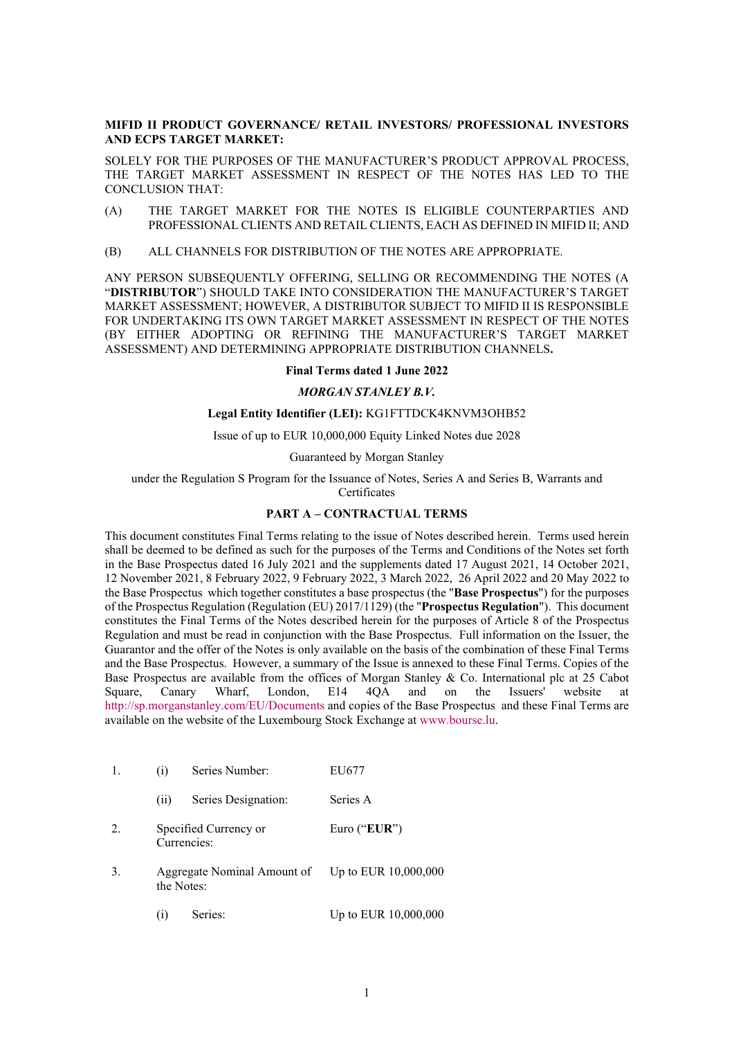# **MIFID II PRODUCT GOVERNANCE/ RETAIL INVESTORS/ PROFESSIONAL INVESTORS AND ECPS TARGET MARKET:**

SOLELY FOR THE PURPOSES OF THE MANUFACTURER'S PRODUCT APPROVAL PROCESS, THE TARGET MARKET ASSESSMENT IN RESPECT OF THE NOTES HAS LED TO THE CONCLUSION THAT:

- (A) THE TARGET MARKET FOR THE NOTES IS ELIGIBLE COUNTERPARTIES AND PROFESSIONAL CLIENTS AND RETAIL CLIENTS, EACH AS DEFINED IN MIFID II; AND
- (B) ALL CHANNELS FOR DISTRIBUTION OF THE NOTES ARE APPROPRIATE.

ANY PERSON SUBSEQUENTLY OFFERING, SELLING OR RECOMMENDING THE NOTES (A "**DISTRIBUTOR**") SHOULD TAKE INTO CONSIDERATION THE MANUFACTURER'S TARGET MARKET ASSESSMENT; HOWEVER, A DISTRIBUTOR SUBJECT TO MIFID II IS RESPONSIBLE FOR UNDERTAKING ITS OWN TARGET MARKET ASSESSMENT IN RESPECT OF THE NOTES (BY EITHER ADOPTING OR REFINING THE MANUFACTURER'S TARGET MARKET ASSESSMENT) AND DETERMINING APPROPRIATE DISTRIBUTION CHANNELS**.**

### **Final Terms dated 1 June 2022**

## *MORGAN STANLEY B.V.*

## **Legal Entity Identifier (LEI):** KG1FTTDCK4KNVM3OHB52

Issue of up to EUR 10,000,000 Equity Linked Notes due 2028

### Guaranteed by Morgan Stanley

under the Regulation S Program for the Issuance of Notes, Series A and Series B, Warrants and **Certificates** 

# **PART A – CONTRACTUAL TERMS**

This document constitutes Final Terms relating to the issue of Notes described herein. Terms used herein shall be deemed to be defined as such for the purposes of the Terms and Conditions of the Notes set forth in the Base Prospectus dated 16 July 2021 and the supplements dated 17 August 2021, 14 October 2021, 12 November 2021, 8 February 2022, 9 February 2022, 3 March 2022, 26 April 2022 and 20 May 2022 to the Base Prospectus which together constitutes a base prospectus (the "**Base Prospectus**") for the purposes of the Prospectus Regulation (Regulation (EU) 2017/1129) (the "**Prospectus Regulation**"). This document constitutes the Final Terms of the Notes described herein for the purposes of Article 8 of the Prospectus Regulation and must be read in conjunction with the Base Prospectus. Full information on the Issuer, the Guarantor and the offer of the Notes is only available on the basis of the combination of these Final Terms and the Base Prospectus. However, a summary of the Issue is annexed to these Final Terms. Copies of the Base Prospectus are available from the offices of Morgan Stanley & Co. International plc at 25 Cabot Square, Canary Wharf, London, E14 4QA and on the Issuers' website at <http://sp.morganstanley.com/EU/Documents> and copies of the Base Prospectus and these Final Terms are available on the website of the Luxembourg Stock Exchange a[t www.bourse.lu.](http://www.bourse.lu/)

| 1. | Series Number:<br>(i)                | EU677                                            |
|----|--------------------------------------|--------------------------------------------------|
|    | Series Designation:<br>(i)           | Series A                                         |
| 2. | Specified Currency or<br>Currencies: | Euro (" $EUR$ ")                                 |
| 3. | the Notes:                           | Aggregate Nominal Amount of Up to EUR 10,000,000 |
|    | Series:<br>(1)                       | Up to EUR 10,000,000                             |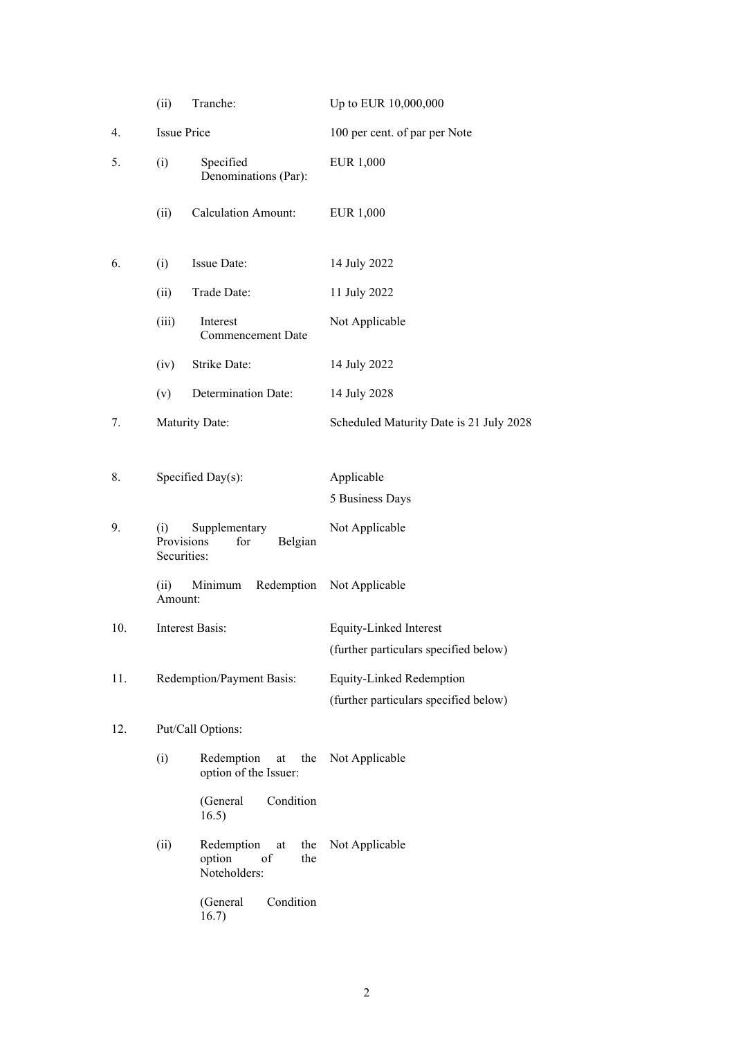|     | Tranche:<br>(ii)                                                    |                                                                | Up to EUR 10,000,000                                              |  |
|-----|---------------------------------------------------------------------|----------------------------------------------------------------|-------------------------------------------------------------------|--|
| 4.  | <b>Issue Price</b>                                                  |                                                                | 100 per cent. of par per Note                                     |  |
| 5.  | (i)<br>Specified<br>Denominations (Par):                            |                                                                | EUR 1,000                                                         |  |
|     | (ii)                                                                | <b>Calculation Amount:</b>                                     | <b>EUR 1,000</b>                                                  |  |
| 6.  | (i)                                                                 | Issue Date:                                                    | 14 July 2022                                                      |  |
|     | (ii)                                                                | Trade Date:                                                    | 11 July 2022                                                      |  |
|     | (iii)                                                               | Interest<br><b>Commencement Date</b>                           | Not Applicable                                                    |  |
|     | (iv)                                                                | Strike Date:                                                   | 14 July 2022                                                      |  |
|     | (v)                                                                 | Determination Date:                                            | 14 July 2028                                                      |  |
| 7.  |                                                                     | Maturity Date:                                                 | Scheduled Maturity Date is 21 July 2028                           |  |
| 8.  |                                                                     | Specified Day(s):                                              | Applicable<br>5 Business Days                                     |  |
| 9.  | Supplementary<br>(i)<br>Provisions<br>Belgian<br>for<br>Securities: |                                                                | Not Applicable                                                    |  |
|     | (ii)<br>Amount:                                                     | Minimum                                                        | Redemption Not Applicable                                         |  |
| 10. |                                                                     | Interest Basis:                                                | Equity-Linked Interest                                            |  |
|     |                                                                     |                                                                | (further particulars specified below)                             |  |
| 11. |                                                                     | Redemption/Payment Basis:                                      | Equity-Linked Redemption<br>(further particulars specified below) |  |
| 12. |                                                                     | Put/Call Options:                                              |                                                                   |  |
|     | (i)                                                                 | Redemption<br>the<br>at<br>option of the Issuer:               | Not Applicable                                                    |  |
|     |                                                                     | Condition<br>(General<br>16.5)                                 |                                                                   |  |
|     | (ii)                                                                | Redemption<br>the<br>at<br>option<br>of<br>the<br>Noteholders: | Not Applicable                                                    |  |
|     |                                                                     | Condition<br>(General<br>16.7)                                 |                                                                   |  |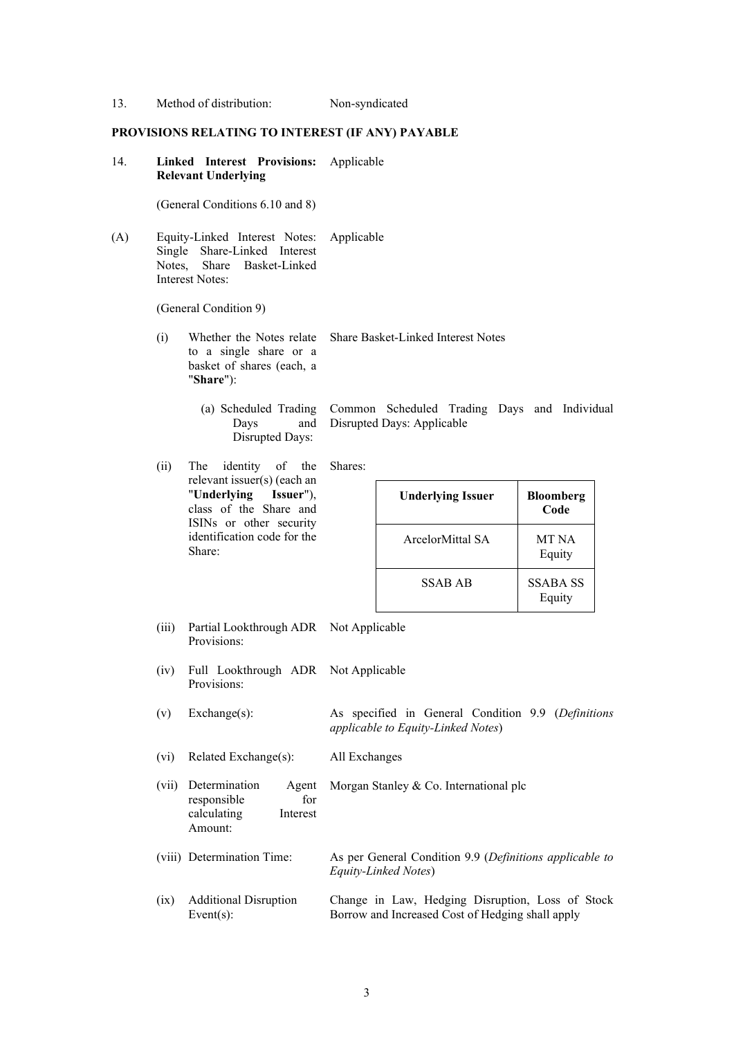| 13. | Method of distribution:                                                                                                        |                                                                                                                                                                                       | Non-syndicated |                                                                                                      |                           |
|-----|--------------------------------------------------------------------------------------------------------------------------------|---------------------------------------------------------------------------------------------------------------------------------------------------------------------------------------|----------------|------------------------------------------------------------------------------------------------------|---------------------------|
|     |                                                                                                                                | PROVISIONS RELATING TO INTEREST (IF ANY) PAYABLE                                                                                                                                      |                |                                                                                                      |                           |
| 14. | Linked Interest Provisions:<br><b>Relevant Underlying</b>                                                                      |                                                                                                                                                                                       | Applicable     |                                                                                                      |                           |
|     |                                                                                                                                | (General Conditions 6.10 and 8)                                                                                                                                                       |                |                                                                                                      |                           |
| (A) | Equity-Linked Interest Notes:<br>Share-Linked Interest<br>Single<br>Basket-Linked<br>Notes,<br>Share<br><b>Interest Notes:</b> |                                                                                                                                                                                       | Applicable     |                                                                                                      |                           |
|     |                                                                                                                                | (General Condition 9)                                                                                                                                                                 |                |                                                                                                      |                           |
|     | (i)                                                                                                                            | Whether the Notes relate<br>to a single share or a<br>basket of shares (each, a<br>"Share"):                                                                                          |                | Share Basket-Linked Interest Notes                                                                   |                           |
|     | (a) Scheduled Trading<br>Days<br>and<br><b>Disrupted Days:</b>                                                                 |                                                                                                                                                                                       |                | Common Scheduled Trading Days and Individual<br>Disrupted Days: Applicable                           |                           |
|     | (ii)                                                                                                                           | identity<br>of<br>The<br>the<br>relevant issuer(s) (each an<br>Issuer"),<br>"Underlying<br>class of the Share and<br>ISINs or other security<br>identification code for the<br>Share: | Shares:        |                                                                                                      |                           |
|     |                                                                                                                                |                                                                                                                                                                                       |                | <b>Underlying Issuer</b>                                                                             | <b>Bloomberg</b><br>Code  |
|     |                                                                                                                                |                                                                                                                                                                                       |                | ArcelorMittal SA                                                                                     | MT NA<br>Equity           |
|     |                                                                                                                                |                                                                                                                                                                                       |                | <b>SSAB AB</b>                                                                                       | <b>SSABA SS</b><br>Equity |
|     | (iii)                                                                                                                          | Partial Lookthrough ADR Not Applicable<br>Provisions:                                                                                                                                 |                |                                                                                                      |                           |
|     | (iv)                                                                                                                           | Full Lookthrough ADR Not Applicable<br>Provisions:                                                                                                                                    |                |                                                                                                      |                           |
|     | (v)                                                                                                                            | $Exchange(s)$ :                                                                                                                                                                       |                | As specified in General Condition 9.9 (Definitions<br>applicable to Equity-Linked Notes)             |                           |
|     | (vi)                                                                                                                           | Related Exchange(s):                                                                                                                                                                  | All Exchanges  |                                                                                                      |                           |
|     | (vii)                                                                                                                          | Determination<br>Agent<br>responsible<br>for<br>calculating<br>Interest<br>Amount:                                                                                                    |                | Morgan Stanley & Co. International plc                                                               |                           |
|     |                                                                                                                                | (viii) Determination Time:                                                                                                                                                            |                | As per General Condition 9.9 (Definitions applicable to<br>Equity-Linked Notes)                      |                           |
|     | (ix)                                                                                                                           | <b>Additional Disruption</b><br>Event $(s)$ :                                                                                                                                         |                | Change in Law, Hedging Disruption, Loss of Stock<br>Borrow and Increased Cost of Hedging shall apply |                           |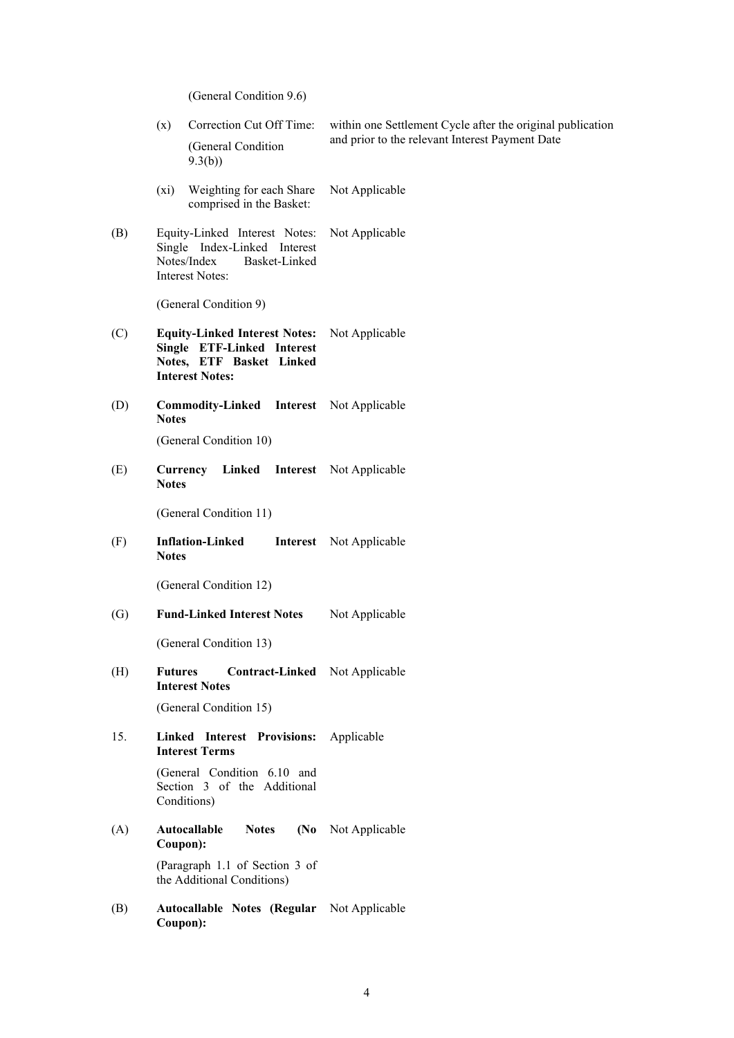(General Condition 9.6)

|     | Correction Cut Off Time:<br>(x)                                                                                          | within one Settlement Cycle after the original publication |  |
|-----|--------------------------------------------------------------------------------------------------------------------------|------------------------------------------------------------|--|
|     | (General Condition<br>9.3(b)                                                                                             | and prior to the relevant Interest Payment Date            |  |
|     | Weighting for each Share<br>$(x_i)$<br>comprised in the Basket:                                                          | Not Applicable                                             |  |
| (B) | Equity-Linked Interest Notes:<br>Single Index-Linked Interest<br>Notes/Index<br>Basket-Linked<br><b>Interest Notes:</b>  | Not Applicable                                             |  |
|     | (General Condition 9)                                                                                                    |                                                            |  |
| (C) | <b>Equity-Linked Interest Notes:</b><br>Single ETF-Linked Interest<br>Notes, ETF Basket Linked<br><b>Interest Notes:</b> | Not Applicable                                             |  |
| (D) | <b>Commodity-Linked Interest</b> Not Applicable<br><b>Notes</b>                                                          |                                                            |  |
|     | (General Condition 10)                                                                                                   |                                                            |  |
| (E) | Linked Interest Not Applicable<br>Currency<br><b>Notes</b>                                                               |                                                            |  |
|     | (General Condition 11)                                                                                                   |                                                            |  |
| (F) | <b>Inflation-Linked</b><br><b>Notes</b>                                                                                  | <b>Interest</b> Not Applicable                             |  |
|     | (General Condition 12)                                                                                                   |                                                            |  |
| (G) | <b>Fund-Linked Interest Notes</b>                                                                                        | Not Applicable                                             |  |
|     | (General Condition 13)                                                                                                   |                                                            |  |
| (H) | Contract-Linked Not Applicable<br><b>Futures</b><br><b>Interest Notes</b>                                                |                                                            |  |
|     | (General Condition 15)                                                                                                   |                                                            |  |
| 15. | Linked Interest Provisions:<br><b>Interest Terms</b>                                                                     | Applicable                                                 |  |
|     | (General Condition 6.10 and<br>Section 3 of the Additional<br>Conditions)                                                |                                                            |  |
| (A) | Autocallable<br>(No)<br><b>Notes</b><br>Coupon):                                                                         | Not Applicable                                             |  |
|     | (Paragraph 1.1 of Section 3 of<br>the Additional Conditions)                                                             |                                                            |  |
| (B) | Autocallable Notes (Regular Not Applicable<br>Coupon):                                                                   |                                                            |  |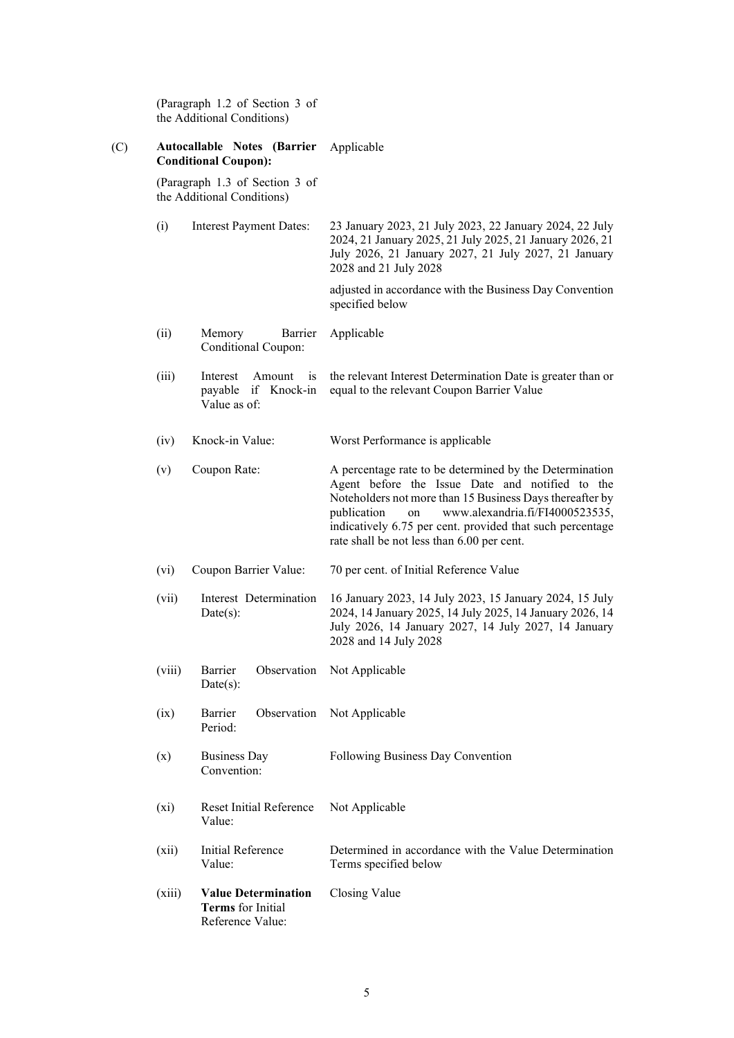|     |         | (Paragraph 1.2 of Section 3 of<br>the Additional Conditions)        |                                                                                                                                                                                                                                                                                                                                           |  |
|-----|---------|---------------------------------------------------------------------|-------------------------------------------------------------------------------------------------------------------------------------------------------------------------------------------------------------------------------------------------------------------------------------------------------------------------------------------|--|
| (C) |         | Autocallable Notes (Barrier<br><b>Conditional Coupon):</b>          | Applicable                                                                                                                                                                                                                                                                                                                                |  |
|     |         | (Paragraph 1.3 of Section 3 of<br>the Additional Conditions)        |                                                                                                                                                                                                                                                                                                                                           |  |
|     | (i)     | <b>Interest Payment Dates:</b>                                      | 23 January 2023, 21 July 2023, 22 January 2024, 22 July<br>2024, 21 January 2025, 21 July 2025, 21 January 2026, 21<br>July 2026, 21 January 2027, 21 July 2027, 21 January<br>2028 and 21 July 2028                                                                                                                                      |  |
|     |         |                                                                     | adjusted in accordance with the Business Day Convention<br>specified below                                                                                                                                                                                                                                                                |  |
|     | (ii)    | Barrier<br>Memory<br>Conditional Coupon:                            | Applicable                                                                                                                                                                                                                                                                                                                                |  |
|     | (iii)   | Interest<br>Amount<br>1S<br>payable if Knock-in<br>Value as of:     | the relevant Interest Determination Date is greater than or<br>equal to the relevant Coupon Barrier Value                                                                                                                                                                                                                                 |  |
|     | (iv)    | Knock-in Value:                                                     | Worst Performance is applicable                                                                                                                                                                                                                                                                                                           |  |
|     | (v)     | Coupon Rate:                                                        | A percentage rate to be determined by the Determination<br>Agent before the Issue Date and notified to the<br>Noteholders not more than 15 Business Days thereafter by<br>www.alexandria.fi/FI4000523535,<br>publication<br>on<br>indicatively 6.75 per cent. provided that such percentage<br>rate shall be not less than 6.00 per cent. |  |
|     | (vi)    | Coupon Barrier Value:                                               | 70 per cent. of Initial Reference Value                                                                                                                                                                                                                                                                                                   |  |
|     | (vii)   | Interest Determination<br>Date(s):                                  | 16 January 2023, 14 July 2023, 15 January 2024, 15 July<br>2024, 14 January 2025, 14 July 2025, 14 January 2026, 14<br>July 2026, 14 January 2027, 14 July 2027, 14 January<br>2028 and 14 July 2028                                                                                                                                      |  |
|     | (viii)  | Barrier<br>Date(s):                                                 | Observation Not Applicable                                                                                                                                                                                                                                                                                                                |  |
|     | (ix)    | Barrier<br>Observation<br>Period:                                   | Not Applicable                                                                                                                                                                                                                                                                                                                            |  |
|     | (x)     | <b>Business Day</b><br>Convention:                                  | Following Business Day Convention                                                                                                                                                                                                                                                                                                         |  |
|     | $(x_i)$ | <b>Reset Initial Reference</b><br>Value:                            | Not Applicable                                                                                                                                                                                                                                                                                                                            |  |
|     | (xii)   | Initial Reference<br>Value:                                         | Determined in accordance with the Value Determination<br>Terms specified below                                                                                                                                                                                                                                                            |  |
|     | (xiii)  | <b>Value Determination</b><br>Terms for Initial<br>Reference Value: | Closing Value                                                                                                                                                                                                                                                                                                                             |  |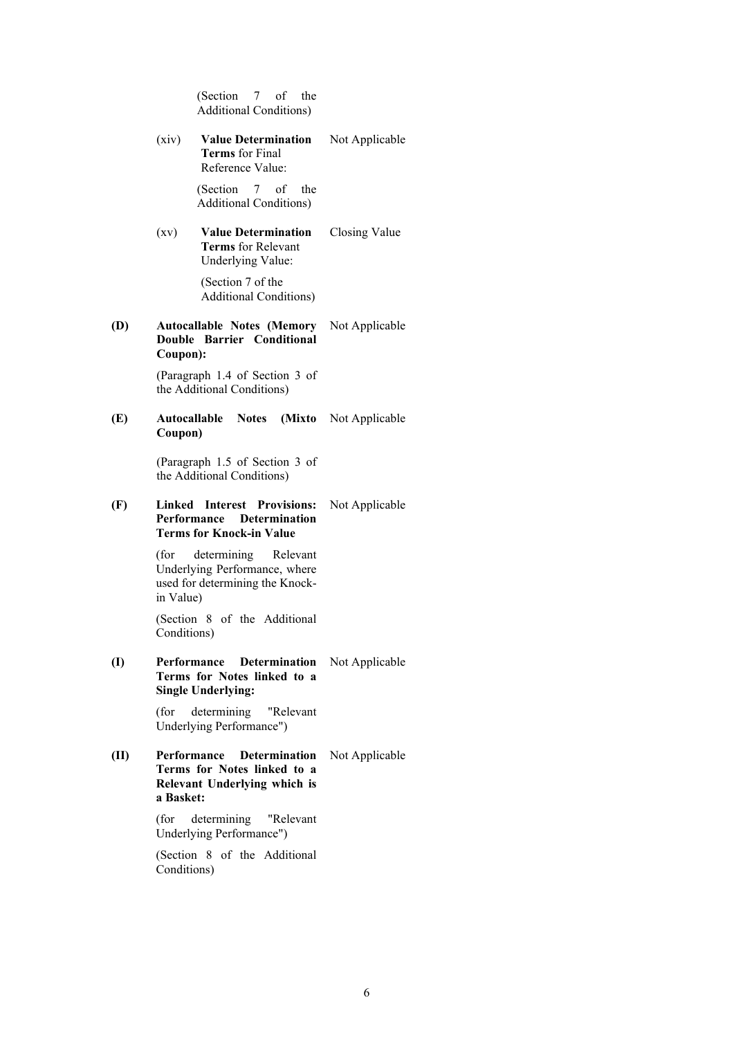(Section 7 of the Additional Conditions)

(xiv) **Value Determination Terms** for Final Reference Value: Not Applicable

> (Section 7 of the Additional Conditions)

(xv) **Value Determination Terms** for Relevant Underlying Value: Closing Value

> (Section 7 of the Additional Conditions)

#### **(D) Autocallable Notes (Memory Double Barrier Conditional Coupon):** Not Applicable

(Paragraph 1.4 of Section 3 of the Additional Conditions)

## **(E) Autocallable Notes (Mixto**  Not Applicable **Coupon)**

(Paragraph 1.5 of Section 3 of the Additional Conditions)

## **(F) Linked Interest Provisions:**  Not Applicable **Performance Determination Terms for Knock-in Value**

(for determining Relevant Underlying Performance, where used for determining the Knockin Value)

(Section 8 of the Additional Conditions)

## **(I) Performance Determination**  Not Applicable **Terms for Notes linked to a Single Underlying:**

(for determining "Relevant Underlying Performance")

# **(II) Performance Determination**  Not Applicable **Terms for Notes linked to a Relevant Underlying which is a Basket:**

(for determining "Relevant Underlying Performance")

(Section 8 of the Additional Conditions)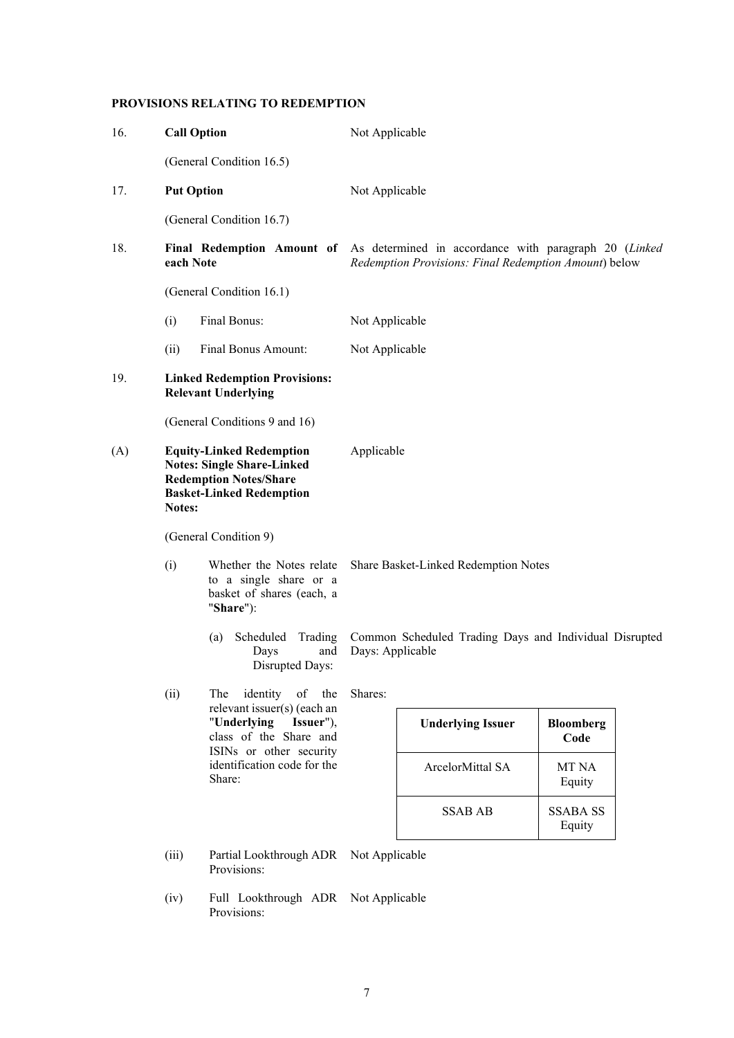# **PROVISIONS RELATING TO REDEMPTION**

| 16. | <b>Call Option</b> |                                                                                                                                                    | Not Applicable                                                             |                                                       |                           |  |
|-----|--------------------|----------------------------------------------------------------------------------------------------------------------------------------------------|----------------------------------------------------------------------------|-------------------------------------------------------|---------------------------|--|
|     |                    | (General Condition 16.5)                                                                                                                           |                                                                            |                                                       |                           |  |
| 17. | <b>Put Option</b>  |                                                                                                                                                    | Not Applicable                                                             |                                                       |                           |  |
|     |                    | (General Condition 16.7)                                                                                                                           |                                                                            |                                                       |                           |  |
| 18. | each Note          | Final Redemption Amount of As determined in accordance with paragraph 20 (Linked                                                                   |                                                                            | Redemption Provisions: Final Redemption Amount) below |                           |  |
|     |                    | (General Condition 16.1)                                                                                                                           |                                                                            |                                                       |                           |  |
|     | (i)                | Final Bonus:                                                                                                                                       | Not Applicable                                                             |                                                       |                           |  |
|     | (ii)               | Final Bonus Amount:                                                                                                                                | Not Applicable                                                             |                                                       |                           |  |
| 19. |                    | <b>Linked Redemption Provisions:</b><br><b>Relevant Underlying</b>                                                                                 |                                                                            |                                                       |                           |  |
|     |                    | (General Conditions 9 and 16)                                                                                                                      |                                                                            |                                                       |                           |  |
| (A) |                    | <b>Equity-Linked Redemption</b><br><b>Notes: Single Share-Linked</b><br><b>Redemption Notes/Share</b><br><b>Basket-Linked Redemption</b><br>Notes: |                                                                            | Applicable                                            |                           |  |
|     |                    | (General Condition 9)                                                                                                                              |                                                                            | Share Basket-Linked Redemption Notes                  |                           |  |
|     | (i)                | Whether the Notes relate<br>to a single share or a<br>basket of shares (each, a<br>"Share"):                                                       |                                                                            |                                                       |                           |  |
|     |                    | Scheduled<br>Trading<br>(a)<br>Days<br>and<br><b>Disrupted Days:</b>                                                                               | Common Scheduled Trading Days and Individual Disrupted<br>Days: Applicable |                                                       |                           |  |
|     | (ii)               | identity<br>of<br>the<br>The<br>relevant issuer(s) (each an                                                                                        | Shares:                                                                    |                                                       |                           |  |
|     |                    | "Underlying<br>Issuer"),<br>class of the Share and<br>ISINs or other security<br>identification code for the<br>Share:                             |                                                                            | <b>Underlying Issuer</b>                              | <b>Bloomberg</b><br>Code  |  |
|     |                    |                                                                                                                                                    |                                                                            | ArcelorMittal SA                                      | MT NA<br>Equity           |  |
|     |                    |                                                                                                                                                    |                                                                            | <b>SSAB AB</b>                                        | <b>SSABA SS</b><br>Equity |  |
|     | (iii)              | Partial Lookthrough ADR<br>Provisions:                                                                                                             | Not Applicable                                                             |                                                       |                           |  |
|     | (iv)               | Full Lookthrough ADR Not Applicable<br>Provisions:                                                                                                 |                                                                            |                                                       |                           |  |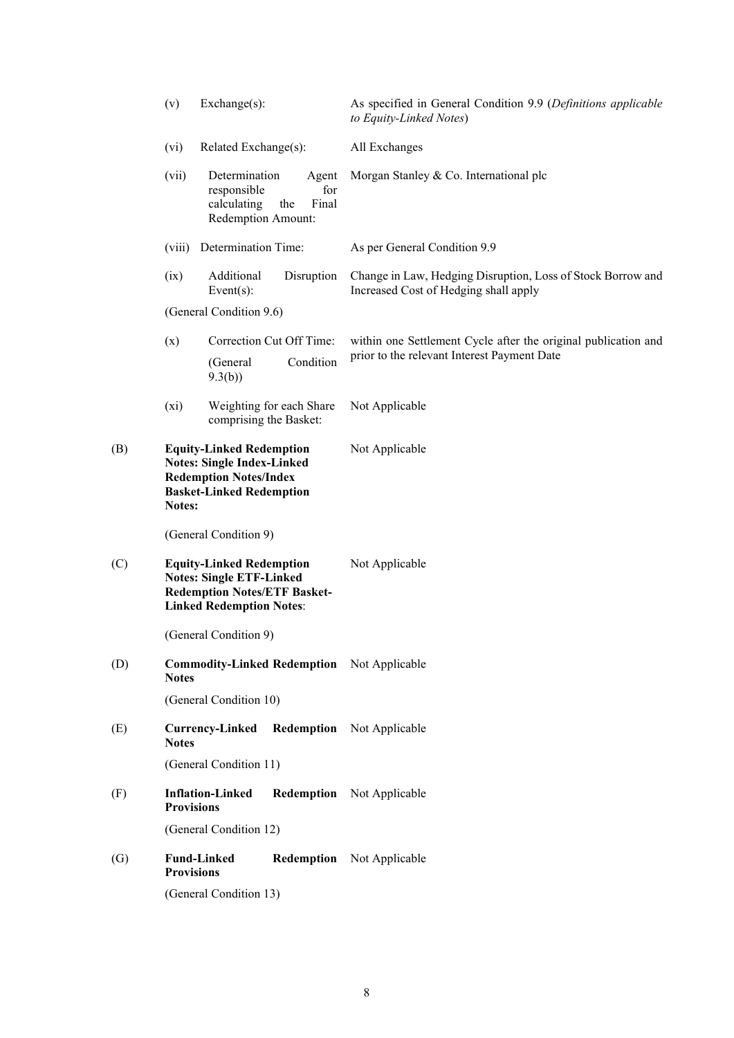|                   | (v)                                                                                                                                                | Exchange(s):                                                                                                                                 |                                                    | As specified in General Condition 9.9 (Definitions applicable<br>to Equity-Linked Notes)             |
|-------------------|----------------------------------------------------------------------------------------------------------------------------------------------------|----------------------------------------------------------------------------------------------------------------------------------------------|----------------------------------------------------|------------------------------------------------------------------------------------------------------|
|                   | (vi)                                                                                                                                               | Related Exchange(s):                                                                                                                         |                                                    | All Exchanges                                                                                        |
|                   | (vii)                                                                                                                                              | Determination<br>responsible<br>calculating<br>Redemption Amount:                                                                            | Agent<br>for<br>the<br>Final                       | Morgan Stanley & Co. International plc                                                               |
|                   | (viii)                                                                                                                                             | Determination Time:                                                                                                                          |                                                    | As per General Condition 9.9                                                                         |
|                   | (ix)                                                                                                                                               | Additional<br>Event $(s)$ :                                                                                                                  | Disruption                                         | Change in Law, Hedging Disruption, Loss of Stock Borrow and<br>Increased Cost of Hedging shall apply |
|                   |                                                                                                                                                    | (General Condition 9.6)                                                                                                                      |                                                    |                                                                                                      |
|                   | (x)                                                                                                                                                |                                                                                                                                              | Correction Cut Off Time:                           | within one Settlement Cycle after the original publication and                                       |
|                   |                                                                                                                                                    | (General<br>9.3(b)                                                                                                                           | Condition                                          | prior to the relevant Interest Payment Date                                                          |
|                   | $(x_i)$                                                                                                                                            |                                                                                                                                              | Weighting for each Share<br>comprising the Basket: | Not Applicable                                                                                       |
| (B)               | <b>Equity-Linked Redemption</b><br><b>Notes: Single Index-Linked</b><br><b>Redemption Notes/Index</b><br><b>Basket-Linked Redemption</b><br>Notes: |                                                                                                                                              |                                                    | Not Applicable                                                                                       |
|                   |                                                                                                                                                    | (General Condition 9)                                                                                                                        |                                                    |                                                                                                      |
| (C)               |                                                                                                                                                    | <b>Equity-Linked Redemption</b><br><b>Notes: Single ETF-Linked</b><br><b>Redemption Notes/ETF Basket-</b><br><b>Linked Redemption Notes:</b> |                                                    | Not Applicable                                                                                       |
|                   |                                                                                                                                                    | (General Condition 9)                                                                                                                        |                                                    |                                                                                                      |
| (D)               | <b>Notes</b>                                                                                                                                       |                                                                                                                                              |                                                    | <b>Commodity-Linked Redemption</b> Not Applicable                                                    |
|                   |                                                                                                                                                    | (General Condition 10)                                                                                                                       |                                                    |                                                                                                      |
| (E)               | <b>Notes</b>                                                                                                                                       | <b>Currency-Linked</b>                                                                                                                       |                                                    | <b>Redemption</b> Not Applicable                                                                     |
|                   |                                                                                                                                                    | (General Condition 11)                                                                                                                       |                                                    |                                                                                                      |
| (F)               | <b>Provisions</b>                                                                                                                                  | <b>Inflation-Linked</b>                                                                                                                      |                                                    | <b>Redemption</b> Not Applicable                                                                     |
|                   |                                                                                                                                                    | (General Condition 12)                                                                                                                       |                                                    |                                                                                                      |
| $\left( G\right)$ | <b>Provisions</b>                                                                                                                                  | <b>Fund-Linked</b>                                                                                                                           |                                                    | <b>Redemption</b> Not Applicable                                                                     |
|                   |                                                                                                                                                    | (General Condition 13)                                                                                                                       |                                                    |                                                                                                      |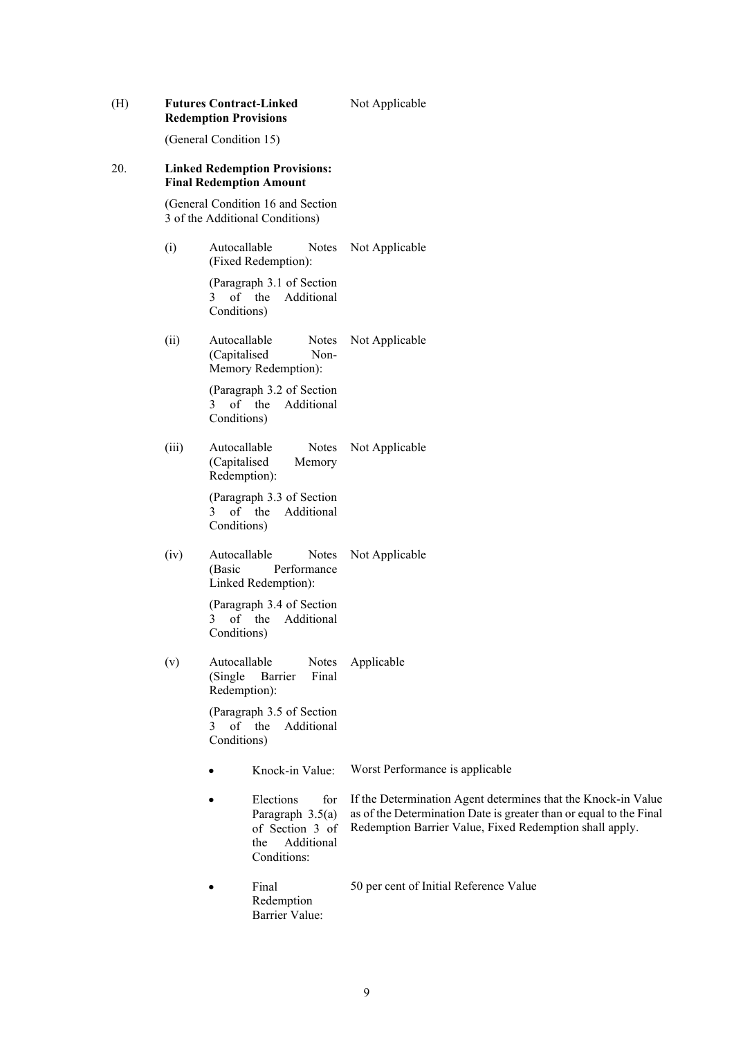| (H) |       | <b>Futures Contract-Linked</b><br><b>Redemption Provisions</b>                              | Not Applicable                                                                                                                                                                                 |  |  |  |
|-----|-------|---------------------------------------------------------------------------------------------|------------------------------------------------------------------------------------------------------------------------------------------------------------------------------------------------|--|--|--|
|     |       | (General Condition 15)                                                                      |                                                                                                                                                                                                |  |  |  |
| 20. |       | <b>Linked Redemption Provisions:</b><br><b>Final Redemption Amount</b>                      |                                                                                                                                                                                                |  |  |  |
|     |       | (General Condition 16 and Section<br>3 of the Additional Conditions)                        |                                                                                                                                                                                                |  |  |  |
|     | (i)   | Autocallable<br>Notes<br>(Fixed Redemption):                                                | Not Applicable                                                                                                                                                                                 |  |  |  |
|     |       | (Paragraph 3.1 of Section<br>of the<br>Additional<br>3<br>Conditions)                       |                                                                                                                                                                                                |  |  |  |
|     | (ii)  | Autocallable<br><b>Notes</b><br>(Capitalised<br>Non-<br>Memory Redemption):                 | Not Applicable                                                                                                                                                                                 |  |  |  |
|     |       | (Paragraph 3.2 of Section<br>of the<br>Additional<br>3<br>Conditions)                       |                                                                                                                                                                                                |  |  |  |
|     | (iii) | Autocallable<br>Notes<br>(Capitalised<br>Memory<br>Redemption):                             | Not Applicable                                                                                                                                                                                 |  |  |  |
|     |       | (Paragraph 3.3 of Section<br>of the<br>Additional<br>3<br>Conditions)                       |                                                                                                                                                                                                |  |  |  |
|     | (iv)  | Autocallable<br>Notes<br>Performance<br>(Basic<br>Linked Redemption):                       | Not Applicable                                                                                                                                                                                 |  |  |  |
|     |       | (Paragraph 3.4 of Section<br>of the<br>Additional<br>3<br>Conditions)                       |                                                                                                                                                                                                |  |  |  |
|     | (v)   | Autocallable<br>Notes<br>(Single)<br>Barrier<br>Final<br>Redemption):                       | Applicable                                                                                                                                                                                     |  |  |  |
|     |       | (Paragraph 3.5 of Section<br>Additional<br>of the<br>3<br>Conditions)                       |                                                                                                                                                                                                |  |  |  |
|     |       | Knock-in Value:                                                                             | Worst Performance is applicable                                                                                                                                                                |  |  |  |
|     |       | Elections<br>for<br>Paragraph 3.5(a)<br>of Section 3 of<br>Additional<br>the<br>Conditions: | If the Determination Agent determines that the Knock-in Value<br>as of the Determination Date is greater than or equal to the Final<br>Redemption Barrier Value, Fixed Redemption shall apply. |  |  |  |
|     |       | Final<br>Redemption<br>Barrier Value:                                                       | 50 per cent of Initial Reference Value                                                                                                                                                         |  |  |  |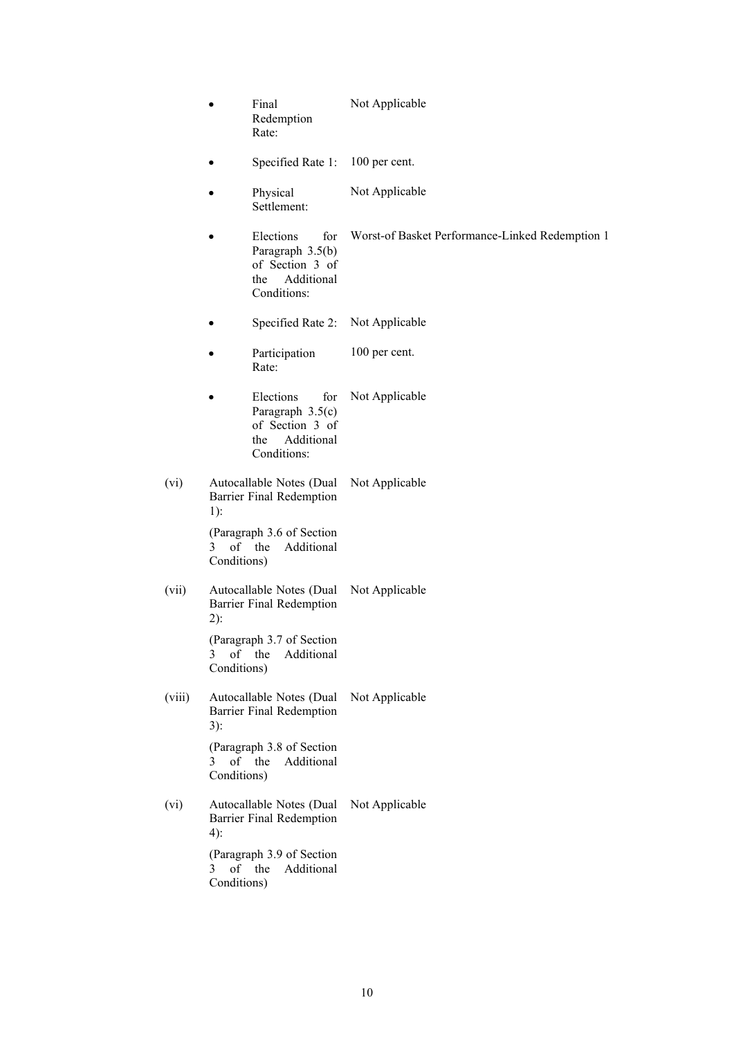|        | ٠                             | Final<br>Redemption<br>Rate:                                                                | Not Applicable                                  |
|--------|-------------------------------|---------------------------------------------------------------------------------------------|-------------------------------------------------|
|        |                               | Specified Rate 1:                                                                           | 100 per cent.                                   |
|        |                               | Physical<br>Settlement:                                                                     | Not Applicable                                  |
|        |                               | Elections<br>for<br>Paragraph 3.5(b)<br>of Section 3 of<br>Additional<br>the<br>Conditions: | Worst-of Basket Performance-Linked Redemption 1 |
|        |                               | Specified Rate 2:                                                                           | Not Applicable                                  |
|        |                               | Participation<br>Rate:                                                                      | 100 per cent.                                   |
|        |                               | Elections<br>for<br>Paragraph 3.5(c)<br>of Section 3 of<br>Additional<br>the<br>Conditions: | Not Applicable                                  |
| (vi)   | $1$ :                         | Autocallable Notes (Dual<br>Barrier Final Redemption                                        | Not Applicable                                  |
|        | 3 <sup>1</sup><br>Conditions) | (Paragraph 3.6 of Section<br>of the<br>Additional                                           |                                                 |
| (vii)  | $2)$ :                        | Autocallable Notes (Dual<br>Barrier Final Redemption                                        | Not Applicable                                  |
|        | 3<br>Conditions)              | (Paragraph 3.7 of Section<br>of the<br>Additional                                           |                                                 |
| (viii) | 3):                           | Autocallable Notes (Dual<br><b>Barrier Final Redemption</b>                                 | Not Applicable                                  |
|        | 3<br>Conditions)              | (Paragraph 3.8 of Section<br>of the<br>Additional                                           |                                                 |
| (vi)   | $4)$ :                        | Autocallable Notes (Dual<br><b>Barrier Final Redemption</b>                                 | Not Applicable                                  |
|        | 3<br>Conditions)              | (Paragraph 3.9 of Section<br>of the<br>Additional                                           |                                                 |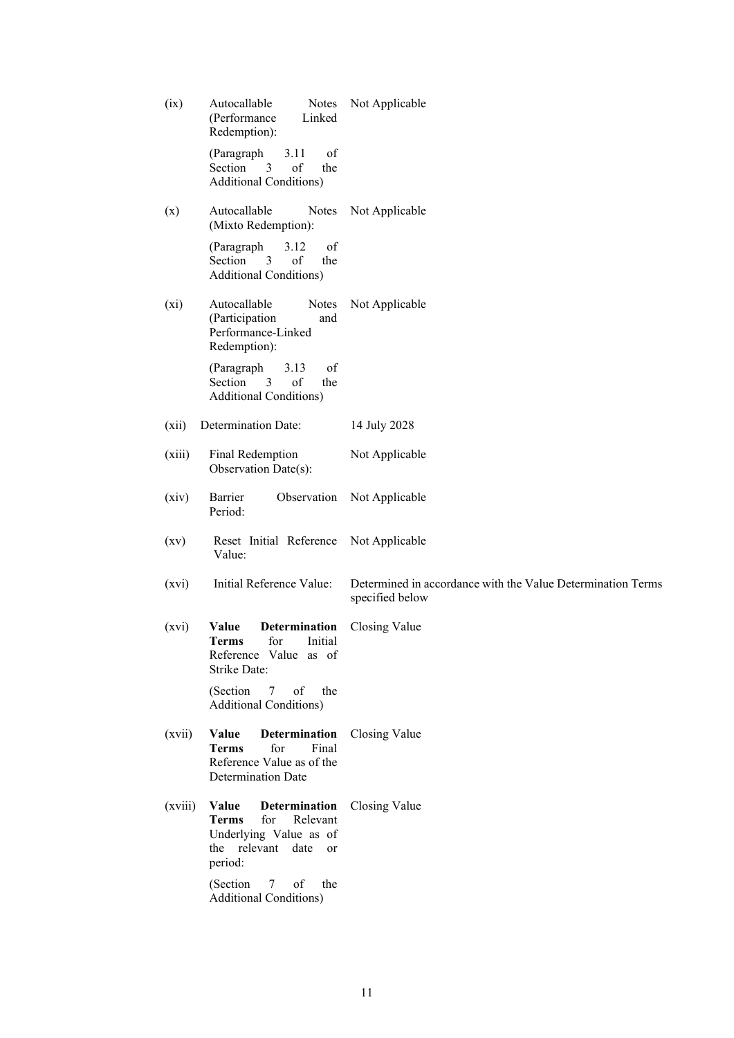| (ix)               | Autocallable<br>Notes<br>(Performance<br>Linked<br>Redemption):                                                           | Not Applicable                                                                 |
|--------------------|---------------------------------------------------------------------------------------------------------------------------|--------------------------------------------------------------------------------|
|                    | of<br>(Paragraph<br>3.11<br>3<br>of<br>Section<br>the<br><b>Additional Conditions)</b>                                    |                                                                                |
| (x)                | Autocallable<br>Notes<br>(Mixto Redemption):                                                                              | Not Applicable                                                                 |
|                    | of<br>(Paragraph<br>3.12<br>Section<br>3<br>of<br>the<br><b>Additional Conditions)</b>                                    |                                                                                |
| $(x_i)$            | Autocallable<br>Notes<br>(Participation<br>and<br>Performance-Linked<br>Redemption):                                      | Not Applicable                                                                 |
|                    | 3.13<br>of<br>(Paragraph<br>Section<br>3<br>of<br>the<br><b>Additional Conditions)</b>                                    |                                                                                |
| (xii)              | Determination Date:                                                                                                       | 14 July 2028                                                                   |
| (xiii)             | Final Redemption<br>Observation Date(s):                                                                                  | Not Applicable                                                                 |
| (xiv)              | Barrier<br>Observation<br>Period:                                                                                         | Not Applicable                                                                 |
| $\left( xy\right)$ | Reset Initial Reference<br>Value:                                                                                         | Not Applicable                                                                 |
| (xvi)              | Initial Reference Value:                                                                                                  | Determined in accordance with the Value Determination Terms<br>specified below |
| (xvi)              | <b>Determination</b><br>Value<br>for<br><b>Terms</b><br>Initial<br>Reference Value as of<br><b>Strike Date:</b>           | Closing Value                                                                  |
|                    | (Section<br>7<br>of<br>the<br><b>Additional Conditions)</b>                                                               |                                                                                |
| (xvii)             | Determination<br>Value<br>for<br>Final<br><b>Terms</b><br>Reference Value as of the<br><b>Determination Date</b>          | Closing Value                                                                  |
| (xviii)            | Determination<br>Value<br><b>Terms</b><br>for<br>Relevant<br>Underlying Value as of<br>the relevant date<br>or<br>period: | Closing Value                                                                  |
|                    | (Section<br>of<br>7<br>the<br><b>Additional Conditions)</b>                                                               |                                                                                |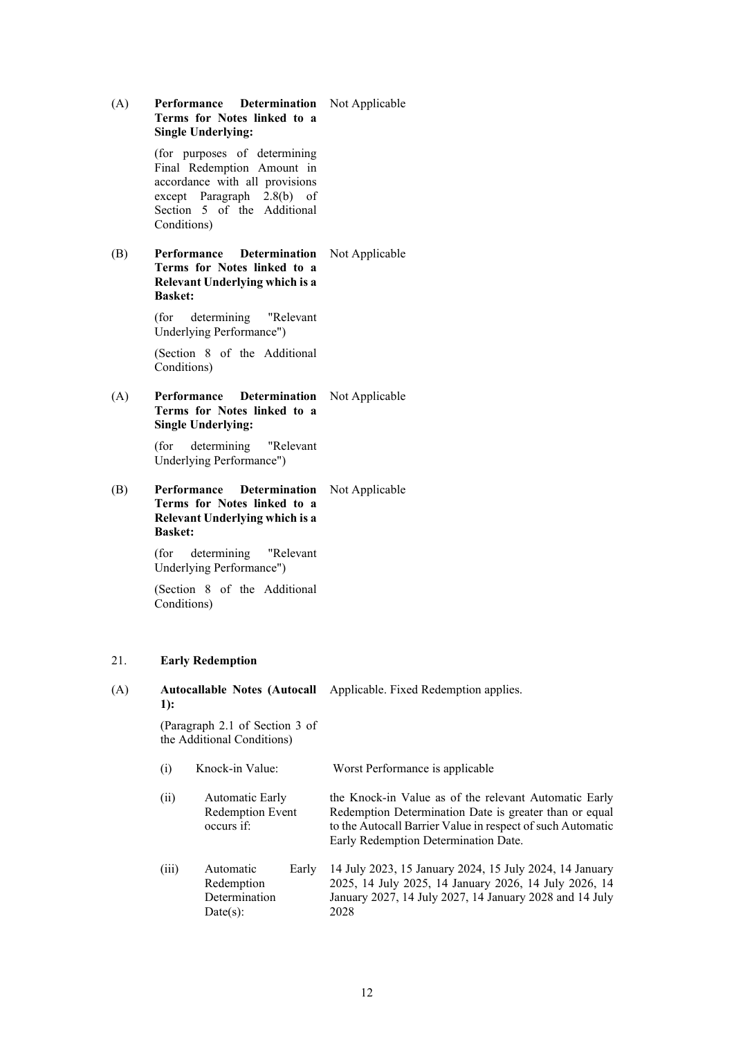| (A) | Performance Determination<br>Terms for Notes linked to a<br><b>Single Underlying:</b>                                                                                    | Not Applicable                                                                                                                                                                                                        |
|-----|--------------------------------------------------------------------------------------------------------------------------------------------------------------------------|-----------------------------------------------------------------------------------------------------------------------------------------------------------------------------------------------------------------------|
|     | (for purposes of determining<br>Final Redemption Amount in<br>accordance with all provisions<br>except Paragraph 2.8(b) of<br>Section 5 of the Additional<br>Conditions) |                                                                                                                                                                                                                       |
| (B) | Performance<br>Determination<br>Terms for Notes linked to a<br>Relevant Underlying which is a<br><b>Basket:</b>                                                          | Not Applicable                                                                                                                                                                                                        |
|     | (for<br>determining<br>"Relevant<br>Underlying Performance")                                                                                                             |                                                                                                                                                                                                                       |
|     | (Section 8 of the Additional<br>Conditions)                                                                                                                              |                                                                                                                                                                                                                       |
| (A) | Performance<br><b>Determination</b><br>Terms for Notes linked to a<br><b>Single Underlying:</b>                                                                          | Not Applicable                                                                                                                                                                                                        |
|     | determining<br>(for<br>"Relevant<br>Underlying Performance")                                                                                                             |                                                                                                                                                                                                                       |
| (B) | Performance<br><b>Determination</b><br>Terms for Notes linked to a<br>Relevant Underlying which is a<br><b>Basket:</b>                                                   | Not Applicable                                                                                                                                                                                                        |
|     | (for<br>determining<br>"Relevant<br>Underlying Performance")                                                                                                             |                                                                                                                                                                                                                       |
|     | (Section 8 of the Additional<br>Conditions)                                                                                                                              |                                                                                                                                                                                                                       |
| 21. | <b>Early Redemption</b>                                                                                                                                                  |                                                                                                                                                                                                                       |
| (A) | <b>Autocallable Notes (Autocall</b><br>1):                                                                                                                               | Applicable. Fixed Redemption applies.                                                                                                                                                                                 |
|     | (Paragraph 2.1 of Section 3 of<br>the Additional Conditions)                                                                                                             |                                                                                                                                                                                                                       |
|     | Knock-in Value:<br>(i)                                                                                                                                                   | Worst Performance is applicable                                                                                                                                                                                       |
|     | Automatic Early<br>(ii)<br>Redemption Event<br>occurs if:                                                                                                                | the Knock-in Value as of the relevant Automatic Early<br>Redemption Determination Date is greater than or equal<br>to the Autocall Barrier Value in respect of such Automatic<br>Early Redemption Determination Date. |
|     | Automatic<br>(iii)<br>Early<br>Redemption<br>Determination<br>Date(s):                                                                                                   | 14 July 2023, 15 January 2024, 15 July 2024, 14 January<br>2025, 14 July 2025, 14 January 2026, 14 July 2026, 14<br>January 2027, 14 July 2027, 14 January 2028 and 14 July<br>2028                                   |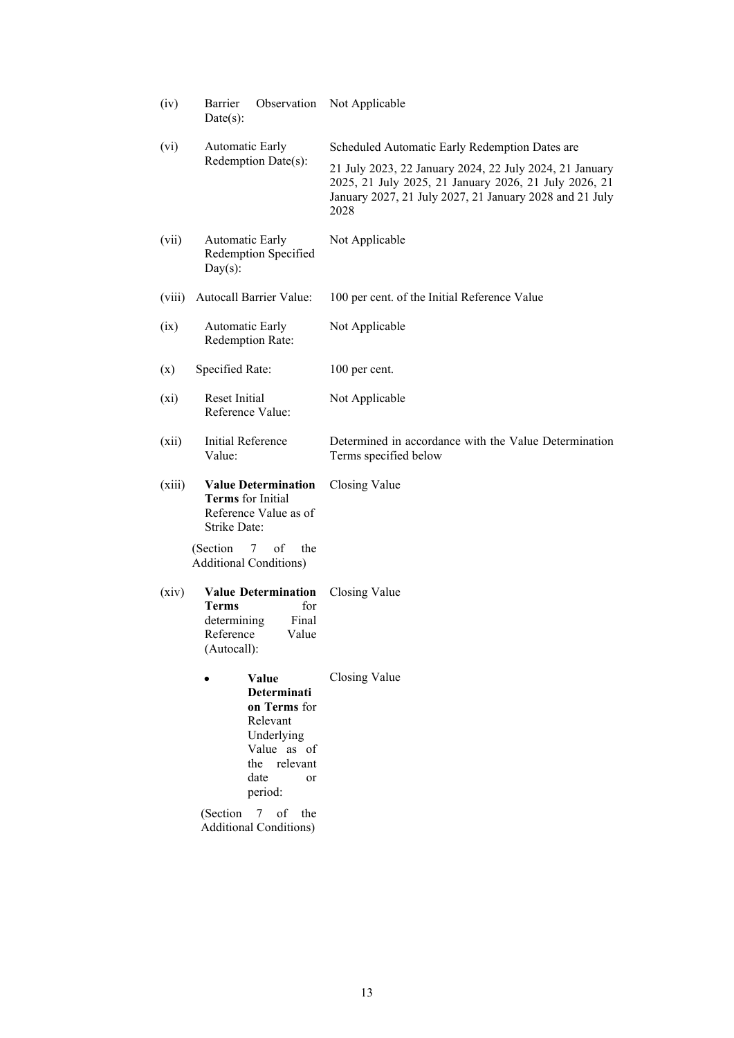| (iv)    | Barrier<br>Observation<br>$Date(s)$ :                                                                                                                 | Not Applicable                                                                                                                                                                                                                |
|---------|-------------------------------------------------------------------------------------------------------------------------------------------------------|-------------------------------------------------------------------------------------------------------------------------------------------------------------------------------------------------------------------------------|
| (vi)    | <b>Automatic Early</b><br>Redemption Date(s):                                                                                                         | Scheduled Automatic Early Redemption Dates are<br>21 July 2023, 22 January 2024, 22 July 2024, 21 January<br>2025, 21 July 2025, 21 January 2026, 21 July 2026, 21<br>January 2027, 21 July 2027, 21 January 2028 and 21 July |
| (vii)   | Automatic Early<br>Redemption Specified<br>$Day(s)$ :                                                                                                 | 2028<br>Not Applicable                                                                                                                                                                                                        |
| (viii)  | Autocall Barrier Value:                                                                                                                               | 100 per cent. of the Initial Reference Value                                                                                                                                                                                  |
| (ix)    | Automatic Early<br>Redemption Rate:                                                                                                                   | Not Applicable                                                                                                                                                                                                                |
| (x)     | Specified Rate:                                                                                                                                       | 100 per cent.                                                                                                                                                                                                                 |
| $(x_i)$ | Reset Initial<br>Reference Value:                                                                                                                     | Not Applicable                                                                                                                                                                                                                |
| (xii)   | <b>Initial Reference</b><br>Value:                                                                                                                    | Determined in accordance with the Value Determination<br>Terms specified below                                                                                                                                                |
| (xiii)  | <b>Value Determination</b><br><b>Terms</b> for Initial<br>Reference Value as of<br><b>Strike Date:</b>                                                | Closing Value                                                                                                                                                                                                                 |
|         | (Section)<br>the<br>$7\degree$<br>of<br><b>Additional Conditions)</b>                                                                                 |                                                                                                                                                                                                                               |
| (xiv)   | <b>Value Determination</b><br>for<br><b>Terms</b><br>Final<br>determining<br>Reference<br>Value<br>(Autocall):                                        | Closing Value                                                                                                                                                                                                                 |
|         | Value<br><b>Determinati</b><br>on Terms for<br>Relevant<br>Underlying<br>Value as of<br>the<br>relevant<br>date<br>or<br>period:<br>(Section 7 of the | Closing Value                                                                                                                                                                                                                 |
|         | <b>Additional Conditions)</b>                                                                                                                         |                                                                                                                                                                                                                               |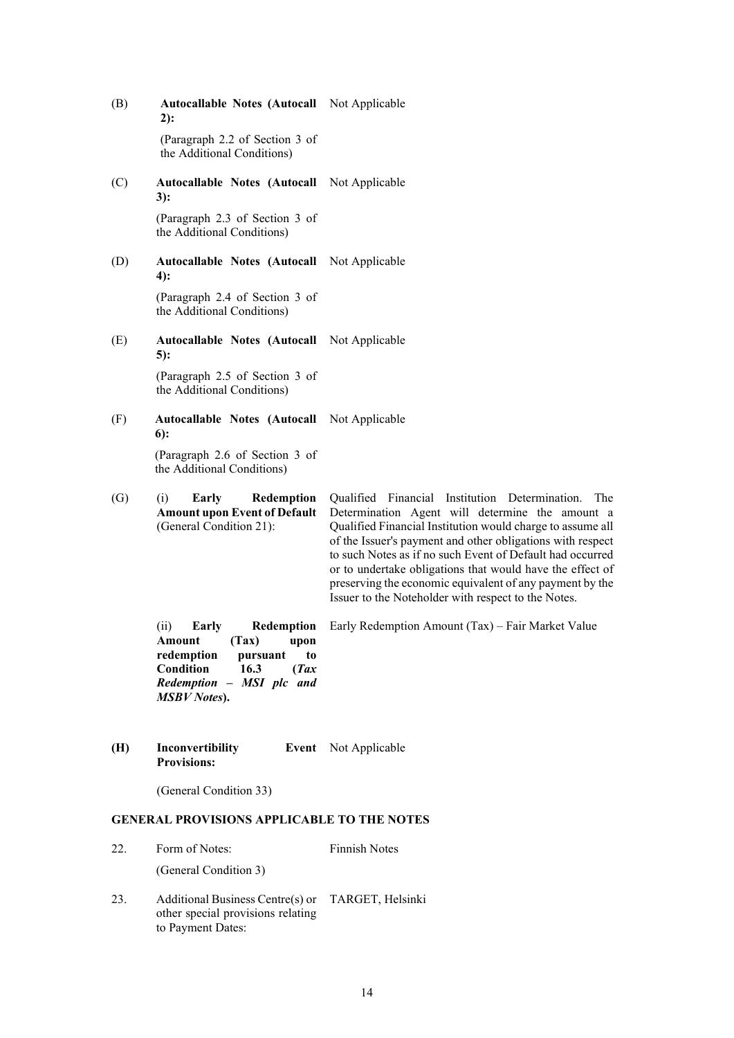(B) **Autocallable Notes (Autocall**  Not Applicable **2):** (Paragraph 2.2 of Section 3 of the Additional Conditions) (C) **Autocallable Notes (Autocall**  Not Applicable **3):** (Paragraph 2.3 of Section 3 of the Additional Conditions) (D) **Autocallable Notes (Autocall**  Not Applicable **4):** (Paragraph 2.4 of Section 3 of the Additional Conditions) (E) **Autocallable Notes (Autocall**  Not Applicable **5):** (Paragraph 2.5 of Section 3 of the Additional Conditions) (F) **Autocallable Notes (Autocall**  Not Applicable **6):** (Paragraph 2.6 of Section 3 of the Additional Conditions) (G) (i) **Early Redemption Amount upon Event of Default**  (General Condition 21): Qualified Financial Institution Determination. The Determination Agent will determine the amount a Qualified Financial Institution would charge to assume all of the Issuer's payment and other obligations with respect to such Notes as if no such Event of Default had occurred or to undertake obligations that would have the effect of preserving the economic equivalent of any payment by the Issuer to the Noteholder with respect to the Notes. (ii) **Early Redemption Amount** (Tax) upon<br>redemption pursuant to **redemption pursuant to Condition 16.3 (***Tax Redemption – MSI plc and MSBV Notes***).** Early Redemption Amount (Tax) – Fair Market Value **(H) Inconvertibility Provisions:** Event Not Applicable

(General Condition 33)

# **GENERAL PROVISIONS APPLICABLE TO THE NOTES**

| 22. | Form of Notes:        | <b>Finnish Notes</b> |
|-----|-----------------------|----------------------|
|     | (General Condition 3) |                      |

23. Additional Business Centre(s) or TARGET, Helsinkiother special provisions relating to Payment Dates: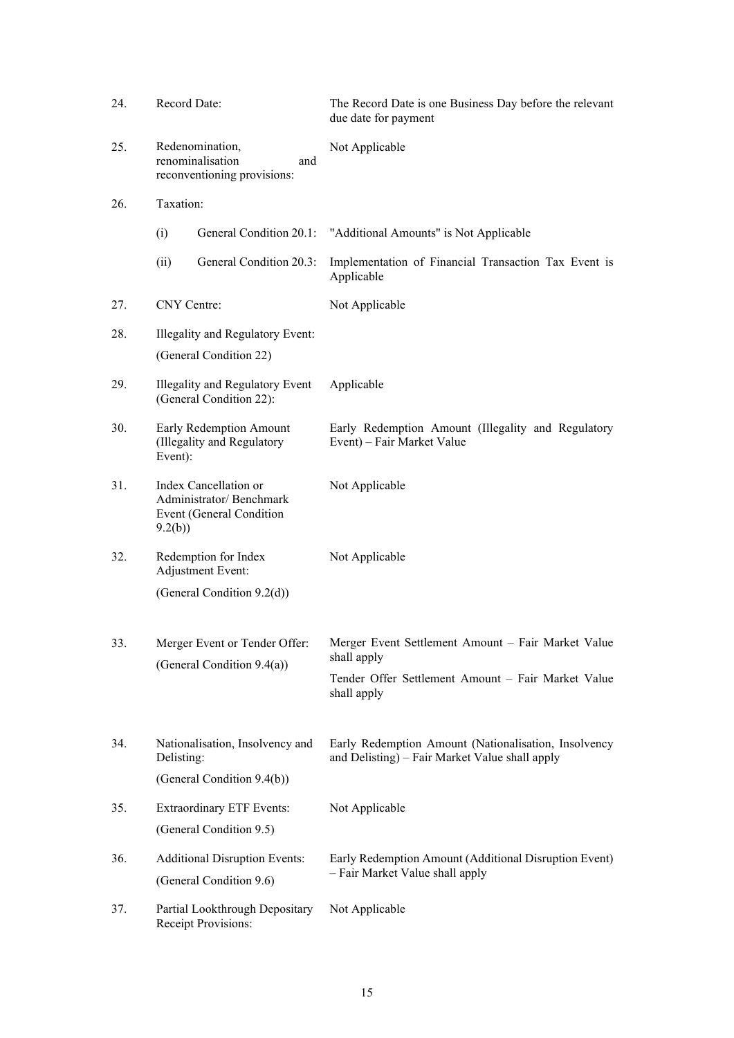| 24. | Record Date:                                                                           | The Record Date is one Business Day before the relevant<br>due date for payment                        |
|-----|----------------------------------------------------------------------------------------|--------------------------------------------------------------------------------------------------------|
| 25. | Redenomination,<br>renominalisation<br>and<br>reconventioning provisions:              | Not Applicable                                                                                         |
| 26. | Taxation:                                                                              |                                                                                                        |
|     | (i)<br>General Condition 20.1:                                                         | "Additional Amounts" is Not Applicable                                                                 |
|     | General Condition 20.3:<br>(ii)                                                        | Implementation of Financial Transaction Tax Event is<br>Applicable                                     |
| 27. | CNY Centre:                                                                            | Not Applicable                                                                                         |
| 28. | Illegality and Regulatory Event:                                                       |                                                                                                        |
|     | (General Condition 22)                                                                 |                                                                                                        |
| 29. | Illegality and Regulatory Event<br>(General Condition 22):                             | Applicable                                                                                             |
| 30. | Early Redemption Amount<br>(Illegality and Regulatory<br>Event):                       | Early Redemption Amount (Illegality and Regulatory<br>Event) – Fair Market Value                       |
| 31. | Index Cancellation or<br>Administrator/Benchmark<br>Event (General Condition<br>9.2(b) | Not Applicable                                                                                         |
| 32. | Redemption for Index<br>Adjustment Event:                                              | Not Applicable                                                                                         |
|     | (General Condition 9.2(d))                                                             |                                                                                                        |
| 33. | Merger Event or Tender Offer:<br>(General Condition 9.4(a))                            | Merger Event Settlement Amount - Fair Market Value<br>shall apply                                      |
|     |                                                                                        | Tender Offer Settlement Amount – Fair Market Value<br>shall apply                                      |
| 34. | Nationalisation, Insolvency and<br>Delisting:                                          | Early Redemption Amount (Nationalisation, Insolvency<br>and Delisting) - Fair Market Value shall apply |
|     | (General Condition 9.4(b))                                                             |                                                                                                        |
| 35. | <b>Extraordinary ETF Events:</b>                                                       | Not Applicable                                                                                         |
|     | (General Condition 9.5)                                                                |                                                                                                        |
| 36. | <b>Additional Disruption Events:</b>                                                   | Early Redemption Amount (Additional Disruption Event)                                                  |
|     | (General Condition 9.6)                                                                | - Fair Market Value shall apply                                                                        |
| 37. | Partial Lookthrough Depositary<br>Receipt Provisions:                                  | Not Applicable                                                                                         |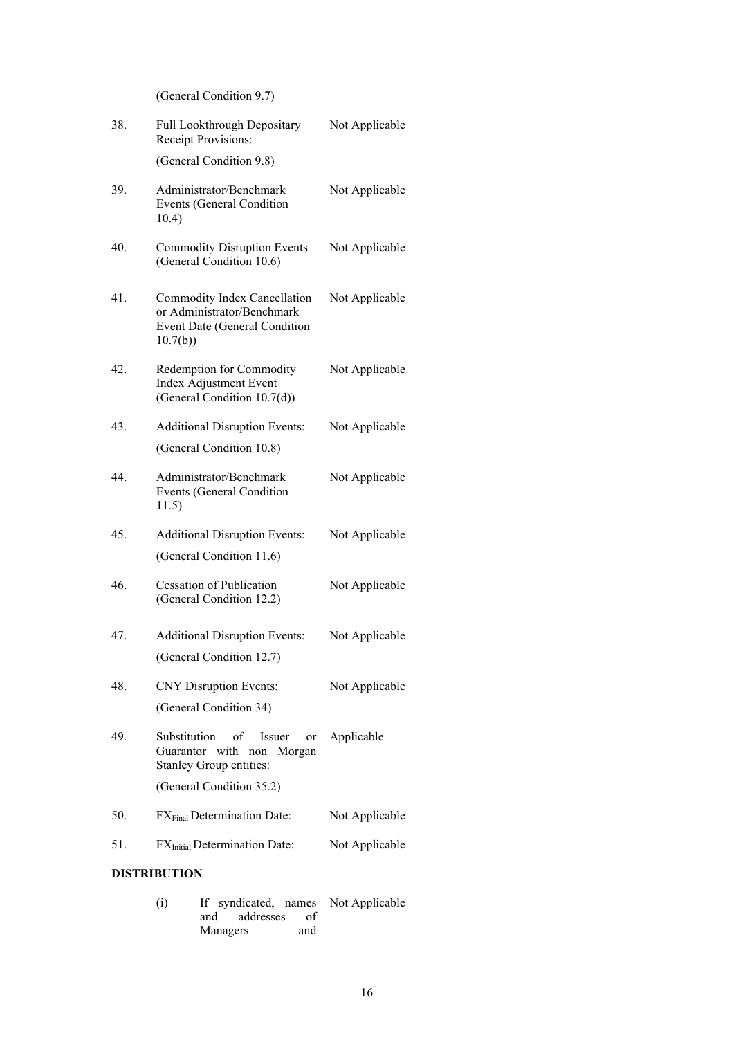(General Condition 9.7)

| 38. | Full Lookthrough Depositary<br>Receipt Provisions:                                                     | Not Applicable |
|-----|--------------------------------------------------------------------------------------------------------|----------------|
|     | (General Condition 9.8)                                                                                |                |
| 39. | Administrator/Benchmark<br>Events (General Condition<br>10.4)                                          | Not Applicable |
| 40. | <b>Commodity Disruption Events</b><br>(General Condition 10.6)                                         | Not Applicable |
| 41. | Commodity Index Cancellation<br>or Administrator/Benchmark<br>Event Date (General Condition<br>10.7(b) | Not Applicable |
| 42. | Redemption for Commodity<br>Index Adjustment Event<br>(General Condition 10.7(d))                      | Not Applicable |
| 43. | <b>Additional Disruption Events:</b>                                                                   | Not Applicable |
|     | (General Condition 10.8)                                                                               |                |
| 44. | Administrator/Benchmark<br>Events (General Condition<br>11.5)                                          | Not Applicable |
| 45. | <b>Additional Disruption Events:</b>                                                                   | Not Applicable |
|     | (General Condition 11.6)                                                                               |                |
| 46. | <b>Cessation of Publication</b><br>(General Condition 12.2)                                            | Not Applicable |
| 47. | <b>Additional Disruption Events:</b>                                                                   | Not Applicable |
|     | (General Condition 12.7)                                                                               |                |
| 48. | <b>CNY</b> Disruption Events:                                                                          | Not Applicable |
|     | (General Condition 34)                                                                                 |                |
| 49. | Substitution of Issuer or Applicable<br>Guarantor with non<br>Morgan<br>Stanley Group entities:        |                |
|     | (General Condition 35.2)                                                                               |                |
| 50. | FX <sub>Final</sub> Determination Date:                                                                | Not Applicable |
| 51. | FX <sub>Initial</sub> Determination Date:                                                              | Not Applicable |
|     | <b>DISTRIBUTION</b>                                                                                    |                |

| (i) | If syndicated, names Not Applicable |     |  |
|-----|-------------------------------------|-----|--|
|     | and addresses of                    |     |  |
|     | Managers                            | and |  |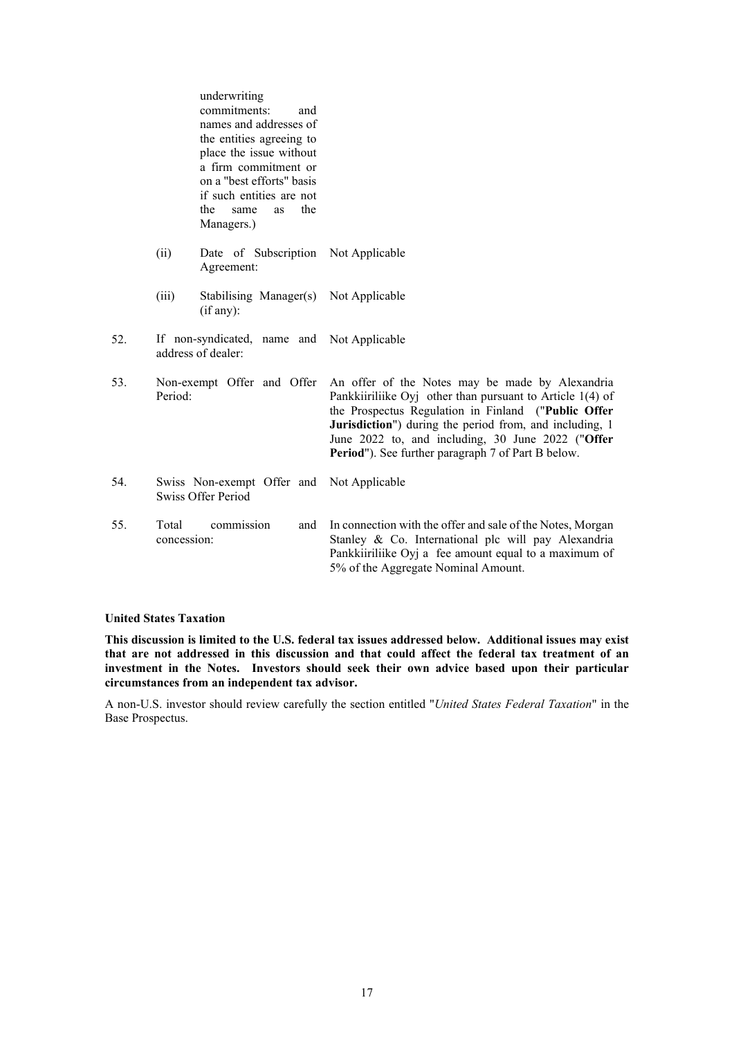|     |                      | underwriting<br>commitments:<br>and<br>names and addresses of<br>the entities agreeing to<br>place the issue without<br>a firm commitment or<br>on a "best efforts" basis<br>if such entities are not<br>the<br>the<br>same<br><b>as</b><br>Managers.) |                                                                                                                                                                                                                                                                                                                                             |
|-----|----------------------|--------------------------------------------------------------------------------------------------------------------------------------------------------------------------------------------------------------------------------------------------------|---------------------------------------------------------------------------------------------------------------------------------------------------------------------------------------------------------------------------------------------------------------------------------------------------------------------------------------------|
|     | (ii)                 | Date of Subscription<br>Agreement:                                                                                                                                                                                                                     | Not Applicable                                                                                                                                                                                                                                                                                                                              |
|     | (iii)                | Stabilising Manager(s) Not Applicable<br>(if any):                                                                                                                                                                                                     |                                                                                                                                                                                                                                                                                                                                             |
| 52. |                      | If non-syndicated, name and Not Applicable<br>address of dealer:                                                                                                                                                                                       |                                                                                                                                                                                                                                                                                                                                             |
| 53. | Period:              | Non-exempt Offer and Offer                                                                                                                                                                                                                             | An offer of the Notes may be made by Alexandria<br>Pankkiiriliike Oyj other than pursuant to Article $1(4)$ of<br>the Prospectus Regulation in Finland ("Public Offer<br>Jurisdiction") during the period from, and including, 1<br>June 2022 to, and including, 30 June 2022 ("Offer<br>Period"). See further paragraph 7 of Part B below. |
| 54. |                      | Swiss Non-exempt Offer and<br>Swiss Offer Period                                                                                                                                                                                                       | Not Applicable                                                                                                                                                                                                                                                                                                                              |
| 55. | Total<br>concession: | commission<br>and                                                                                                                                                                                                                                      | In connection with the offer and sale of the Notes, Morgan<br>Stanley & Co. International plc will pay Alexandria<br>Pankkiiriliike Oyj a fee amount equal to a maximum of<br>5% of the Aggregate Nominal Amount.                                                                                                                           |

# **United States Taxation**

**This discussion is limited to the U.S. federal tax issues addressed below. Additional issues may exist that are not addressed in this discussion and that could affect the federal tax treatment of an investment in the Notes. Investors should seek their own advice based upon their particular circumstances from an independent tax advisor.**

A non-U.S. investor should review carefully the section entitled "*United States Federal Taxation*" in the Base Prospectus.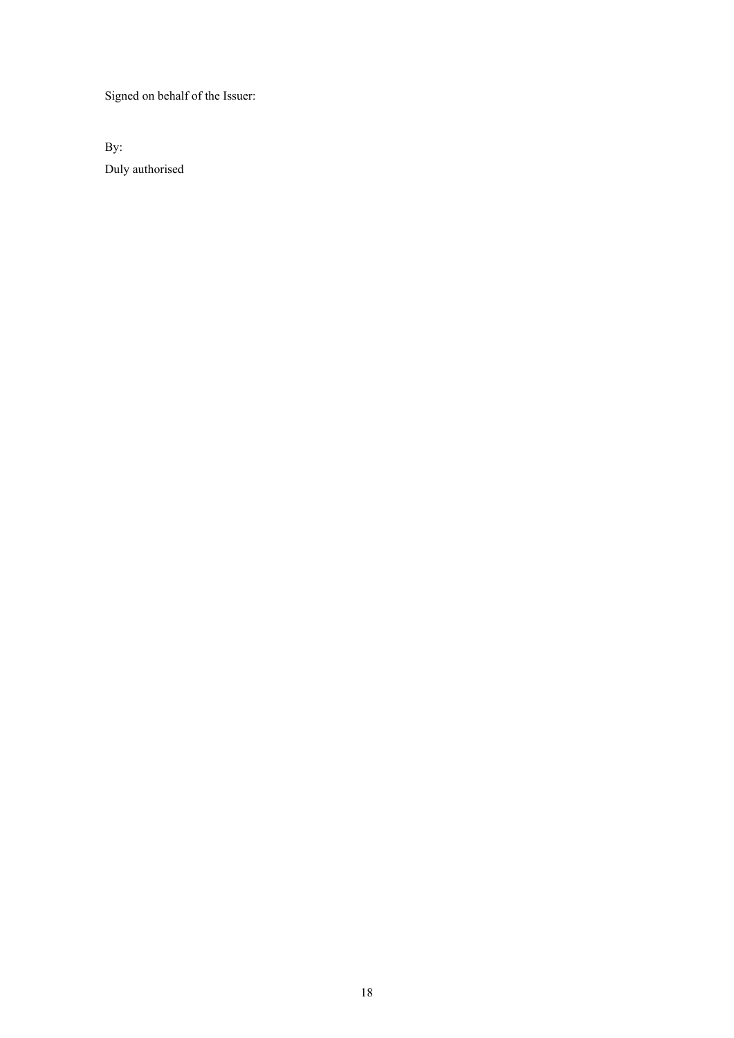Signed on behalf of the Issuer:

By: Duly authorised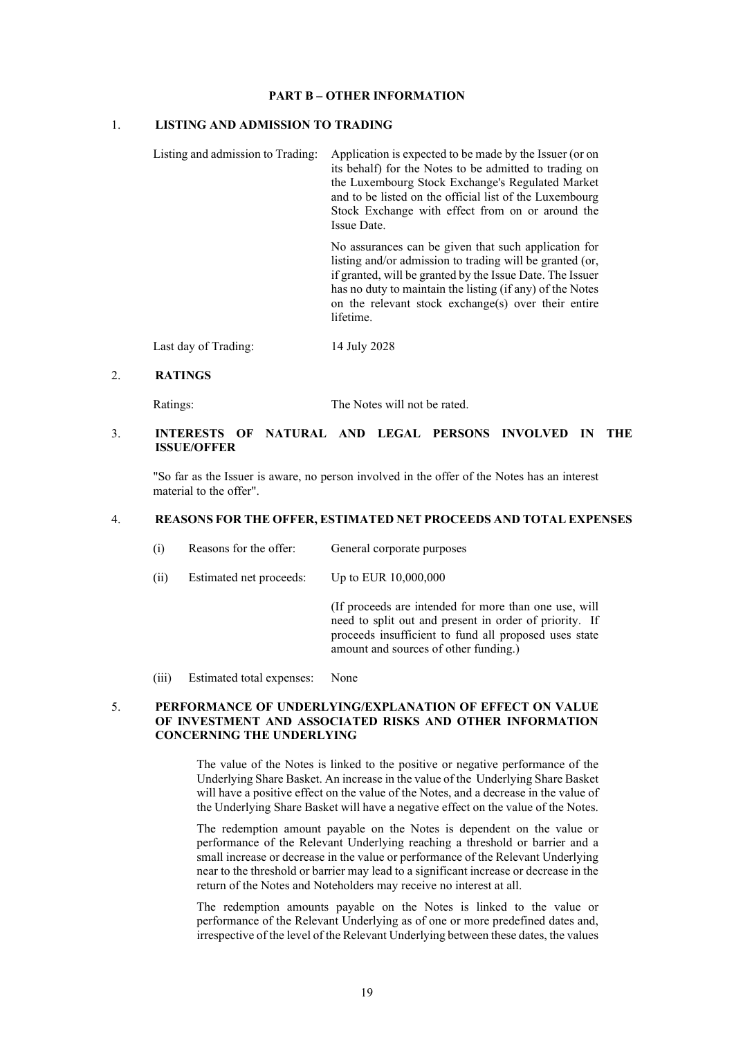### **PART B – OTHER INFORMATION**

# 1. **LISTING AND ADMISSION TO TRADING**

Listing and admission to Trading: Application is expected to be made by the Issuer (or on its behalf) for the Notes to be admitted to trading on the Luxembourg Stock Exchange's Regulated Market and to be listed on the official list of the Luxembourg Stock Exchange with effect from on or around the Issue Date.

> No assurances can be given that such application for listing and/or admission to trading will be granted (or, if granted, will be granted by the Issue Date. The Issuer has no duty to maintain the listing (if any) of the Notes on the relevant stock exchange(s) over their entire lifetime.

Last day of Trading: 14 July 2028

## 2. **RATINGS**

Ratings: The Notes will not be rated.

# 3. **INTERESTS OF NATURAL AND LEGAL PERSONS INVOLVED IN THE ISSUE/OFFER**

"So far as the Issuer is aware, no person involved in the offer of the Notes has an interest material to the offer".

## 4. **REASONS FOR THE OFFER, ESTIMATED NET PROCEEDS AND TOTAL EXPENSES**

- (i) Reasons for the offer: General corporate purposes
- (ii) Estimated net proceeds: Up to EUR 10,000,000

(If proceeds are intended for more than one use, will need to split out and present in order of priority. If proceeds insufficient to fund all proposed uses state amount and sources of other funding.)

(iii) Estimated total expenses: None

## 5. **PERFORMANCE OF UNDERLYING/EXPLANATION OF EFFECT ON VALUE OF INVESTMENT AND ASSOCIATED RISKS AND OTHER INFORMATION CONCERNING THE UNDERLYING**

The value of the Notes is linked to the positive or negative performance of the Underlying Share Basket. An increase in the value of the Underlying Share Basket will have a positive effect on the value of the Notes, and a decrease in the value of the Underlying Share Basket will have a negative effect on the value of the Notes.

The redemption amount payable on the Notes is dependent on the value or performance of the Relevant Underlying reaching a threshold or barrier and a small increase or decrease in the value or performance of the Relevant Underlying near to the threshold or barrier may lead to a significant increase or decrease in the return of the Notes and Noteholders may receive no interest at all.

The redemption amounts payable on the Notes is linked to the value or performance of the Relevant Underlying as of one or more predefined dates and, irrespective of the level of the Relevant Underlying between these dates, the values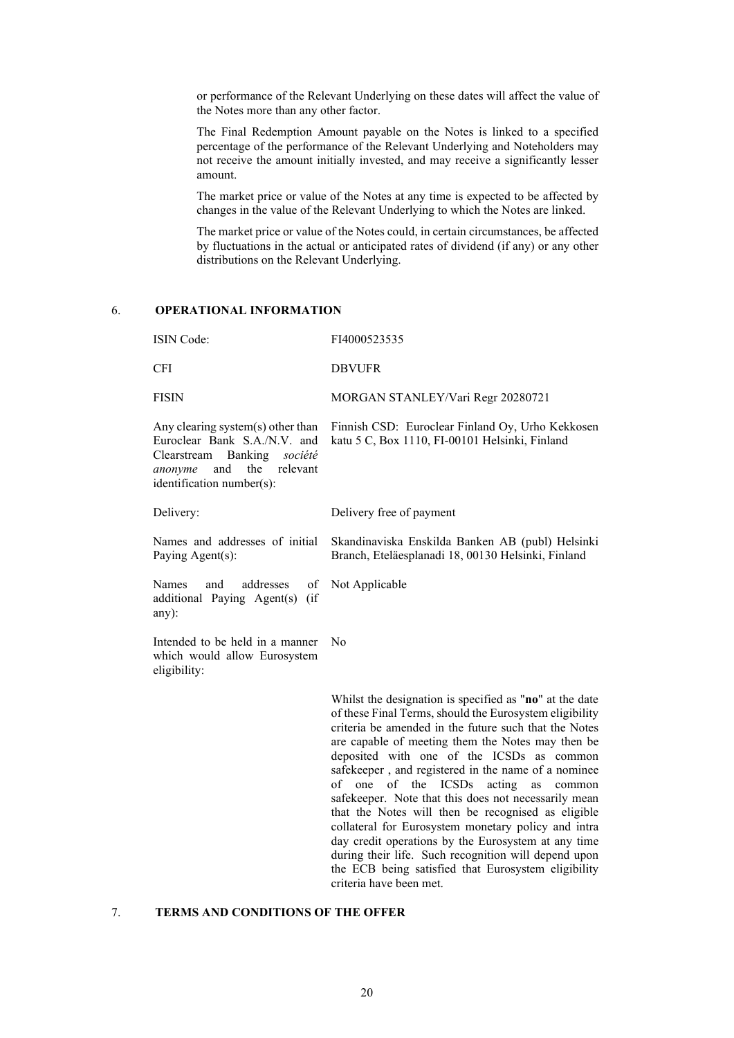or performance of the Relevant Underlying on these dates will affect the value of the Notes more than any other factor.

The Final Redemption Amount payable on the Notes is linked to a specified percentage of the performance of the Relevant Underlying and Noteholders may not receive the amount initially invested, and may receive a significantly lesser amount.

The market price or value of the Notes at any time is expected to be affected by changes in the value of the Relevant Underlying to which the Notes are linked.

The market price or value of the Notes could, in certain circumstances, be affected by fluctuations in the actual or anticipated rates of dividend (if any) or any other distributions on the Relevant Underlying.

# 6. **OPERATIONAL INFORMATION**

| <b>ISIN</b> Code:                                                                                                                                         | FI4000523535                                                                                           |
|-----------------------------------------------------------------------------------------------------------------------------------------------------------|--------------------------------------------------------------------------------------------------------|
| <b>CFI</b>                                                                                                                                                | <b>DBVUFR</b>                                                                                          |
| <b>FISIN</b>                                                                                                                                              | MORGAN STANLEY/Vari Regr 20280721                                                                      |
| Any clearing system(s) other than<br>Euroclear Bank S.A./N.V. and<br>Clearstream Banking société<br>anonyme and the relevant<br>identification number(s): | Finnish CSD: Euroclear Finland Oy, Urho Kekkosen<br>katu 5 C, Box 1110, FI-00101 Helsinki, Finland     |
| Delivery:                                                                                                                                                 | Delivery free of payment                                                                               |
| Names and addresses of initial<br>Paying Agent(s):                                                                                                        | Skandinaviska Enskilda Banken AB (publ) Helsinki<br>Branch, Eteläesplanadi 18, 00130 Helsinki, Finland |
| and addresses of Not Applicable<br>Names<br>additional Paying Agent(s) (if<br>any):                                                                       |                                                                                                        |
| Intended to be held in a manner<br>which would allow Eurosystem<br>eligibility:                                                                           | No                                                                                                     |
|                                                                                                                                                           | Whilst the designation is specified as "no" at the date                                                |

of these Final Terms, should the Eurosystem eligibility criteria be amended in the future such that the Notes are capable of meeting them the Notes may then be deposited with one of the ICSDs as common safekeeper , and registered in the name of a nominee of one of the ICSDs acting as common safekeeper. Note that this does not necessarily mean that the Notes will then be recognised as eligible collateral for Eurosystem monetary policy and intra day credit operations by the Eurosystem at any time during their life. Such recognition will depend upon the ECB being satisfied that Eurosystem eligibility criteria have been met.

# 7. **TERMS AND CONDITIONS OF THE OFFER**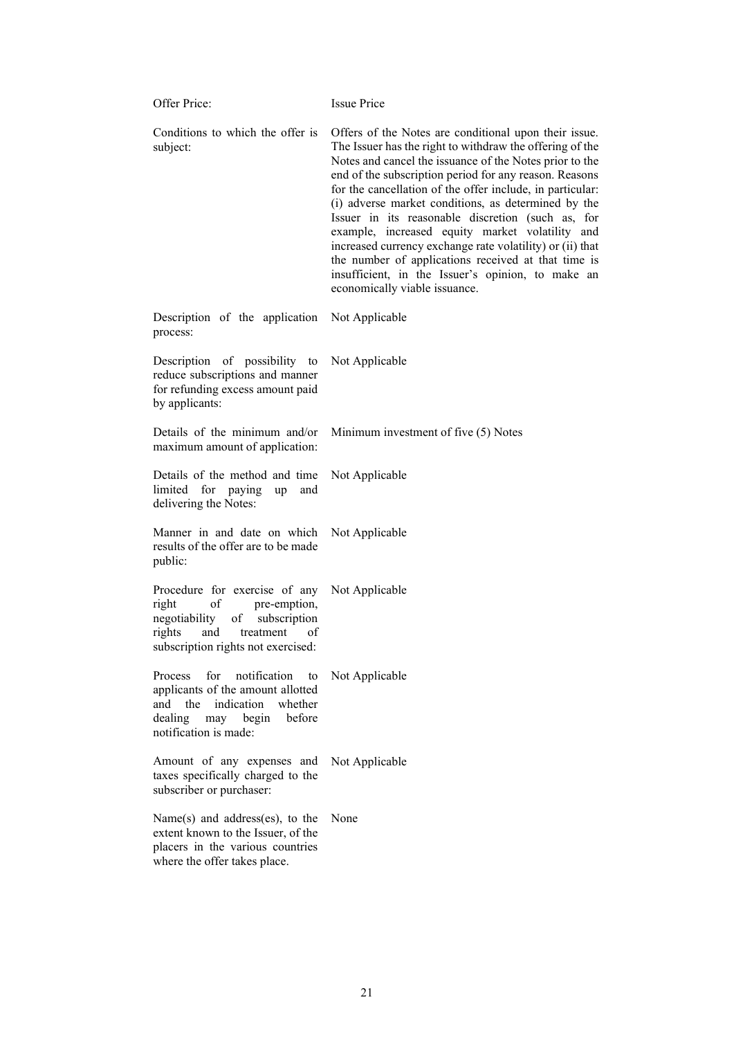| Offer Price:                                                                                                                                                               | <b>Issue Price</b>                                                                                                                                                                                                                                                                                                                                                                                                                                                                                                                                                                                                                                                           |
|----------------------------------------------------------------------------------------------------------------------------------------------------------------------------|------------------------------------------------------------------------------------------------------------------------------------------------------------------------------------------------------------------------------------------------------------------------------------------------------------------------------------------------------------------------------------------------------------------------------------------------------------------------------------------------------------------------------------------------------------------------------------------------------------------------------------------------------------------------------|
| Conditions to which the offer is<br>subject:                                                                                                                               | Offers of the Notes are conditional upon their issue.<br>The Issuer has the right to withdraw the offering of the<br>Notes and cancel the issuance of the Notes prior to the<br>end of the subscription period for any reason. Reasons<br>for the cancellation of the offer include, in particular:<br>(i) adverse market conditions, as determined by the<br>Issuer in its reasonable discretion (such as, for<br>example, increased equity market volatility and<br>increased currency exchange rate volatility) or (ii) that<br>the number of applications received at that time is<br>insufficient, in the Issuer's opinion, to make an<br>economically viable issuance. |
| Description of the application<br>process:                                                                                                                                 | Not Applicable                                                                                                                                                                                                                                                                                                                                                                                                                                                                                                                                                                                                                                                               |
| Description of possibility to<br>reduce subscriptions and manner<br>for refunding excess amount paid<br>by applicants:                                                     | Not Applicable                                                                                                                                                                                                                                                                                                                                                                                                                                                                                                                                                                                                                                                               |
| Details of the minimum and/or<br>maximum amount of application:                                                                                                            | Minimum investment of five (5) Notes                                                                                                                                                                                                                                                                                                                                                                                                                                                                                                                                                                                                                                         |
| Details of the method and time<br>limited for paying<br>up<br>and<br>delivering the Notes:                                                                                 | Not Applicable                                                                                                                                                                                                                                                                                                                                                                                                                                                                                                                                                                                                                                                               |
| Manner in and date on which<br>results of the offer are to be made<br>public:                                                                                              | Not Applicable                                                                                                                                                                                                                                                                                                                                                                                                                                                                                                                                                                                                                                                               |
| Procedure for exercise of any<br>of<br>pre-emption,<br>right<br>negotiability<br>of subscription<br>rights<br>and<br>treatment<br>0Ť<br>subscription rights not exercised: | Not Applicable                                                                                                                                                                                                                                                                                                                                                                                                                                                                                                                                                                                                                                                               |
| for notification to<br>Process<br>applicants of the amount allotted<br>and the indication<br>whether<br>before<br>dealing<br>begin<br>may<br>notification is made:         | Not Applicable                                                                                                                                                                                                                                                                                                                                                                                                                                                                                                                                                                                                                                                               |
| Amount of any expenses and<br>taxes specifically charged to the<br>subscriber or purchaser:                                                                                | Not Applicable                                                                                                                                                                                                                                                                                                                                                                                                                                                                                                                                                                                                                                                               |
| Name(s) and address(es), to the<br>extent known to the Issuer, of the<br>placers in the various countries<br>where the offer takes place.                                  | None                                                                                                                                                                                                                                                                                                                                                                                                                                                                                                                                                                                                                                                                         |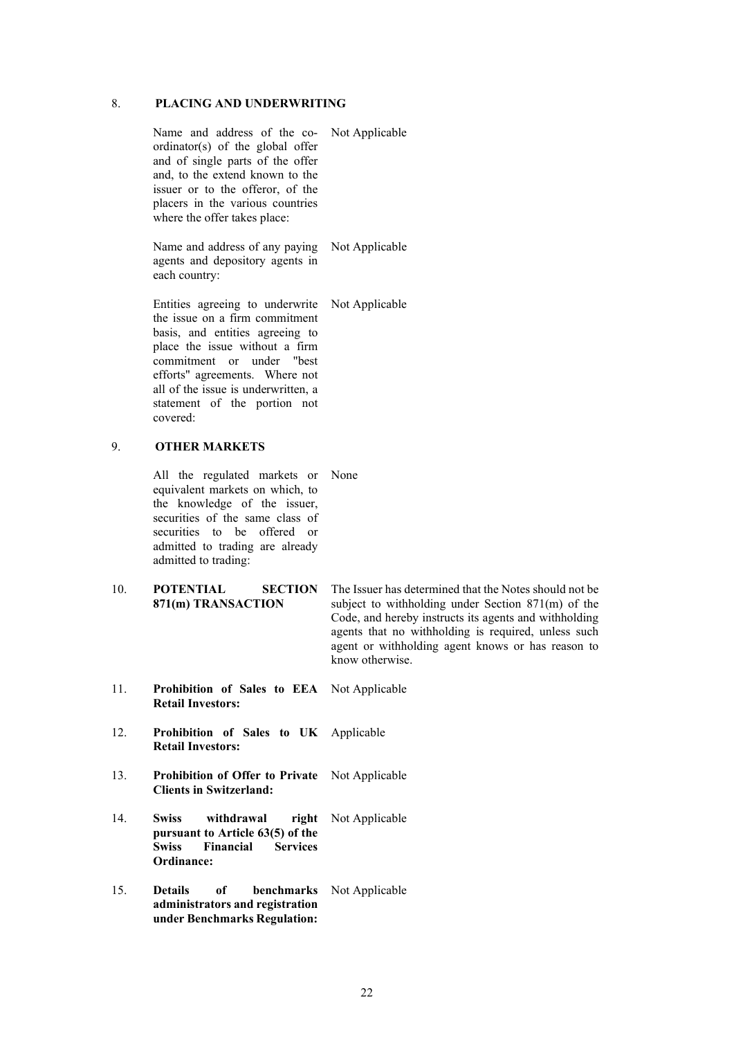# 8. **PLACING AND UNDERWRITING**

|     | Name and address of the co- Not Applicable<br>ordinator(s) of the global offer<br>and of single parts of the offer<br>and, to the extend known to the<br>issuer or to the offeror, of the<br>placers in the various countries<br>where the offer takes place:                            |                                                                                                                                                                                                                                                                                                        |
|-----|------------------------------------------------------------------------------------------------------------------------------------------------------------------------------------------------------------------------------------------------------------------------------------------|--------------------------------------------------------------------------------------------------------------------------------------------------------------------------------------------------------------------------------------------------------------------------------------------------------|
|     | Name and address of any paying<br>agents and depository agents in<br>each country:                                                                                                                                                                                                       | Not Applicable                                                                                                                                                                                                                                                                                         |
|     | Entities agreeing to underwrite<br>the issue on a firm commitment<br>basis, and entities agreeing to<br>place the issue without a firm<br>commitment or under "best<br>efforts" agreements. Where not<br>all of the issue is underwritten, a<br>statement of the portion not<br>covered: | Not Applicable                                                                                                                                                                                                                                                                                         |
| 9.  | <b>OTHER MARKETS</b>                                                                                                                                                                                                                                                                     |                                                                                                                                                                                                                                                                                                        |
|     | All the regulated markets or<br>equivalent markets on which, to<br>the knowledge of the issuer,<br>securities of the same class of<br>securities to be offered or<br>admitted to trading are already<br>admitted to trading:                                                             | None                                                                                                                                                                                                                                                                                                   |
| 10. | <b>POTENTIAL</b><br><b>SECTION</b><br>871(m) TRANSACTION                                                                                                                                                                                                                                 | The Issuer has determined that the Notes should not be<br>subject to withholding under Section $871(m)$ of the<br>Code, and hereby instructs its agents and withholding<br>agents that no withholding is required, unless such<br>agent or withholding agent knows or has reason to<br>know otherwise. |
| 11. | Prohibition of Sales to EEA Not Applicable<br><b>Retail Investors:</b>                                                                                                                                                                                                                   |                                                                                                                                                                                                                                                                                                        |
| 12. | Prohibition of Sales to UK Applicable<br><b>Retail Investors:</b>                                                                                                                                                                                                                        |                                                                                                                                                                                                                                                                                                        |
| 13. | Prohibition of Offer to Private Not Applicable<br><b>Clients in Switzerland:</b>                                                                                                                                                                                                         |                                                                                                                                                                                                                                                                                                        |
| 14. | <b>Swiss</b><br>withdrawal<br>right<br>pursuant to Article 63(5) of the<br><b>Swiss</b><br>Financial<br><b>Services</b><br>Ordinance:                                                                                                                                                    | Not Applicable                                                                                                                                                                                                                                                                                         |
|     |                                                                                                                                                                                                                                                                                          |                                                                                                                                                                                                                                                                                                        |

15. **Details of benchmarks**  Not Applicable **administrators and registration under Benchmarks Regulation:**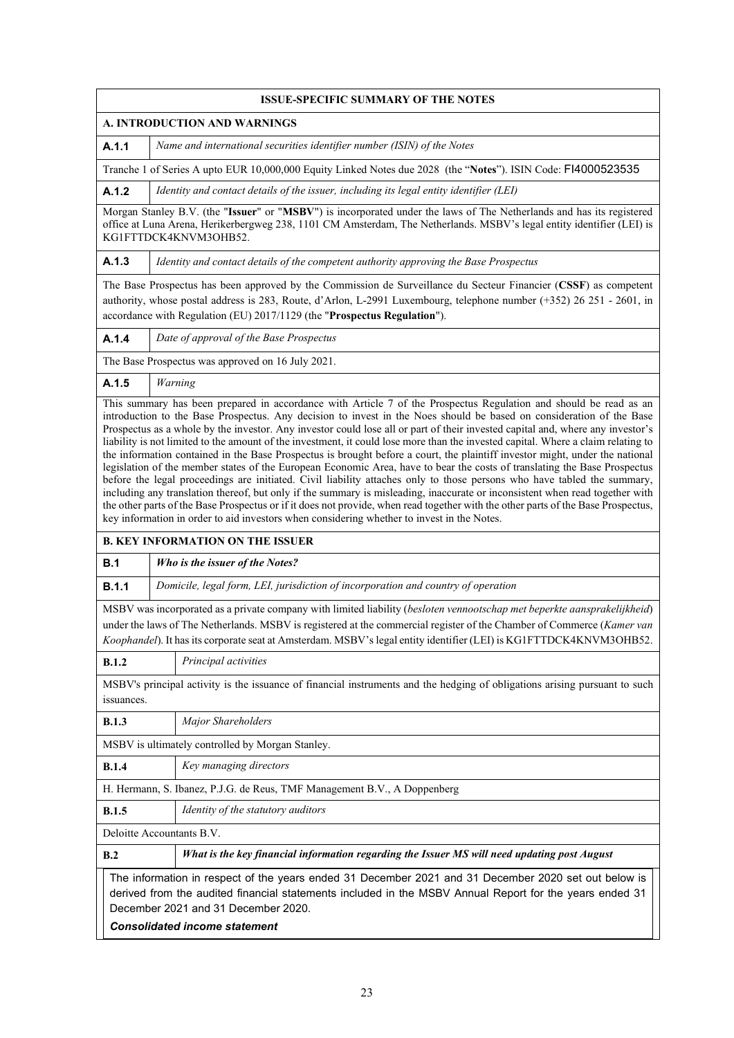|                                                                                                                                                                                                                                                                                                | <b>ISSUE-SPECIFIC SUMMARY OF THE NOTES</b>                                                                                                                                                                                                                                                                                                                                                                                                                                                                                                                                                                                                                                                                                                                                                                                                                                                                                                                                                                                                                                                                                                             |
|------------------------------------------------------------------------------------------------------------------------------------------------------------------------------------------------------------------------------------------------------------------------------------------------|--------------------------------------------------------------------------------------------------------------------------------------------------------------------------------------------------------------------------------------------------------------------------------------------------------------------------------------------------------------------------------------------------------------------------------------------------------------------------------------------------------------------------------------------------------------------------------------------------------------------------------------------------------------------------------------------------------------------------------------------------------------------------------------------------------------------------------------------------------------------------------------------------------------------------------------------------------------------------------------------------------------------------------------------------------------------------------------------------------------------------------------------------------|
|                                                                                                                                                                                                                                                                                                | A. INTRODUCTION AND WARNINGS                                                                                                                                                                                                                                                                                                                                                                                                                                                                                                                                                                                                                                                                                                                                                                                                                                                                                                                                                                                                                                                                                                                           |
| A.1.1                                                                                                                                                                                                                                                                                          | Name and international securities identifier number (ISIN) of the Notes                                                                                                                                                                                                                                                                                                                                                                                                                                                                                                                                                                                                                                                                                                                                                                                                                                                                                                                                                                                                                                                                                |
|                                                                                                                                                                                                                                                                                                | Tranche 1 of Series A upto EUR 10,000,000 Equity Linked Notes due 2028 (the "Notes"). ISIN Code: F14000523535                                                                                                                                                                                                                                                                                                                                                                                                                                                                                                                                                                                                                                                                                                                                                                                                                                                                                                                                                                                                                                          |
| A.1.2                                                                                                                                                                                                                                                                                          | Identity and contact details of the issuer, including its legal entity identifier (LEI)                                                                                                                                                                                                                                                                                                                                                                                                                                                                                                                                                                                                                                                                                                                                                                                                                                                                                                                                                                                                                                                                |
|                                                                                                                                                                                                                                                                                                | Morgan Stanley B.V. (the "Issuer" or "MSBV") is incorporated under the laws of The Netherlands and has its registered<br>office at Luna Arena, Herikerbergweg 238, 1101 CM Amsterdam, The Netherlands. MSBV's legal entity identifier (LEI) is<br>KG1FTTDCK4KNVM3OHB52.                                                                                                                                                                                                                                                                                                                                                                                                                                                                                                                                                                                                                                                                                                                                                                                                                                                                                |
| A.1.3                                                                                                                                                                                                                                                                                          | Identity and contact details of the competent authority approving the Base Prospectus                                                                                                                                                                                                                                                                                                                                                                                                                                                                                                                                                                                                                                                                                                                                                                                                                                                                                                                                                                                                                                                                  |
|                                                                                                                                                                                                                                                                                                | The Base Prospectus has been approved by the Commission de Surveillance du Secteur Financier (CSSF) as competent<br>authority, whose postal address is 283, Route, d'Arlon, L-2991 Luxembourg, telephone number (+352) 26 251 - 2601, in<br>accordance with Regulation (EU) 2017/1129 (the "Prospectus Regulation").                                                                                                                                                                                                                                                                                                                                                                                                                                                                                                                                                                                                                                                                                                                                                                                                                                   |
| A.1.4                                                                                                                                                                                                                                                                                          | Date of approval of the Base Prospectus                                                                                                                                                                                                                                                                                                                                                                                                                                                                                                                                                                                                                                                                                                                                                                                                                                                                                                                                                                                                                                                                                                                |
|                                                                                                                                                                                                                                                                                                | The Base Prospectus was approved on 16 July 2021.                                                                                                                                                                                                                                                                                                                                                                                                                                                                                                                                                                                                                                                                                                                                                                                                                                                                                                                                                                                                                                                                                                      |
| A.1.5                                                                                                                                                                                                                                                                                          | Warning                                                                                                                                                                                                                                                                                                                                                                                                                                                                                                                                                                                                                                                                                                                                                                                                                                                                                                                                                                                                                                                                                                                                                |
|                                                                                                                                                                                                                                                                                                | introduction to the Base Prospectus. Any decision to invest in the Noes should be based on consideration of the Base<br>Prospectus as a whole by the investor. Any investor could lose all or part of their invested capital and, where any investor's<br>liability is not limited to the amount of the investment, it could lose more than the invested capital. Where a claim relating to<br>the information contained in the Base Prospectus is brought before a court, the plaintiff investor might, under the national<br>legislation of the member states of the European Economic Area, have to bear the costs of translating the Base Prospectus<br>before the legal proceedings are initiated. Civil liability attaches only to those persons who have tabled the summary,<br>including any translation thereof, but only if the summary is misleading, inaccurate or inconsistent when read together with<br>the other parts of the Base Prospectus or if it does not provide, when read together with the other parts of the Base Prospectus,<br>key information in order to aid investors when considering whether to invest in the Notes. |
|                                                                                                                                                                                                                                                                                                | <b>B. KEY INFORMATION ON THE ISSUER</b>                                                                                                                                                                                                                                                                                                                                                                                                                                                                                                                                                                                                                                                                                                                                                                                                                                                                                                                                                                                                                                                                                                                |
| B.1                                                                                                                                                                                                                                                                                            | Who is the issuer of the Notes?                                                                                                                                                                                                                                                                                                                                                                                                                                                                                                                                                                                                                                                                                                                                                                                                                                                                                                                                                                                                                                                                                                                        |
| B.1.1                                                                                                                                                                                                                                                                                          | Domicile, legal form, LEI, jurisdiction of incorporation and country of operation                                                                                                                                                                                                                                                                                                                                                                                                                                                                                                                                                                                                                                                                                                                                                                                                                                                                                                                                                                                                                                                                      |
|                                                                                                                                                                                                                                                                                                | MSBV was incorporated as a private company with limited liability (besloten vennootschap met beperkte aansprakelijkheid)<br>under the laws of The Netherlands. MSBV is registered at the commercial register of the Chamber of Commerce (Kamer van<br>Koophandel). It has its corporate seat at Amsterdam. MSBV's legal entity identifier (LEI) is KG1FTTDCK4KNVM3OHB52.                                                                                                                                                                                                                                                                                                                                                                                                                                                                                                                                                                                                                                                                                                                                                                               |
| B.1.2                                                                                                                                                                                                                                                                                          | Principal activities                                                                                                                                                                                                                                                                                                                                                                                                                                                                                                                                                                                                                                                                                                                                                                                                                                                                                                                                                                                                                                                                                                                                   |
| issuances.                                                                                                                                                                                                                                                                                     | MSBV's principal activity is the issuance of financial instruments and the hedging of obligations arising pursuant to such                                                                                                                                                                                                                                                                                                                                                                                                                                                                                                                                                                                                                                                                                                                                                                                                                                                                                                                                                                                                                             |
| B.1.3                                                                                                                                                                                                                                                                                          | Major Shareholders                                                                                                                                                                                                                                                                                                                                                                                                                                                                                                                                                                                                                                                                                                                                                                                                                                                                                                                                                                                                                                                                                                                                     |
|                                                                                                                                                                                                                                                                                                | MSBV is ultimately controlled by Morgan Stanley.                                                                                                                                                                                                                                                                                                                                                                                                                                                                                                                                                                                                                                                                                                                                                                                                                                                                                                                                                                                                                                                                                                       |
| B.1.4                                                                                                                                                                                                                                                                                          | Key managing directors                                                                                                                                                                                                                                                                                                                                                                                                                                                                                                                                                                                                                                                                                                                                                                                                                                                                                                                                                                                                                                                                                                                                 |
|                                                                                                                                                                                                                                                                                                | H. Hermann, S. Ibanez, P.J.G. de Reus, TMF Management B.V., A Doppenberg                                                                                                                                                                                                                                                                                                                                                                                                                                                                                                                                                                                                                                                                                                                                                                                                                                                                                                                                                                                                                                                                               |
| B.1.5                                                                                                                                                                                                                                                                                          | Identity of the statutory auditors                                                                                                                                                                                                                                                                                                                                                                                                                                                                                                                                                                                                                                                                                                                                                                                                                                                                                                                                                                                                                                                                                                                     |
| Deloitte Accountants B.V.                                                                                                                                                                                                                                                                      |                                                                                                                                                                                                                                                                                                                                                                                                                                                                                                                                                                                                                                                                                                                                                                                                                                                                                                                                                                                                                                                                                                                                                        |
| B.2                                                                                                                                                                                                                                                                                            | What is the key financial information regarding the Issuer MS will need updating post August                                                                                                                                                                                                                                                                                                                                                                                                                                                                                                                                                                                                                                                                                                                                                                                                                                                                                                                                                                                                                                                           |
| The information in respect of the years ended 31 December 2021 and 31 December 2020 set out below is<br>derived from the audited financial statements included in the MSBV Annual Report for the years ended 31<br>December 2021 and 31 December 2020.<br><b>Consolidated income statement</b> |                                                                                                                                                                                                                                                                                                                                                                                                                                                                                                                                                                                                                                                                                                                                                                                                                                                                                                                                                                                                                                                                                                                                                        |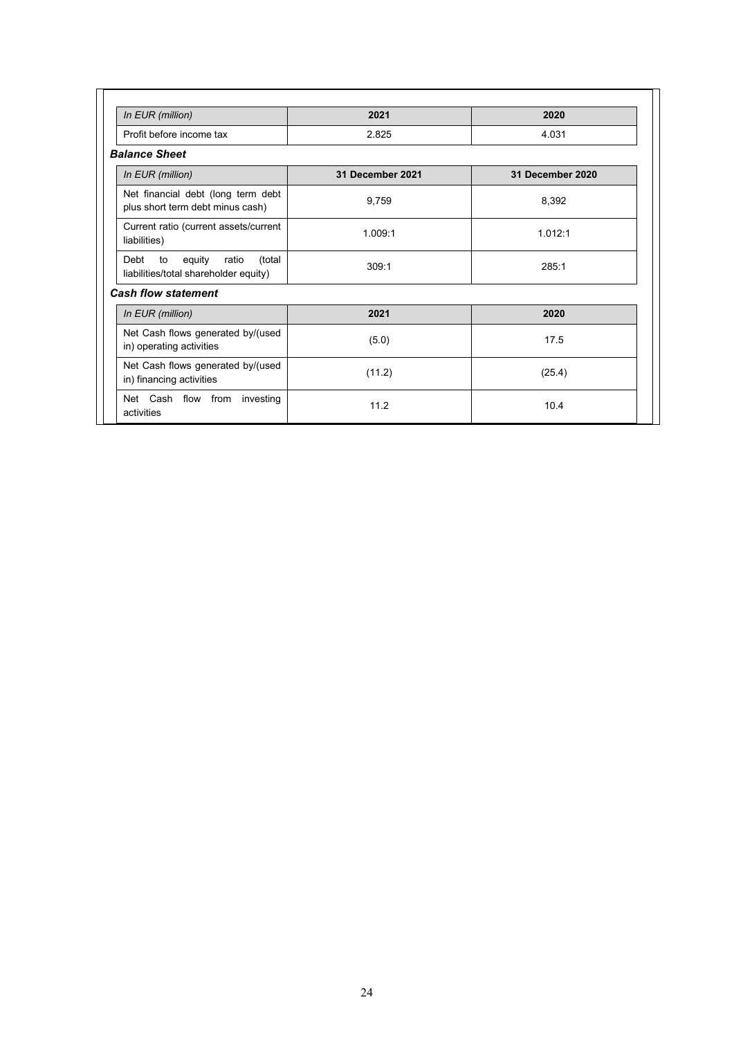| In EUR (million)                                                                 | 2021             | 2020             |
|----------------------------------------------------------------------------------|------------------|------------------|
| Profit before income tax                                                         | 2.825            | 4.031            |
| <b>Balance Sheet</b>                                                             |                  |                  |
| In EUR (million)                                                                 | 31 December 2021 | 31 December 2020 |
| Net financial debt (long term debt<br>plus short term debt minus cash)           | 9,759            | 8,392            |
| Current ratio (current assets/current<br>liabilities)                            | 1.009:1          | 1.012:1          |
| equity<br>ratio<br>(total<br>Debt<br>to<br>liabilities/total shareholder equity) | 309:1            | 285:1            |
| <b>Cash flow statement</b>                                                       |                  |                  |
| In EUR (million)                                                                 | 2021             | 2020             |
| Net Cash flows generated by/(used<br>in) operating activities                    | (5.0)            | 17.5             |
| Net Cash flows generated by/(used<br>in) financing activities                    | (11.2)           | (25.4)           |
| Net Cash flow from investing<br>activities                                       | 11.2             | 10.4             |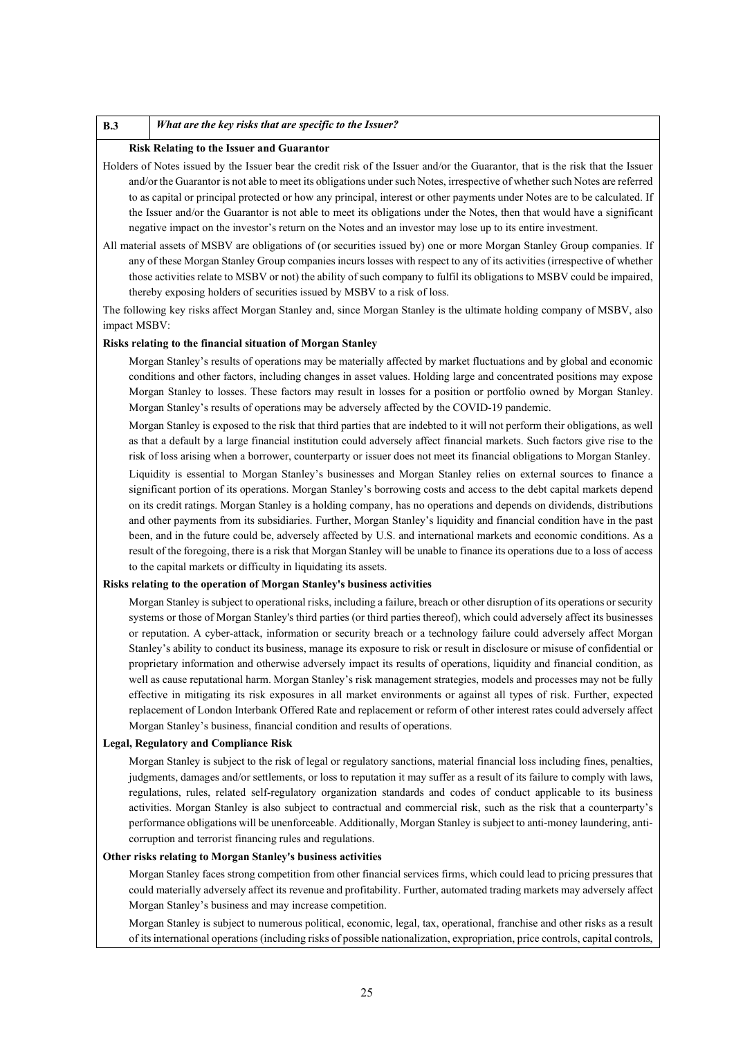#### **B.3** *What are the key risks that are specific to the Issuer?*

#### **Risk Relating to the Issuer and Guarantor**

Holders of Notes issued by the Issuer bear the credit risk of the Issuer and/or the Guarantor, that is the risk that the Issuer and/or the Guarantor is not able to meet its obligations under such Notes, irrespective of whether such Notes are referred to as capital or principal protected or how any principal, interest or other payments under Notes are to be calculated. If the Issuer and/or the Guarantor is not able to meet its obligations under the Notes, then that would have a significant negative impact on the investor's return on the Notes and an investor may lose up to its entire investment.

All material assets of MSBV are obligations of (or securities issued by) one or more Morgan Stanley Group companies. If any of these Morgan Stanley Group companies incurs losses with respect to any of its activities (irrespective of whether those activities relate to MSBV or not) the ability of such company to fulfil its obligations to MSBV could be impaired, thereby exposing holders of securities issued by MSBV to a risk of loss.

The following key risks affect Morgan Stanley and, since Morgan Stanley is the ultimate holding company of MSBV, also impact MSBV:

### **Risks relating to the financial situation of Morgan Stanley**

Morgan Stanley's results of operations may be materially affected by market fluctuations and by global and economic conditions and other factors, including changes in asset values. Holding large and concentrated positions may expose Morgan Stanley to losses. These factors may result in losses for a position or portfolio owned by Morgan Stanley. Morgan Stanley's results of operations may be adversely affected by the COVID-19 pandemic.

Morgan Stanley is exposed to the risk that third parties that are indebted to it will not perform their obligations, as well as that a default by a large financial institution could adversely affect financial markets. Such factors give rise to the risk of loss arising when a borrower, counterparty or issuer does not meet its financial obligations to Morgan Stanley.

Liquidity is essential to Morgan Stanley's businesses and Morgan Stanley relies on external sources to finance a significant portion of its operations. Morgan Stanley's borrowing costs and access to the debt capital markets depend on its credit ratings. Morgan Stanley is a holding company, has no operations and depends on dividends, distributions and other payments from its subsidiaries. Further, Morgan Stanley's liquidity and financial condition have in the past been, and in the future could be, adversely affected by U.S. and international markets and economic conditions. As a result of the foregoing, there is a risk that Morgan Stanley will be unable to finance its operations due to a loss of access to the capital markets or difficulty in liquidating its assets.

#### **Risks relating to the operation of Morgan Stanley's business activities**

Morgan Stanley is subject to operational risks, including a failure, breach or other disruption of its operations or security systems or those of Morgan Stanley's third parties (or third parties thereof), which could adversely affect its businesses or reputation. A cyber-attack, information or security breach or a technology failure could adversely affect Morgan Stanley's ability to conduct its business, manage its exposure to risk or result in disclosure or misuse of confidential or proprietary information and otherwise adversely impact its results of operations, liquidity and financial condition, as well as cause reputational harm. Morgan Stanley's risk management strategies, models and processes may not be fully effective in mitigating its risk exposures in all market environments or against all types of risk. Further, expected replacement of London Interbank Offered Rate and replacement or reform of other interest rates could adversely affect Morgan Stanley's business, financial condition and results of operations.

#### **Legal, Regulatory and Compliance Risk**

Morgan Stanley is subject to the risk of legal or regulatory sanctions, material financial loss including fines, penalties, judgments, damages and/or settlements, or loss to reputation it may suffer as a result of its failure to comply with laws, regulations, rules, related self-regulatory organization standards and codes of conduct applicable to its business activities. Morgan Stanley is also subject to contractual and commercial risk, such as the risk that a counterparty's performance obligations will be unenforceable. Additionally, Morgan Stanley is subject to anti-money laundering, anticorruption and terrorist financing rules and regulations.

## **Other risks relating to Morgan Stanley's business activities**

Morgan Stanley faces strong competition from other financial services firms, which could lead to pricing pressures that could materially adversely affect its revenue and profitability. Further, automated trading markets may adversely affect Morgan Stanley's business and may increase competition.

Morgan Stanley is subject to numerous political, economic, legal, tax, operational, franchise and other risks as a result of its international operations (including risks of possible nationalization, expropriation, price controls, capital controls,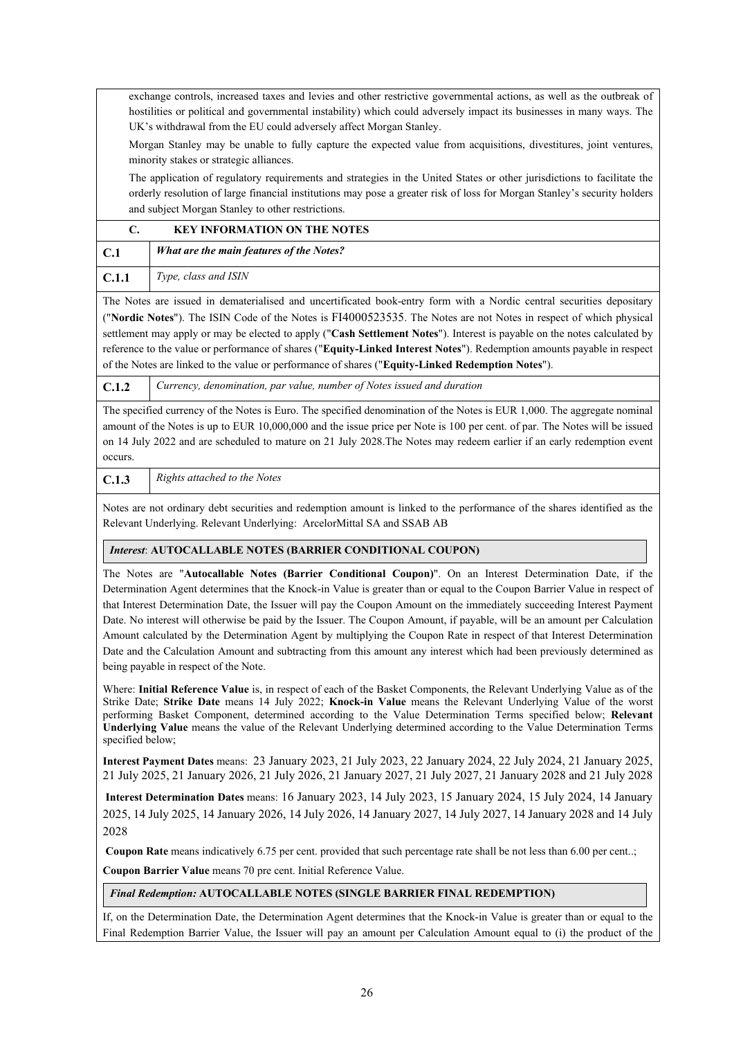exchange controls, increased taxes and levies and other restrictive governmental actions, as well as the outbreak of hostilities or political and governmental instability) which could adversely impact its businesses in many ways. The UK's withdrawal from the EU could adversely affect Morgan Stanley.

Morgan Stanley may be unable to fully capture the expected value from acquisitions, divestitures, joint ventures, minority stakes or strategic alliances.

The application of regulatory requirements and strategies in the United States or other jurisdictions to facilitate the orderly resolution of large financial institutions may pose a greater risk of loss for Morgan Stanley's security holders and subject Morgan Stanley to other restrictions.

|       | <b>KEY INFORMATION ON THE NOTES</b>             |
|-------|-------------------------------------------------|
| C.1   | <b>What are the main features of the Notes?</b> |
| C.1.1 | Type, class and ISIN                            |

The Notes are issued in dematerialised and uncertificated book-entry form with a Nordic central securities depositary ("**Nordic Notes**"). The ISIN Code of the Notes is FI4000523535. The Notes are not Notes in respect of which physical settlement may apply or may be elected to apply ("**Cash Settlement Notes**"). Interest is payable on the notes calculated by reference to the value or performance of shares ("**Equity-Linked Interest Notes**"). Redemption amounts payable in respect of the Notes are linked to the value or performance of shares ("**Equity-Linked Redemption Notes**").

**C.1.2** *Currency, denomination, par value, number of Notes issued and duration*

The specified currency of the Notes is Euro. The specified denomination of the Notes is EUR 1,000. The aggregate nominal amount of the Notes is up to EUR 10,000,000 and the issue price per Note is 100 per cent. of par. The Notes will be issued on 14 July 2022 and are scheduled to mature on 21 July 2028.The Notes may redeem earlier if an early redemption event occurs.

**C.1.3** *Rights attached to the Notes*

Notes are not ordinary debt securities and redemption amount is linked to the performance of the shares identified as the Relevant Underlying. Relevant Underlying: ArcelorMittal SA and SSAB AB

# *Interest*: **AUTOCALLABLE NOTES (BARRIER CONDITIONAL COUPON)**

The Notes are "**Autocallable Notes (Barrier Conditional Coupon)**". On an Interest Determination Date, if the Determination Agent determines that the Knock-in Value is greater than or equal to the Coupon Barrier Value in respect of that Interest Determination Date, the Issuer will pay the Coupon Amount on the immediately succeeding Interest Payment Date. No interest will otherwise be paid by the Issuer. The Coupon Amount, if payable, will be an amount per Calculation Amount calculated by the Determination Agent by multiplying the Coupon Rate in respect of that Interest Determination Date and the Calculation Amount and subtracting from this amount any interest which had been previously determined as being payable in respect of the Note.

Where: **Initial Reference Value** is, in respect of each of the Basket Components, the Relevant Underlying Value as of the Strike Date; **Strike Date** means 14 July 2022; **Knock-in Value** means the Relevant Underlying Value of the worst performing Basket Component, determined according to the Value Determination Terms specified below; **Relevant Underlying Value** means the value of the Relevant Underlying determined according to the Value Determination Terms specified below;

**Interest Payment Dates** means: 23 January 2023, 21 July 2023, 22 January 2024, 22 July 2024, 21 January 2025, 21 July 2025, 21 January 2026, 21 July 2026, 21 January 2027, 21 July 2027, 21 January 2028 and 21 July 2028

**Interest Determination Dates** means: 16 January 2023, 14 July 2023, 15 January 2024, 15 July 2024, 14 January 2025, 14 July 2025, 14 January 2026, 14 July 2026, 14 January 2027, 14 July 2027, 14 January 2028 and 14 July 2028

**Coupon Rate** means indicatively 6.75 per cent. provided that such percentage rate shall be not less than 6.00 per cent..;

**Coupon Barrier Value** means 70 pre cent. Initial Reference Value.

# *Final Redemption:* **AUTOCALLABLE NOTES (SINGLE BARRIER FINAL REDEMPTION)**

If, on the Determination Date, the Determination Agent determines that the Knock-in Value is greater than or equal to the Final Redemption Barrier Value, the Issuer will pay an amount per Calculation Amount equal to (i) the product of the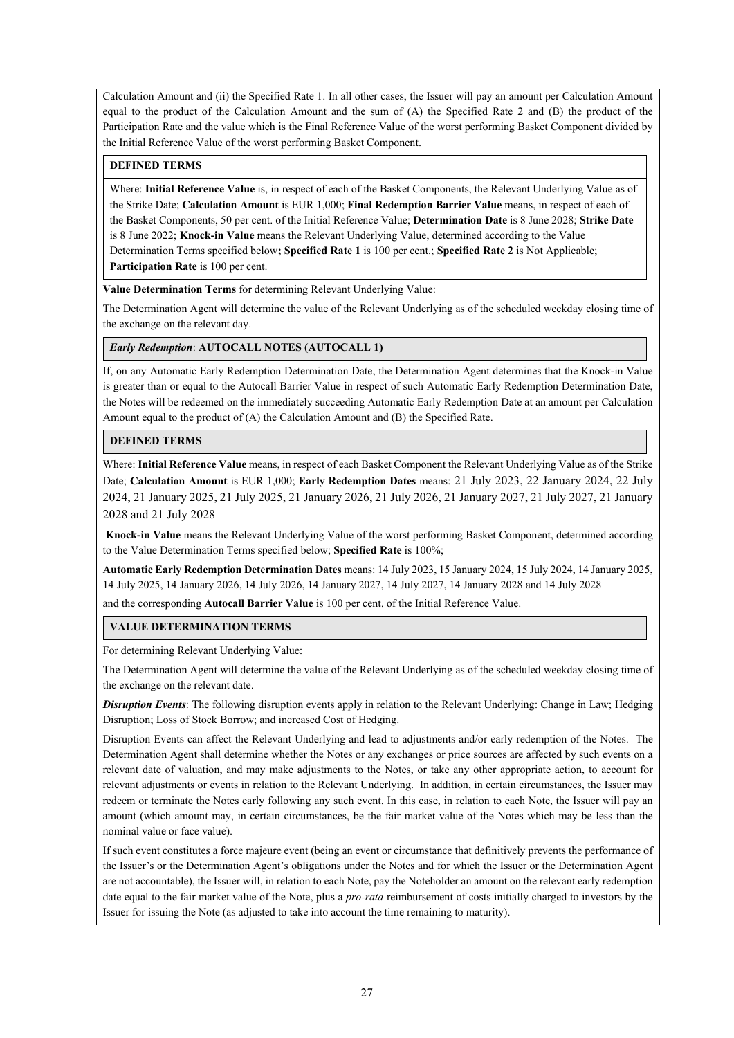Calculation Amount and (ii) the Specified Rate 1. In all other cases, the Issuer will pay an amount per Calculation Amount equal to the product of the Calculation Amount and the sum of (A) the Specified Rate 2 and (B) the product of the Participation Rate and the value which is the Final Reference Value of the worst performing Basket Component divided by the Initial Reference Value of the worst performing Basket Component.

## **DEFINED TERMS**

Where: **Initial Reference Value** is, in respect of each of the Basket Components, the Relevant Underlying Value as of the Strike Date; **Calculation Amount** is EUR 1,000; **Final Redemption Barrier Value** means, in respect of each of the Basket Components, 50 per cent. of the Initial Reference Value; **Determination Date** is 8 June 2028; **Strike Date** is 8 June 2022; **Knock-in Value** means the Relevant Underlying Value, determined according to the Value Determination Terms specified below**; Specified Rate 1** is 100 per cent.; **Specified Rate 2** is Not Applicable; **Participation Rate** is 100 per cent.

**Value Determination Terms** for determining Relevant Underlying Value:

The Determination Agent will determine the value of the Relevant Underlying as of the scheduled weekday closing time of the exchange on the relevant day.

## *Early Redemption*: **AUTOCALL NOTES (AUTOCALL 1)**

If, on any Automatic Early Redemption Determination Date, the Determination Agent determines that the Knock-in Value is greater than or equal to the Autocall Barrier Value in respect of such Automatic Early Redemption Determination Date, the Notes will be redeemed on the immediately succeeding Automatic Early Redemption Date at an amount per Calculation Amount equal to the product of (A) the Calculation Amount and (B) the Specified Rate.

## **DEFINED TERMS**

Where: **Initial Reference Value** means, in respect of each Basket Component the Relevant Underlying Value as of the Strike Date; **Calculation Amount** is EUR 1,000; **Early Redemption Dates** means: 21 July 2023, 22 January 2024, 22 July 2024, 21 January 2025, 21 July 2025, 21 January 2026, 21 July 2026, 21 January 2027, 21 July 2027, 21 January 2028 and 21 July 2028

**Knock-in Value** means the Relevant Underlying Value of the worst performing Basket Component, determined according to the Value Determination Terms specified below; **Specified Rate** is 100%;

**Automatic Early Redemption Determination Dates** means: 14 July 2023, 15 January 2024, 15 July 2024, 14 January 2025, 14 July 2025, 14 January 2026, 14 July 2026, 14 January 2027, 14 July 2027, 14 January 2028 and 14 July 2028

and the corresponding **Autocall Barrier Value** is 100 per cent. of the Initial Reference Value.

# **VALUE DETERMINATION TERMS**

For determining Relevant Underlying Value:

The Determination Agent will determine the value of the Relevant Underlying as of the scheduled weekday closing time of the exchange on the relevant date.

*Disruption Events*: The following disruption events apply in relation to the Relevant Underlying: Change in Law; Hedging Disruption; Loss of Stock Borrow; and increased Cost of Hedging.

Disruption Events can affect the Relevant Underlying and lead to adjustments and/or early redemption of the Notes. The Determination Agent shall determine whether the Notes or any exchanges or price sources are affected by such events on a relevant date of valuation, and may make adjustments to the Notes, or take any other appropriate action, to account for relevant adjustments or events in relation to the Relevant Underlying. In addition, in certain circumstances, the Issuer may redeem or terminate the Notes early following any such event. In this case, in relation to each Note, the Issuer will pay an amount (which amount may, in certain circumstances, be the fair market value of the Notes which may be less than the nominal value or face value).

If such event constitutes a force majeure event (being an event or circumstance that definitively prevents the performance of the Issuer's or the Determination Agent's obligations under the Notes and for which the Issuer or the Determination Agent are not accountable), the Issuer will, in relation to each Note, pay the Noteholder an amount on the relevant early redemption date equal to the fair market value of the Note, plus a *pro-rata* reimbursement of costs initially charged to investors by the Issuer for issuing the Note (as adjusted to take into account the time remaining to maturity).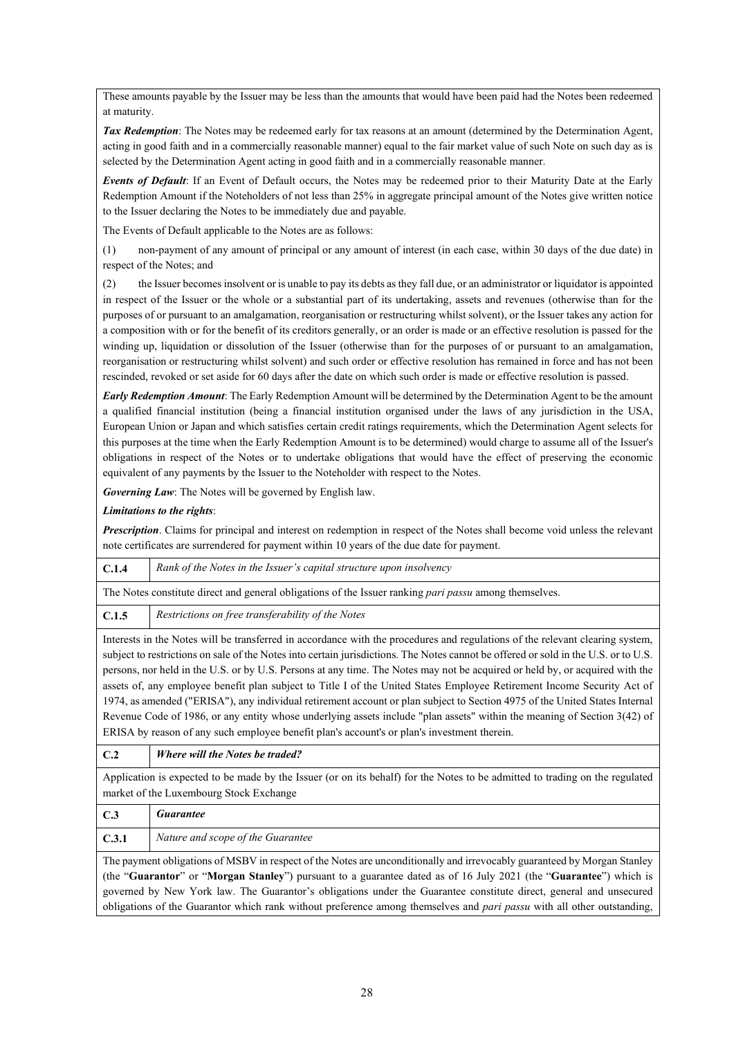These amounts payable by the Issuer may be less than the amounts that would have been paid had the Notes been redeemed at maturity.

*Tax Redemption*: The Notes may be redeemed early for tax reasons at an amount (determined by the Determination Agent, acting in good faith and in a commercially reasonable manner) equal to the fair market value of such Note on such day as is selected by the Determination Agent acting in good faith and in a commercially reasonable manner.

*Events of Default*: If an Event of Default occurs, the Notes may be redeemed prior to their Maturity Date at the Early Redemption Amount if the Noteholders of not less than 25% in aggregate principal amount of the Notes give written notice to the Issuer declaring the Notes to be immediately due and payable.

The Events of Default applicable to the Notes are as follows:

(1) non-payment of any amount of principal or any amount of interest (in each case, within 30 days of the due date) in respect of the Notes; and

(2) the Issuer becomes insolvent or is unable to pay its debts as they fall due, or an administrator or liquidator is appointed in respect of the Issuer or the whole or a substantial part of its undertaking, assets and revenues (otherwise than for the purposes of or pursuant to an amalgamation, reorganisation or restructuring whilst solvent), or the Issuer takes any action for a composition with or for the benefit of its creditors generally, or an order is made or an effective resolution is passed for the winding up, liquidation or dissolution of the Issuer (otherwise than for the purposes of or pursuant to an amalgamation, reorganisation or restructuring whilst solvent) and such order or effective resolution has remained in force and has not been rescinded, revoked or set aside for 60 days after the date on which such order is made or effective resolution is passed.

*Early Redemption Amount*: The Early Redemption Amount will be determined by the Determination Agent to be the amount a qualified financial institution (being a financial institution organised under the laws of any jurisdiction in the USA, European Union or Japan and which satisfies certain credit ratings requirements, which the Determination Agent selects for this purposes at the time when the Early Redemption Amount is to be determined) would charge to assume all of the Issuer's obligations in respect of the Notes or to undertake obligations that would have the effect of preserving the economic equivalent of any payments by the Issuer to the Noteholder with respect to the Notes.

*Governing Law*: The Notes will be governed by English law.

## *Limitations to the rights*:

*Prescription*. Claims for principal and interest on redemption in respect of the Notes shall become void unless the relevant note certificates are surrendered for payment within 10 years of the due date for payment.

| C.1.4                                                                                                                       | Rank of the Notes in the Issuer's capital structure upon insolvency                                                                                                                                                                                                                                                                                                                                                                                                                                                             |  |
|-----------------------------------------------------------------------------------------------------------------------------|---------------------------------------------------------------------------------------------------------------------------------------------------------------------------------------------------------------------------------------------------------------------------------------------------------------------------------------------------------------------------------------------------------------------------------------------------------------------------------------------------------------------------------|--|
|                                                                                                                             | The Notes constitute direct and general obligations of the Issuer ranking <i>pari passu</i> among themselves.                                                                                                                                                                                                                                                                                                                                                                                                                   |  |
| C.1.5                                                                                                                       | Restrictions on free transferability of the Notes                                                                                                                                                                                                                                                                                                                                                                                                                                                                               |  |
|                                                                                                                             | Interests in the Notes will be transferred in accordance with the procedures and regulations of the relevant clearing system,<br>subject to restrictions on sale of the Notes into certain jurisdictions. The Notes cannot be offered or sold in the U.S. or to U.S.<br>persons, nor held in the U.S. or by U.S. Persons at any time. The Notes may not be acquired or held by, or acquired with the<br>assets of, any employee benefit plan subject to Title I of the United States Employee Retirement Income Security Act of |  |
| 1974, as amended ("ERISA"), any individual retirement account or plan subject to Section 4975 of the United States Internal |                                                                                                                                                                                                                                                                                                                                                                                                                                                                                                                                 |  |

Revenue Code of 1986, or any entity whose underlying assets include "plan assets" within the meaning of Section 3(42) of ERISA by reason of any such employee benefit plan's account's or plan's investment therein.

# **C.2** *Where will the Notes be traded?*

Application is expected to be made by the Issuer (or on its behalf) for the Notes to be admitted to trading on the regulated market of the Luxembourg Stock Exchange

| C.3                                                                                                                      | <i><b>Guarantee</b></i>           |  |
|--------------------------------------------------------------------------------------------------------------------------|-----------------------------------|--|
| C.3.1                                                                                                                    | Nature and scope of the Guarantee |  |
| The payment obligations of MSBV in respect of the Notes are unconditionally and irrevocably guaranteed by Morgan Stanley |                                   |  |
| (the "Guarantor" or "Morgan Stanley") pursuant to a guarantee dated as of 16 July 2021 (the "Guarantee") which is        |                                   |  |

governed by New York law. The Guarantor's obligations under the Guarantee constitute direct, general and unsecured obligations of the Guarantor which rank without preference among themselves and *pari passu* with all other outstanding,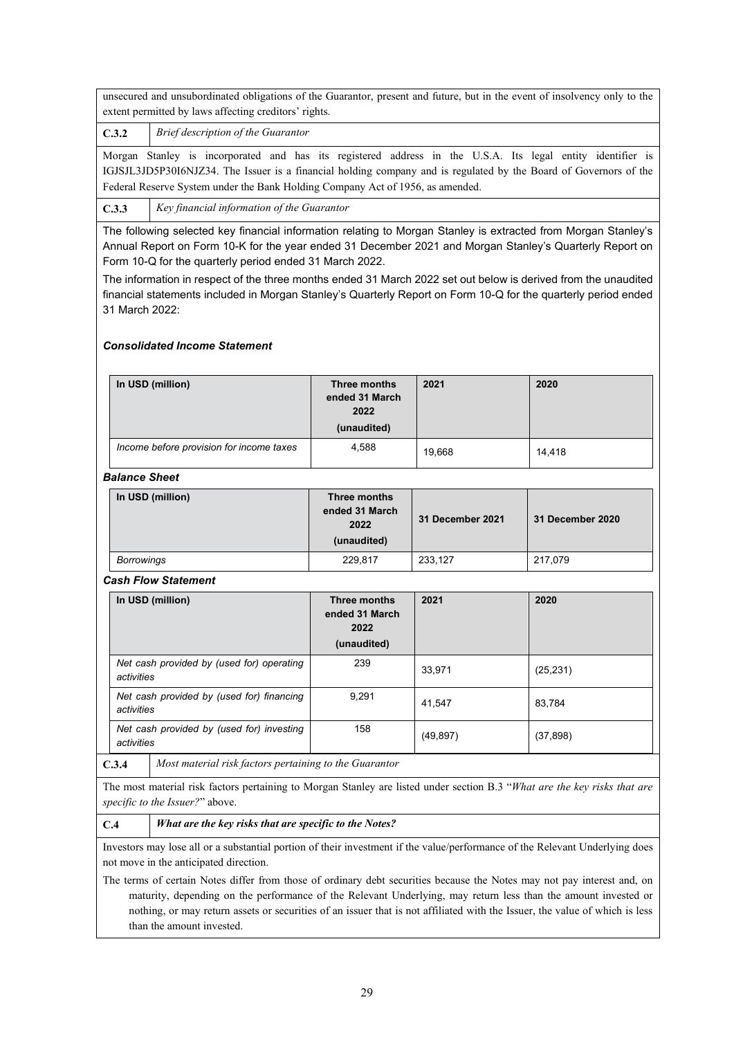unsecured and unsubordinated obligations of the Guarantor, present and future, but in the event of insolvency only to the extent permitted by laws affecting creditors' rights.

**C.3.2** *Brief description of the Guarantor*

Morgan Stanley is incorporated and has its registered address in the U.S.A. Its legal entity identifier is IGJSJL3JD5P30I6NJZ34. The Issuer is a financial holding company and is regulated by the Board of Governors of the Federal Reserve System under the Bank Holding Company Act of 1956, as amended.

**C.3.3** *Key financial information of the Guarantor*

The following selected key financial information relating to Morgan Stanley is extracted from Morgan Stanley's Annual Report on Form 10-K for the year ended 31 December 2021 and Morgan Stanley's Quarterly Report on Form 10-Q for the quarterly period ended 31 March 2022.

The information in respect of the three months ended 31 March 2022 set out below is derived from the unaudited financial statements included in Morgan Stanley's Quarterly Report on Form 10-Q for the quarterly period ended 31 March 2022:

# *Consolidated Income Statement*

| In USD (million)                         | Three months<br>ended 31 March<br>2022<br>(unaudited) | 2021   | 2020   |
|------------------------------------------|-------------------------------------------------------|--------|--------|
| Income before provision for income taxes | 4,588                                                 | 19.668 | 14.418 |

# *Balance Sheet*

| In USD (million) | Three months<br>ended 31 March<br>2022<br>(unaudited) | 31 December 2021 | 31 December 2020 |
|------------------|-------------------------------------------------------|------------------|------------------|
| Borrowings       | 229,817                                               | 233.127          | 217,079          |

# *Cash Flow Statement*

| In USD (million)                                        | Three months<br>ended 31 March<br>2022<br>(unaudited) | 2021      | 2020      |
|---------------------------------------------------------|-------------------------------------------------------|-----------|-----------|
| Net cash provided by (used for) operating<br>activities | 239                                                   | 33,971    | (25, 231) |
| Net cash provided by (used for) financing<br>activities | 9,291                                                 | 41.547    | 83,784    |
| Net cash provided by (used for) investing<br>activities | 158                                                   | (49, 897) | (37, 898) |

**C.3.4** *Most material risk factors pertaining to the Guarantor*

The most material risk factors pertaining to Morgan Stanley are listed under section B.3 "*What are the key risks that are specific to the Issuer?*" above.

# **C.4** *What are the key risks that are specific to the Notes?*

Investors may lose all or a substantial portion of their investment if the value/performance of the Relevant Underlying does not move in the anticipated direction.

The terms of certain Notes differ from those of ordinary debt securities because the Notes may not pay interest and, on maturity, depending on the performance of the Relevant Underlying, may return less than the amount invested or nothing, or may return assets or securities of an issuer that is not affiliated with the Issuer, the value of which is less than the amount invested.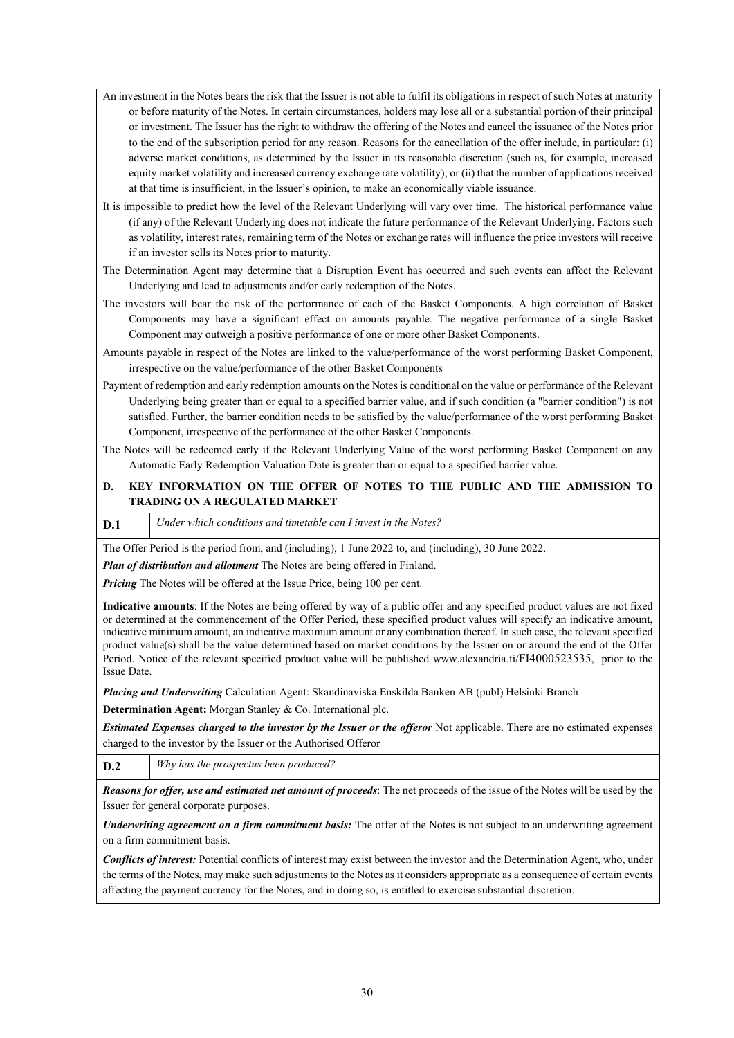- An investment in the Notes bears the risk that the Issuer is not able to fulfil its obligations in respect of such Notes at maturity or before maturity of the Notes. In certain circumstances, holders may lose all or a substantial portion of their principal or investment. The Issuer has the right to withdraw the offering of the Notes and cancel the issuance of the Notes prior to the end of the subscription period for any reason. Reasons for the cancellation of the offer include, in particular: (i) adverse market conditions, as determined by the Issuer in its reasonable discretion (such as, for example, increased equity market volatility and increased currency exchange rate volatility); or (ii) that the number of applications received at that time is insufficient, in the Issuer's opinion, to make an economically viable issuance.
- It is impossible to predict how the level of the Relevant Underlying will vary over time. The historical performance value (if any) of the Relevant Underlying does not indicate the future performance of the Relevant Underlying. Factors such as volatility, interest rates, remaining term of the Notes or exchange rates will influence the price investors will receive if an investor sells its Notes prior to maturity.
- The Determination Agent may determine that a Disruption Event has occurred and such events can affect the Relevant Underlying and lead to adjustments and/or early redemption of the Notes.
- The investors will bear the risk of the performance of each of the Basket Components. A high correlation of Basket Components may have a significant effect on amounts payable. The negative performance of a single Basket Component may outweigh a positive performance of one or more other Basket Components.
- Amounts payable in respect of the Notes are linked to the value/performance of the worst performing Basket Component, irrespective on the value/performance of the other Basket Components
- Payment of redemption and early redemption amounts on the Notes is conditional on the value or performance of the Relevant Underlying being greater than or equal to a specified barrier value, and if such condition (a "barrier condition") is not satisfied. Further, the barrier condition needs to be satisfied by the value/performance of the worst performing Basket Component, irrespective of the performance of the other Basket Components.
- The Notes will be redeemed early if the Relevant Underlying Value of the worst performing Basket Component on any Automatic Early Redemption Valuation Date is greater than or equal to a specified barrier value.

# **D. KEY INFORMATION ON THE OFFER OF NOTES TO THE PUBLIC AND THE ADMISSION TO TRADING ON A REGULATED MARKET**

**D.1** *Under which conditions and timetable can I invest in the Notes?* 

The Offer Period is the period from, and (including), 1 June 2022 to, and (including), 30 June 2022.

*Plan of distribution and allotment* The Notes are being offered in Finland.

*Pricing* The Notes will be offered at the Issue Price, being 100 per cent.

**Indicative amounts**: If the Notes are being offered by way of a public offer and any specified product values are not fixed or determined at the commencement of the Offer Period, these specified product values will specify an indicative amount, indicative minimum amount, an indicative maximum amount or any combination thereof. In such case, the relevant specified product value(s) shall be the value determined based on market conditions by the Issuer on or around the end of the Offer Period. Notice of the relevant specified product value will be published www.alexandria.fi/FI4000523535, prior to the Issue Date.

*Placing and Underwriting* Calculation Agent: Skandinaviska Enskilda Banken AB (publ) Helsinki Branch

**Determination Agent:** Morgan Stanley & Co. International plc.

*Estimated Expenses charged to the investor by the Issuer or the offeror* Not applicable. There are no estimated expenses charged to the investor by the Issuer or the Authorised Offeror

**D.2** *Why has the prospectus been produced?* 

*Reasons for offer, use and estimated net amount of proceeds*: The net proceeds of the issue of the Notes will be used by the Issuer for general corporate purposes.

*Underwriting agreement on a firm commitment basis:* The offer of the Notes is not subject to an underwriting agreement on a firm commitment basis.

*Conflicts of interest:* Potential conflicts of interest may exist between the investor and the Determination Agent, who, under the terms of the Notes, may make such adjustments to the Notes as it considers appropriate as a consequence of certain events affecting the payment currency for the Notes, and in doing so, is entitled to exercise substantial discretion.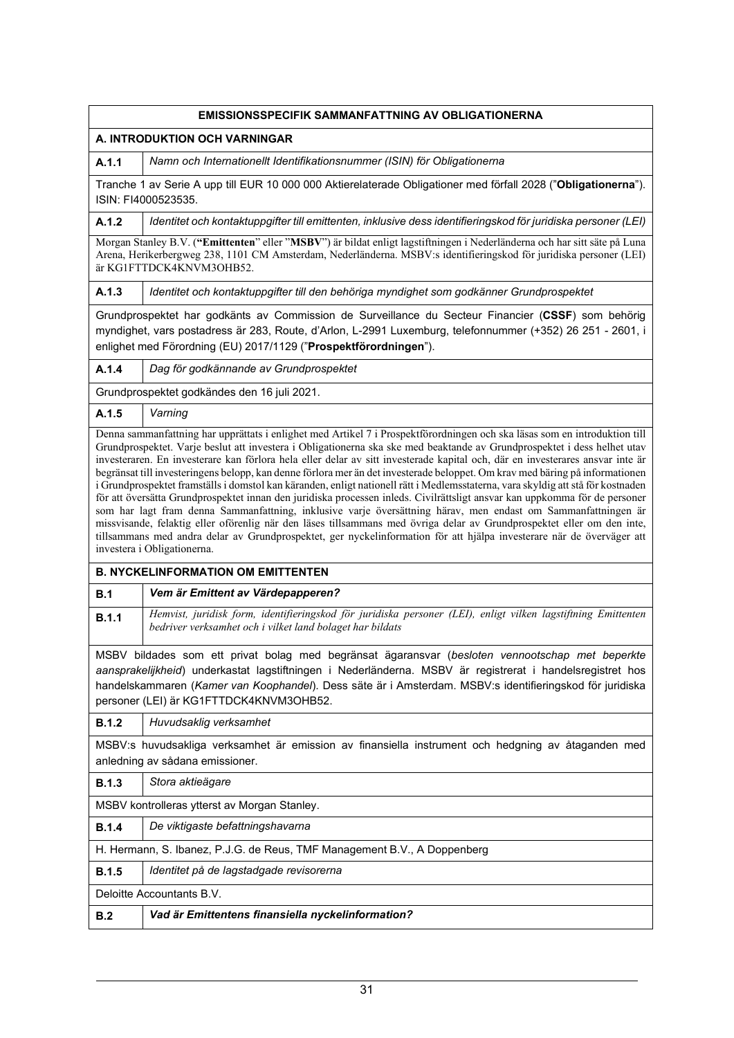|              | EMISSIONSSPECIFIK SAMMANFATTNING AV OBLIGATIONERNA                                                                                                                                                                                                                                                                                                                                                                                                                                                                                                                                                                                                                                                                                                                                                                                                                                                                                                                                                                                                             |  |  |  |
|--------------|----------------------------------------------------------------------------------------------------------------------------------------------------------------------------------------------------------------------------------------------------------------------------------------------------------------------------------------------------------------------------------------------------------------------------------------------------------------------------------------------------------------------------------------------------------------------------------------------------------------------------------------------------------------------------------------------------------------------------------------------------------------------------------------------------------------------------------------------------------------------------------------------------------------------------------------------------------------------------------------------------------------------------------------------------------------|--|--|--|
|              | A. INTRODUKTION OCH VARNINGAR                                                                                                                                                                                                                                                                                                                                                                                                                                                                                                                                                                                                                                                                                                                                                                                                                                                                                                                                                                                                                                  |  |  |  |
| A.1.1        | Namn och Internationellt Identifikationsnummer (ISIN) för Obligationerna                                                                                                                                                                                                                                                                                                                                                                                                                                                                                                                                                                                                                                                                                                                                                                                                                                                                                                                                                                                       |  |  |  |
|              | Tranche 1 av Serie A upp till EUR 10 000 000 Aktierelaterade Obligationer med förfall 2028 ("Obligationerna").<br>ISIN: FI4000523535.                                                                                                                                                                                                                                                                                                                                                                                                                                                                                                                                                                                                                                                                                                                                                                                                                                                                                                                          |  |  |  |
| A.1.2        | Identitet och kontaktuppgifter till emittenten, inklusive dess identifieringskod för juridiska personer (LEI)                                                                                                                                                                                                                                                                                                                                                                                                                                                                                                                                                                                                                                                                                                                                                                                                                                                                                                                                                  |  |  |  |
|              | Morgan Stanley B.V. ("Emittenten" eller "MSBV") är bildat enligt lagstiftningen i Nederländerna och har sitt säte på Luna<br>Arena, Herikerbergweg 238, 1101 CM Amsterdam, Nederländerna. MSBV:s identifieringskod för juridiska personer (LEI)<br>är KG1FTTDCK4KNVM3OHB52.                                                                                                                                                                                                                                                                                                                                                                                                                                                                                                                                                                                                                                                                                                                                                                                    |  |  |  |
| A.1.3        | Identitet och kontaktuppgifter till den behöriga myndighet som godkänner Grundprospektet                                                                                                                                                                                                                                                                                                                                                                                                                                                                                                                                                                                                                                                                                                                                                                                                                                                                                                                                                                       |  |  |  |
|              | Grundprospektet har godkänts av Commission de Surveillance du Secteur Financier (CSSF) som behörig<br>myndighet, vars postadress är 283, Route, d'Arlon, L-2991 Luxemburg, telefonnummer (+352) 26 251 - 2601, i<br>enlighet med Förordning (EU) 2017/1129 ("Prospektförordningen").                                                                                                                                                                                                                                                                                                                                                                                                                                                                                                                                                                                                                                                                                                                                                                           |  |  |  |
| A.1.4        | Dag för godkännande av Grundprospektet                                                                                                                                                                                                                                                                                                                                                                                                                                                                                                                                                                                                                                                                                                                                                                                                                                                                                                                                                                                                                         |  |  |  |
|              | Grundprospektet godkändes den 16 juli 2021.                                                                                                                                                                                                                                                                                                                                                                                                                                                                                                                                                                                                                                                                                                                                                                                                                                                                                                                                                                                                                    |  |  |  |
| A.1.5        | Varning<br>Denna sammanfattning har upprättats i enlighet med Artikel 7 i Prospektförordningen och ska läsas som en introduktion till                                                                                                                                                                                                                                                                                                                                                                                                                                                                                                                                                                                                                                                                                                                                                                                                                                                                                                                          |  |  |  |
|              | Grundprospektet. Varje beslut att investera i Obligationerna ska ske med beaktande av Grundprospektet i dess helhet utav<br>investeraren. En investerare kan förlora hela eller delar av sitt investerade kapital och, där en investerares ansvar inte är<br>begränsat till investeringens belopp, kan denne förlora mer än det investerade beloppet. Om krav med bäring på informationen<br>i Grundprospektet framställs i domstol kan käranden, enligt nationell rätt i Medlemsstaterna, vara skyldig att stå för kostnaden<br>för att översätta Grundprospektet innan den juridiska processen inleds. Civilrättsligt ansvar kan uppkomma för de personer<br>som har lagt fram denna Sammanfattning, inklusive varje översättning härav, men endast om Sammanfattningen är<br>missvisande, felaktig eller oförenlig när den läses tillsammans med övriga delar av Grundprospektet eller om den inte,<br>tillsammans med andra delar av Grundprospektet, ger nyckelinformation för att hjälpa investerare när de överväger att<br>investera i Obligationerna. |  |  |  |
|              | <b>B. NYCKELINFORMATION OM EMITTENTEN</b>                                                                                                                                                                                                                                                                                                                                                                                                                                                                                                                                                                                                                                                                                                                                                                                                                                                                                                                                                                                                                      |  |  |  |
| B.1          | Vem är Emittent av Värdepapperen?                                                                                                                                                                                                                                                                                                                                                                                                                                                                                                                                                                                                                                                                                                                                                                                                                                                                                                                                                                                                                              |  |  |  |
| B.1.1        | Hemvist, juridisk form, identifieringskod för juridiska personer (LEI), enligt vilken lagstiftning Emittenten<br>bedriver verksamhet och i vilket land bolaget har bildats                                                                                                                                                                                                                                                                                                                                                                                                                                                                                                                                                                                                                                                                                                                                                                                                                                                                                     |  |  |  |
|              | MSBV bildades som ett privat bolag med begränsat ägaransvar (besloten vennootschap met beperkte<br>aansprakelijkheid) underkastat lagstiftningen i Nederländerna. MSBV är registrerat i handelsregistret hos<br>handelskammaren (Kamer van Koophandel). Dess säte är i Amsterdam. MSBV:s identifieringskod för juridiska<br>personer (LEI) är KG1FTTDCK4KNVM3OHB52.                                                                                                                                                                                                                                                                                                                                                                                                                                                                                                                                                                                                                                                                                            |  |  |  |
| <b>B.1.2</b> | Huvudsaklig verksamhet                                                                                                                                                                                                                                                                                                                                                                                                                                                                                                                                                                                                                                                                                                                                                                                                                                                                                                                                                                                                                                         |  |  |  |
|              | MSBV:s huvudsakliga verksamhet är emission av finansiella instrument och hedgning av åtaganden med<br>anledning av sådana emissioner.                                                                                                                                                                                                                                                                                                                                                                                                                                                                                                                                                                                                                                                                                                                                                                                                                                                                                                                          |  |  |  |
| <b>B.1.3</b> | Stora aktieägare                                                                                                                                                                                                                                                                                                                                                                                                                                                                                                                                                                                                                                                                                                                                                                                                                                                                                                                                                                                                                                               |  |  |  |
|              | MSBV kontrolleras ytterst av Morgan Stanley.                                                                                                                                                                                                                                                                                                                                                                                                                                                                                                                                                                                                                                                                                                                                                                                                                                                                                                                                                                                                                   |  |  |  |
| <b>B.1.4</b> | De viktigaste befattningshavarna                                                                                                                                                                                                                                                                                                                                                                                                                                                                                                                                                                                                                                                                                                                                                                                                                                                                                                                                                                                                                               |  |  |  |
|              | H. Hermann, S. Ibanez, P.J.G. de Reus, TMF Management B.V., A Doppenberg                                                                                                                                                                                                                                                                                                                                                                                                                                                                                                                                                                                                                                                                                                                                                                                                                                                                                                                                                                                       |  |  |  |
| <b>B.1.5</b> | Identitet på de lagstadgade revisorerna                                                                                                                                                                                                                                                                                                                                                                                                                                                                                                                                                                                                                                                                                                                                                                                                                                                                                                                                                                                                                        |  |  |  |
|              | Deloitte Accountants B.V.                                                                                                                                                                                                                                                                                                                                                                                                                                                                                                                                                                                                                                                                                                                                                                                                                                                                                                                                                                                                                                      |  |  |  |
| B.2          | Vad är Emittentens finansiella nyckelinformation?                                                                                                                                                                                                                                                                                                                                                                                                                                                                                                                                                                                                                                                                                                                                                                                                                                                                                                                                                                                                              |  |  |  |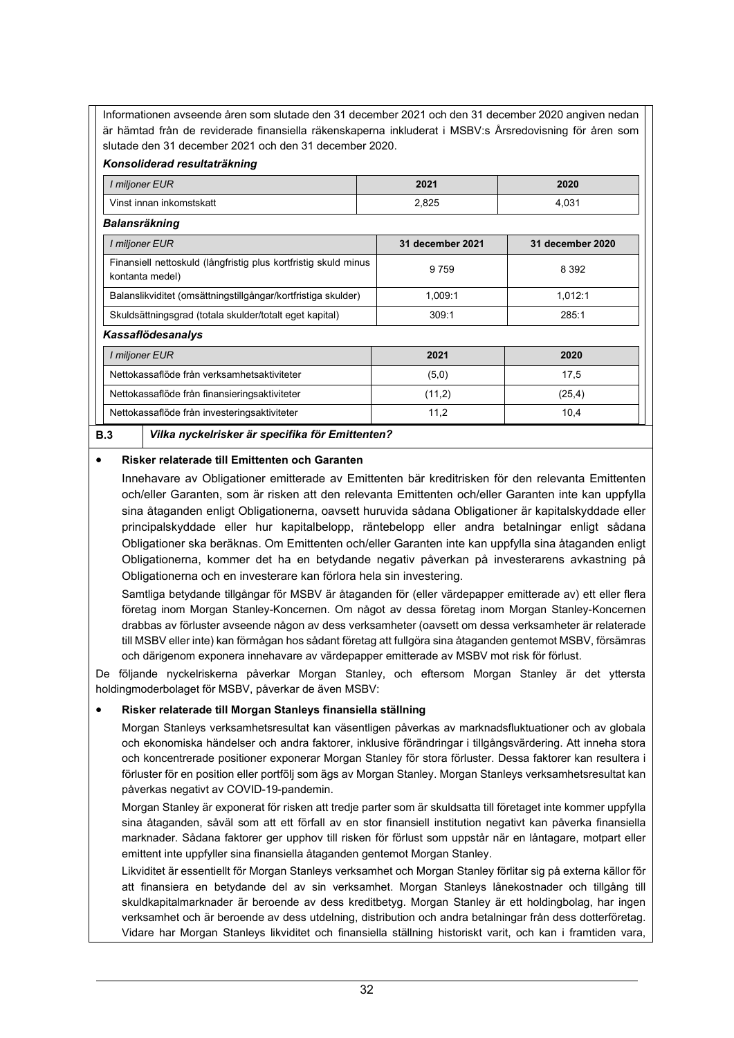Informationen avseende åren som slutade den 31 december 2021 och den 31 december 2020 angiven nedan är hämtad från de reviderade finansiella räkenskaperna inkluderat i MSBV:s Årsredovisning för åren som slutade den 31 december 2021 och den 31 december 2020.

# *Konsoliderad resultaträkning*

| I miljoner EUR                                                                     | 2021    | 2020    |  |  |
|------------------------------------------------------------------------------------|---------|---------|--|--|
| Vinst innan inkomstskatt                                                           | 2,825   | 4,031   |  |  |
| Balansräkning                                                                      |         |         |  |  |
| I miljoner EUR<br>31 december 2021<br>31 december 2020                             |         |         |  |  |
| Finansiell nettoskuld (långfristig plus kortfristig skuld minus<br>kontanta medel) | 9759    | 8 3 9 2 |  |  |
| Balanslikviditet (omsättningstillgångar/kortfristiga skulder)                      | 1,009:1 | 1,012:1 |  |  |
| Skuldsättningsgrad (totala skulder/totalt eget kapital)                            | 309:1   | 285:1   |  |  |
| <b>Kassaflödesanalys</b>                                                           |         |         |  |  |
| I miljoner EUR                                                                     | 2021    | 2020    |  |  |
| Nettokassaflöde från verksamhetsaktiviteter                                        | (5,0)   | 17,5    |  |  |
| Nettokassaflöde från finansieringsaktiviteter                                      | (11,2)  | (25, 4) |  |  |
| Nettokassaflöde från investeringsaktiviteter                                       | 11,2    | 10,4    |  |  |

# • **Risker relaterade till Emittenten och Garanten**

Innehavare av Obligationer emitterade av Emittenten bär kreditrisken för den relevanta Emittenten och/eller Garanten, som är risken att den relevanta Emittenten och/eller Garanten inte kan uppfylla sina åtaganden enligt Obligationerna, oavsett huruvida sådana Obligationer är kapitalskyddade eller principalskyddade eller hur kapitalbelopp, räntebelopp eller andra betalningar enligt sådana Obligationer ska beräknas. Om Emittenten och/eller Garanten inte kan uppfylla sina åtaganden enligt Obligationerna, kommer det ha en betydande negativ påverkan på investerarens avkastning på Obligationerna och en investerare kan förlora hela sin investering.

Samtliga betydande tillgångar för MSBV är åtaganden för (eller värdepapper emitterade av) ett eller flera företag inom Morgan Stanley-Koncernen. Om något av dessa företag inom Morgan Stanley-Koncernen drabbas av förluster avseende någon av dess verksamheter (oavsett om dessa verksamheter är relaterade till MSBV eller inte) kan förmågan hos sådant företag att fullgöra sina åtaganden gentemot MSBV, försämras och därigenom exponera innehavare av värdepapper emitterade av MSBV mot risk för förlust.

De följande nyckelriskerna påverkar Morgan Stanley, och eftersom Morgan Stanley är det yttersta holdingmoderbolaget för MSBV, påverkar de även MSBV:

# • **Risker relaterade till Morgan Stanleys finansiella ställning**

Morgan Stanleys verksamhetsresultat kan väsentligen påverkas av marknadsfluktuationer och av globala och ekonomiska händelser och andra faktorer, inklusive förändringar i tillgångsvärdering. Att inneha stora och koncentrerade positioner exponerar Morgan Stanley för stora förluster. Dessa faktorer kan resultera i förluster för en position eller portfölj som ägs av Morgan Stanley. Morgan Stanleys verksamhetsresultat kan påverkas negativt av COVID-19-pandemin.

Morgan Stanley är exponerat för risken att tredje parter som är skuldsatta till företaget inte kommer uppfylla sina åtaganden, såväl som att ett förfall av en stor finansiell institution negativt kan påverka finansiella marknader. Sådana faktorer ger upphov till risken för förlust som uppstår när en låntagare, motpart eller emittent inte uppfyller sina finansiella åtaganden gentemot Morgan Stanley.

Likviditet är essentiellt för Morgan Stanleys verksamhet och Morgan Stanley förlitar sig på externa källor för att finansiera en betydande del av sin verksamhet. Morgan Stanleys lånekostnader och tillgång till skuldkapitalmarknader är beroende av dess kreditbetyg. Morgan Stanley är ett holdingbolag, har ingen verksamhet och är beroende av dess utdelning, distribution och andra betalningar från dess dotterföretag. Vidare har Morgan Stanleys likviditet och finansiella ställning historiskt varit, och kan i framtiden vara,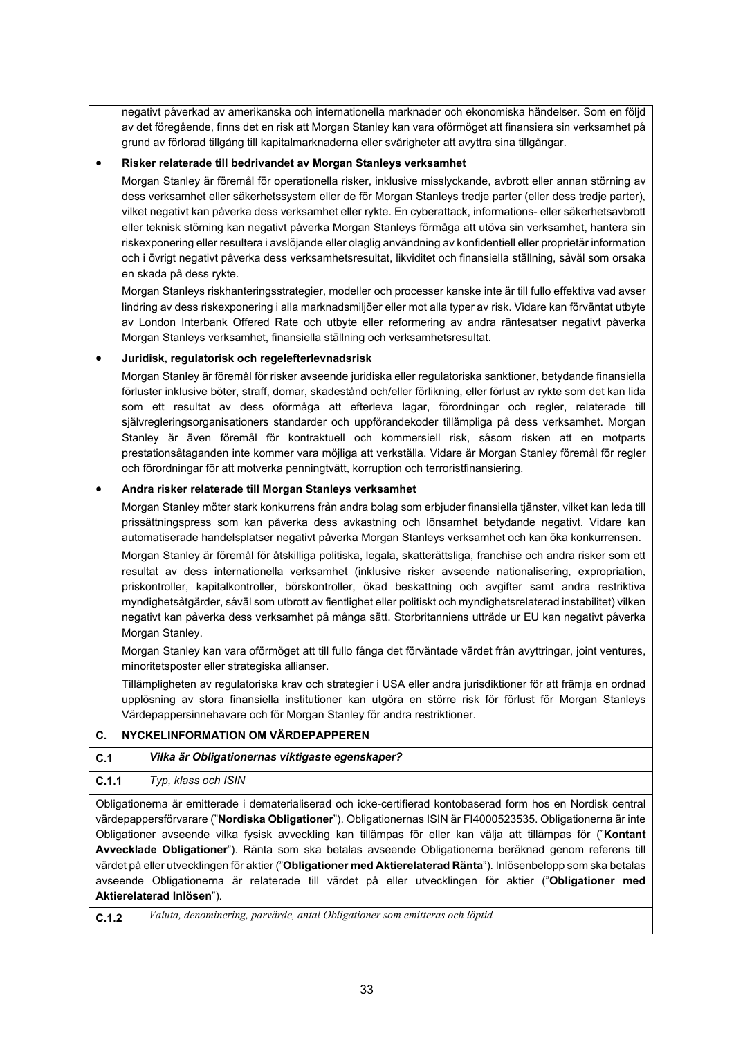negativt påverkad av amerikanska och internationella marknader och ekonomiska händelser. Som en följd av det föregående, finns det en risk att Morgan Stanley kan vara oförmöget att finansiera sin verksamhet på grund av förlorad tillgång till kapitalmarknaderna eller svårigheter att avyttra sina tillgångar.

# • **Risker relaterade till bedrivandet av Morgan Stanleys verksamhet**

Morgan Stanley är föremål för operationella risker, inklusive misslyckande, avbrott eller annan störning av dess verksamhet eller säkerhetssystem eller de för Morgan Stanleys tredje parter (eller dess tredje parter), vilket negativt kan påverka dess verksamhet eller rykte. En cyberattack, informations- eller säkerhetsavbrott eller teknisk störning kan negativt påverka Morgan Stanleys förmåga att utöva sin verksamhet, hantera sin riskexponering eller resultera i avslöjande eller olaglig användning av konfidentiell eller proprietär information och i övrigt negativt påverka dess verksamhetsresultat, likviditet och finansiella ställning, såväl som orsaka en skada på dess rykte.

Morgan Stanleys riskhanteringsstrategier, modeller och processer kanske inte är till fullo effektiva vad avser lindring av dess riskexponering i alla marknadsmiljöer eller mot alla typer av risk. Vidare kan förväntat utbyte av London Interbank Offered Rate och utbyte eller reformering av andra räntesatser negativt påverka Morgan Stanleys verksamhet, finansiella ställning och verksamhetsresultat.

# • **Juridisk, regulatorisk och regelefterlevnadsrisk**

Morgan Stanley är föremål för risker avseende juridiska eller regulatoriska sanktioner, betydande finansiella förluster inklusive böter, straff, domar, skadestånd och/eller förlikning, eller förlust av rykte som det kan lida som ett resultat av dess oförmåga att efterleva lagar, förordningar och regler, relaterade till självregleringsorganisationers standarder och uppförandekoder tillämpliga på dess verksamhet. Morgan Stanley är även föremål för kontraktuell och kommersiell risk, såsom risken att en motparts prestationsåtaganden inte kommer vara möjliga att verkställa. Vidare är Morgan Stanley föremål för regler och förordningar för att motverka penningtvätt, korruption och terroristfinansiering.

# • **Andra risker relaterade till Morgan Stanleys verksamhet**

Morgan Stanley möter stark konkurrens från andra bolag som erbjuder finansiella tjänster, vilket kan leda till prissättningspress som kan påverka dess avkastning och lönsamhet betydande negativt. Vidare kan automatiserade handelsplatser negativt påverka Morgan Stanleys verksamhet och kan öka konkurrensen.

Morgan Stanley är föremål för åtskilliga politiska, legala, skatterättsliga, franchise och andra risker som ett resultat av dess internationella verksamhet (inklusive risker avseende nationalisering, expropriation, priskontroller, kapitalkontroller, börskontroller, ökad beskattning och avgifter samt andra restriktiva myndighetsåtgärder, såväl som utbrott av fientlighet eller politiskt och myndighetsrelaterad instabilitet) vilken negativt kan påverka dess verksamhet på många sätt. Storbritanniens utträde ur EU kan negativt påverka Morgan Stanley.

Morgan Stanley kan vara oförmöget att till fullo fånga det förväntade värdet från avyttringar, joint ventures, minoritetsposter eller strategiska allianser.

Tillämpligheten av regulatoriska krav och strategier i USA eller andra jurisdiktioner för att främja en ordnad upplösning av stora finansiella institutioner kan utgöra en större risk för förlust för Morgan Stanleys Värdepappersinnehavare och för Morgan Stanley för andra restriktioner.

| C.    | NYCKELINFORMATION OM VÄRDEPAPPEREN                                                                                                                                                                                                                                                                                                                                                                                                                                                                                                                                         |  |  |  |
|-------|----------------------------------------------------------------------------------------------------------------------------------------------------------------------------------------------------------------------------------------------------------------------------------------------------------------------------------------------------------------------------------------------------------------------------------------------------------------------------------------------------------------------------------------------------------------------------|--|--|--|
| C.1   | Vilka är Obligationernas viktigaste egenskaper?                                                                                                                                                                                                                                                                                                                                                                                                                                                                                                                            |  |  |  |
| C.1.1 | Typ, klass och ISIN                                                                                                                                                                                                                                                                                                                                                                                                                                                                                                                                                        |  |  |  |
|       | Obligationerna är emitterade i dematerialiserad och icke-certifierad kontobaserad form hos en Nordisk central<br>värdepappersförvarare ("Nordiska Obligationer"). Obligationernas ISIN är FI4000523535. Obligationerna är inte<br>Obligationer avseende vilka fysisk avveckling kan tillämpas för eller kan välja att tillämpas för ("Kontant<br>Avvecklade Obligationer"). Ränta som ska betalas avseende Obligationerna beräknad genom referens till<br>värdet på eller utvecklingen för aktier ("Obligationer med Aktierelaterad Ränta"). Inlösenbelopp som ska betalas |  |  |  |

avseende Obligationerna är relaterade till värdet på eller utvecklingen för aktier ("**Obligationer med Aktierelaterad Inlösen**").

| ۰.      |  |  |
|---------|--|--|
| ×<br>۰. |  |  |

**C.1.2** *Valuta, denominering, parvärde, antal Obligationer som emitteras och löptid*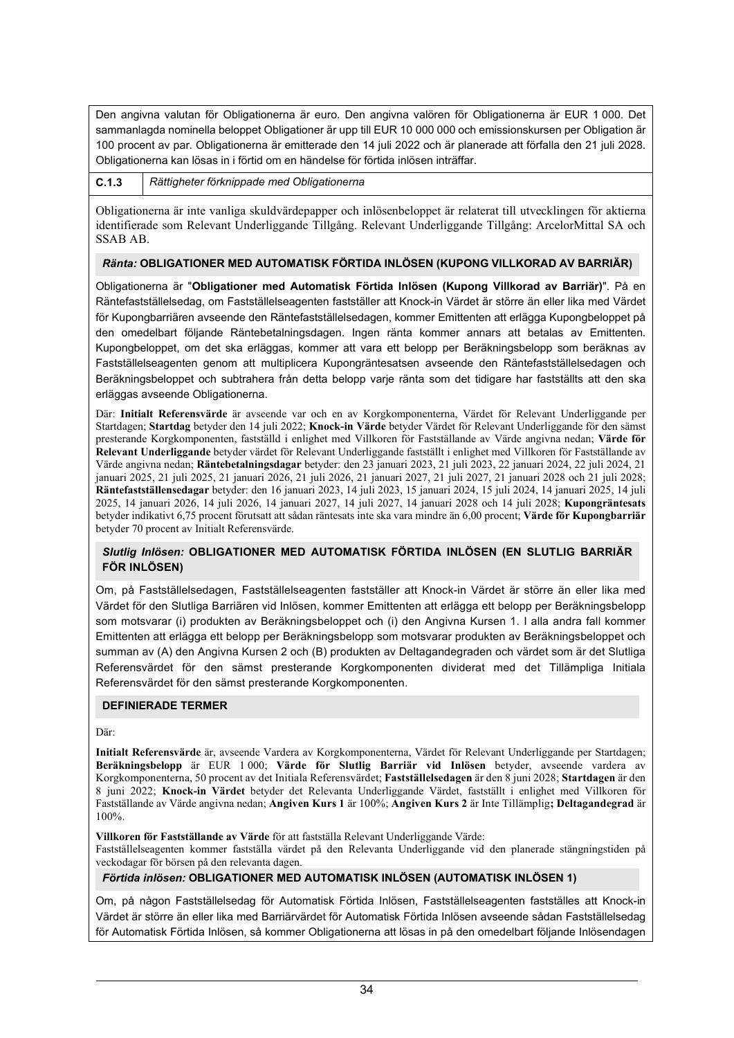Den angivna valutan för Obligationerna är euro. Den angivna valören för Obligationerna är EUR 1 000. Det sammanlagda nominella beloppet Obligationer är upp till EUR 10 000 000 och emissionskursen per Obligation är 100 procent av par. Obligationerna är emitterade den 14 juli 2022 och är planerade att förfalla den 21 juli 2028. Obligationerna kan lösas in i förtid om en händelse för förtida inlösen inträffar.

**C.1.3** *Rättigheter förknippade med Obligationerna*

Obligationerna är inte vanliga skuldvärdepapper och inlösenbeloppet är relaterat till utvecklingen för aktierna identifierade som Relevant Underliggande Tillgång. Relevant Underliggande Tillgång: ArcelorMittal SA och SSAB AB.

# *Ränta:* **OBLIGATIONER MED AUTOMATISK FÖRTIDA INLÖSEN (KUPONG VILLKORAD AV BARRIÄR)**

Obligationerna är "**Obligationer med Automatisk Förtida Inlösen (Kupong Villkorad av Barriär)**". På en Räntefastställelsedag, om Fastställelseagenten fastställer att Knock-in Värdet är större än eller lika med Värdet för Kupongbarriären avseende den Räntefastställelsedagen, kommer Emittenten att erlägga Kupongbeloppet på den omedelbart följande Räntebetalningsdagen. Ingen ränta kommer annars att betalas av Emittenten. Kupongbeloppet, om det ska erläggas, kommer att vara ett belopp per Beräkningsbelopp som beräknas av Fastställelseagenten genom att multiplicera Kupongräntesatsen avseende den Räntefastställelsedagen och Beräkningsbeloppet och subtrahera från detta belopp varje ränta som det tidigare har fastställts att den ska erläggas avseende Obligationerna.

Där: **Initialt Referensvärde** är avseende var och en av Korgkomponenterna, Värdet för Relevant Underliggande per Startdagen; **Startdag** betyder den 14 juli 2022; **Knock-in Värde** betyder Värdet för Relevant Underliggande för den sämst presterande Korgkomponenten, fastställd i enlighet med Villkoren för Fastställande av Värde angivna nedan; **Värde för Relevant Underliggande** betyder värdet för Relevant Underliggande fastställt i enlighet med Villkoren för Fastställande av Värde angivna nedan; **Räntebetalningsdagar** betyder: den 23 januari 2023, 21 juli 2023, 22 januari 2024, 22 juli 2024, 21 januari 2025, 21 juli 2025, 21 januari 2026, 21 juli 2026, 21 januari 2027, 21 juli 2027, 21 januari 2028 och 21 juli 2028; **Räntefastställensedagar** betyder: den 16 januari 2023, 14 juli 2023, 15 januari 2024, 15 juli 2024, 14 januari 2025, 14 juli 2025, 14 januari 2026, 14 juli 2026, 14 januari 2027, 14 juli 2027, 14 januari 2028 och 14 juli 2028; **Kupongräntesats** betyder indikativt 6,75 procent förutsatt att sådan räntesats inte ska vara mindre än 6,00 procent; **Värde för Kupongbarriär** betyder 70 procent av Initialt Referensvärde.

# *Slutlig Inlösen:* **OBLIGATIONER MED AUTOMATISK FÖRTIDA INLÖSEN (EN SLUTLIG BARRIÄR FÖR INLÖSEN)**

Om, på Fastställelsedagen, Fastställelseagenten fastställer att Knock-in Värdet är större än eller lika med Värdet för den Slutliga Barriären vid Inlösen, kommer Emittenten att erlägga ett belopp per Beräkningsbelopp som motsvarar (i) produkten av Beräkningsbeloppet och (i) den Angivna Kursen 1. I alla andra fall kommer Emittenten att erlägga ett belopp per Beräkningsbelopp som motsvarar produkten av Beräkningsbeloppet och summan av (A) den Angivna Kursen 2 och (B) produkten av Deltagandegraden och värdet som är det Slutliga Referensvärdet för den sämst presterande Korgkomponenten dividerat med det Tillämpliga Initiala Referensvärdet för den sämst presterande Korgkomponenten.

# **DEFINIERADE TERMER**

Där:

**Initialt Referensvärde** är, avseende Vardera av Korgkomponenterna, Värdet för Relevant Underliggande per Startdagen; **Beräkningsbelopp** är EUR 1 000; **Värde för Slutlig Barriär vid Inlösen** betyder, avseende vardera av Korgkomponenterna, 50 procent av det Initiala Referensvärdet; **Fastställelsedagen** är den 8 juni 2028; **Startdagen** är den 8 juni 2022; **Knock-in Värdet** betyder det Relevanta Underliggande Värdet, fastställt i enlighet med Villkoren för Fastställande av Värde angivna nedan; **Angiven Kurs 1** är 100%; **Angiven Kurs 2** är Inte Tillämplig**; Deltagandegrad** är 100%.

**Villkoren för Fastställande av Värde** för att fastställa Relevant Underliggande Värde: Fastställelseagenten kommer fastställa värdet på den Relevanta Underliggande vid den planerade stängningstiden på veckodagar för börsen på den relevanta dagen.

# *Förtida inlösen:* **OBLIGATIONER MED AUTOMATISK INLÖSEN (AUTOMATISK INLÖSEN 1)**

Om, på någon Fastställelsedag för Automatisk Förtida Inlösen, Fastställelseagenten fastställes att Knock-in Värdet är större än eller lika med Barriärvärdet för Automatisk Förtida Inlösen avseende sådan Fastställelsedag för Automatisk Förtida Inlösen, så kommer Obligationerna att lösas in på den omedelbart följande Inlösendagen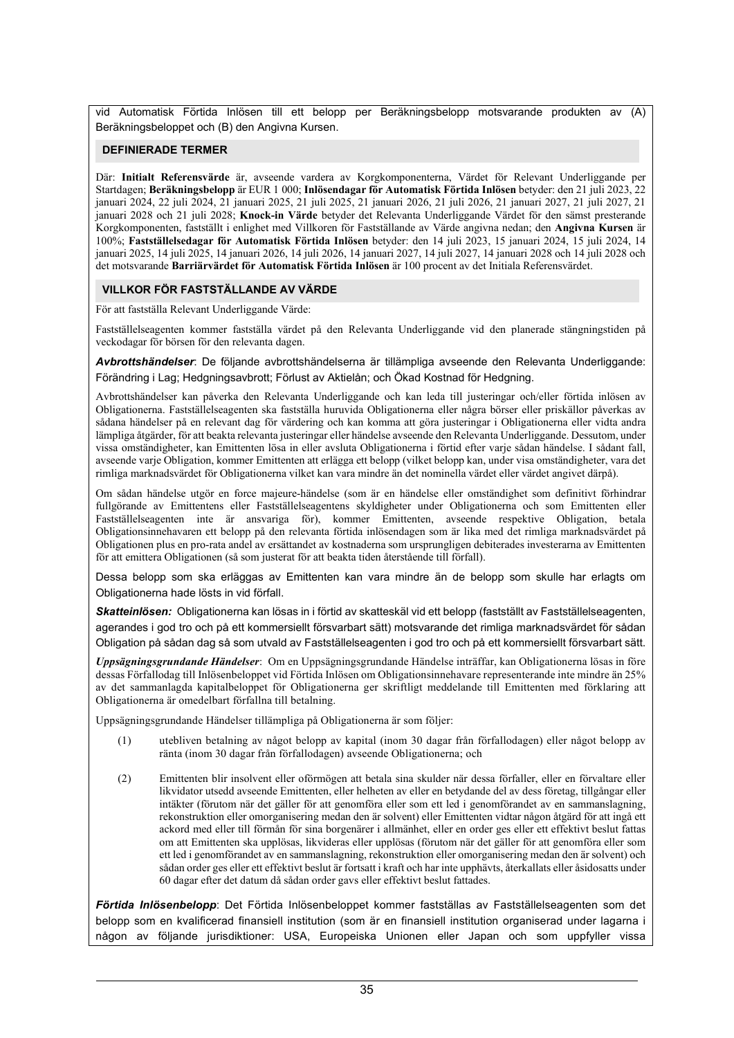vid Automatisk Förtida Inlösen till ett belopp per Beräkningsbelopp motsvarande produkten av (A) Beräkningsbeloppet och (B) den Angivna Kursen.

## **DEFINIERADE TERMER**

Där: **Initialt Referensvärde** är, avseende vardera av Korgkomponenterna, Värdet för Relevant Underliggande per Startdagen; **Beräkningsbelopp** är EUR 1 000; **Inlösendagar för Automatisk Förtida Inlösen** betyder: den 21 juli 2023, 22 januari 2024, 22 juli 2024, 21 januari 2025, 21 juli 2025, 21 januari 2026, 21 juli 2026, 21 januari 2027, 21 juli 2027, 21 januari 2028 och 21 juli 2028; **Knock-in Värde** betyder det Relevanta Underliggande Värdet för den sämst presterande Korgkomponenten, fastställt i enlighet med Villkoren för Fastställande av Värde angivna nedan; den **Angivna Kursen** är 100%; **Fastställelsedagar för Automatisk Förtida Inlösen** betyder: den 14 juli 2023, 15 januari 2024, 15 juli 2024, 14 januari 2025, 14 juli 2025, 14 januari 2026, 14 juli 2026, 14 januari 2027, 14 juli 2027, 14 januari 2028 och 14 juli 2028 och det motsvarande **Barriärvärdet för Automatisk Förtida Inlösen** är 100 procent av det Initiala Referensvärdet.

## **VILLKOR FÖR FASTSTÄLLANDE AV VÄRDE**

För att fastställa Relevant Underliggande Värde:

Fastställelseagenten kommer fastställa värdet på den Relevanta Underliggande vid den planerade stängningstiden på veckodagar för börsen för den relevanta dagen.

*Avbrottshändelser*: De följande avbrottshändelserna är tillämpliga avseende den Relevanta Underliggande: Förändring i Lag; Hedgningsavbrott; Förlust av Aktielån; och Ökad Kostnad för Hedgning.

Avbrottshändelser kan påverka den Relevanta Underliggande och kan leda till justeringar och/eller förtida inlösen av Obligationerna. Fastställelseagenten ska fastställa huruvida Obligationerna eller några börser eller priskällor påverkas av sådana händelser på en relevant dag för värdering och kan komma att göra justeringar i Obligationerna eller vidta andra lämpliga åtgärder, för att beakta relevanta justeringar eller händelse avseende den Relevanta Underliggande. Dessutom, under vissa omständigheter, kan Emittenten lösa in eller avsluta Obligationerna i förtid efter varje sådan händelse. I sådant fall, avseende varje Obligation, kommer Emittenten att erlägga ett belopp (vilket belopp kan, under visa omständigheter, vara det rimliga marknadsvärdet för Obligationerna vilket kan vara mindre än det nominella värdet eller värdet angivet därpå).

Om sådan händelse utgör en force majeure-händelse (som är en händelse eller omständighet som definitivt förhindrar fullgörande av Emittentens eller Fastställelseagentens skyldigheter under Obligationerna och som Emittenten eller Fastställelseagenten inte är ansvariga för), kommer Emittenten, avseende respektive Obligation, betala Obligationsinnehavaren ett belopp på den relevanta förtida inlösendagen som är lika med det rimliga marknadsvärdet på Obligationen plus en pro-rata andel av ersättandet av kostnaderna som ursprungligen debiterades investerarna av Emittenten för att emittera Obligationen (så som justerat för att beakta tiden återstående till förfall).

Dessa belopp som ska erläggas av Emittenten kan vara mindre än de belopp som skulle har erlagts om Obligationerna hade lösts in vid förfall.

*Skatteinlösen:* Obligationerna kan lösas in i förtid av skatteskäl vid ett belopp (fastställt av Fastställelseagenten, agerandes i god tro och på ett kommersiellt försvarbart sätt) motsvarande det rimliga marknadsvärdet för sådan Obligation på sådan dag så som utvald av Fastställelseagenten i god tro och på ett kommersiellt försvarbart sätt.

*Uppsägningsgrundande Händelser*: Om en Uppsägningsgrundande Händelse inträffar, kan Obligationerna lösas in före dessas Förfallodag till Inlösenbeloppet vid Förtida Inlösen om Obligationsinnehavare representerande inte mindre än 25% av det sammanlagda kapitalbeloppet för Obligationerna ger skriftligt meddelande till Emittenten med förklaring att Obligationerna är omedelbart förfallna till betalning.

Uppsägningsgrundande Händelser tillämpliga på Obligationerna är som följer:

- (1) utebliven betalning av något belopp av kapital (inom 30 dagar från förfallodagen) eller något belopp av ränta (inom 30 dagar från förfallodagen) avseende Obligationerna; och
- (2) Emittenten blir insolvent eller oförmögen att betala sina skulder när dessa förfaller, eller en förvaltare eller likvidator utsedd avseende Emittenten, eller helheten av eller en betydande del av dess företag, tillgångar eller intäkter (förutom när det gäller för att genomföra eller som ett led i genomförandet av en sammanslagning, rekonstruktion eller omorganisering medan den är solvent) eller Emittenten vidtar någon åtgärd för att ingå ett ackord med eller till förmån för sina borgenärer i allmänhet, eller en order ges eller ett effektivt beslut fattas om att Emittenten ska upplösas, likvideras eller upplösas (förutom när det gäller för att genomföra eller som ett led i genomförandet av en sammanslagning, rekonstruktion eller omorganisering medan den är solvent) och sådan order ges eller ett effektivt beslut är fortsatt i kraft och har inte upphävts, återkallats eller åsidosatts under 60 dagar efter det datum då sådan order gavs eller effektivt beslut fattades.

*Förtida Inlösenbelopp*: Det Förtida Inlösenbeloppet kommer fastställas av Fastställelseagenten som det belopp som en kvalificerad finansiell institution (som är en finansiell institution organiserad under lagarna i någon av följande jurisdiktioner: USA, Europeiska Unionen eller Japan och som uppfyller vissa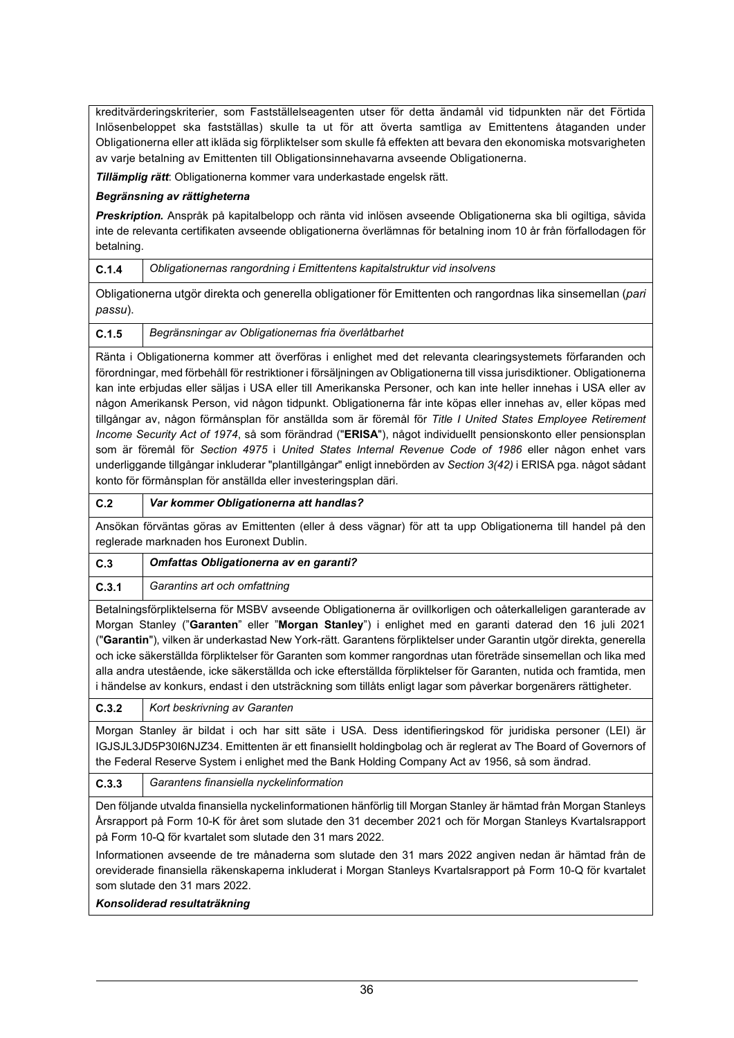kreditvärderingskriterier, som Fastställelseagenten utser för detta ändamål vid tidpunkten när det Förtida Inlösenbeloppet ska fastställas) skulle ta ut för att överta samtliga av Emittentens åtaganden under Obligationerna eller att ikläda sig förpliktelser som skulle få effekten att bevara den ekonomiska motsvarigheten av varje betalning av Emittenten till Obligationsinnehavarna avseende Obligationerna.

*Tillämplig rätt*: Obligationerna kommer vara underkastade engelsk rätt.

# *Begränsning av rättigheterna*

*Preskription.* Anspråk på kapitalbelopp och ränta vid inlösen avseende Obligationerna ska bli ogiltiga, såvida inte de relevanta certifikaten avseende obligationerna överlämnas för betalning inom 10 år från förfallodagen för betalning.

**C.1.4** *Obligationernas rangordning i Emittentens kapitalstruktur vid insolvens*

Obligationerna utgör direkta och generella obligationer för Emittenten och rangordnas lika sinsemellan (*pari passu*).

**C.1.5** *Begränsningar av Obligationernas fria överlåtbarhet*

Ränta i Obligationerna kommer att överföras i enlighet med det relevanta clearingsystemets förfaranden och förordningar, med förbehåll för restriktioner i försäljningen av Obligationerna till vissa jurisdiktioner. Obligationerna kan inte erbjudas eller säljas i USA eller till Amerikanska Personer, och kan inte heller innehas i USA eller av någon Amerikansk Person, vid någon tidpunkt. Obligationerna får inte köpas eller innehas av, eller köpas med tillgångar av, någon förmånsplan för anställda som är föremål för *Title I United States Employee Retirement Income Security Act of 1974*, så som förändrad ("**ERISA**"), något individuellt pensionskonto eller pensionsplan som är föremål för *Section 4975* i *United States Internal Revenue Code of 1986* eller någon enhet vars underliggande tillgångar inkluderar "plantillgångar" enligt innebörden av *Section 3(42)* i ERISA pga. något sådant konto för förmånsplan för anställda eller investeringsplan däri.

# **C.2** *Var kommer Obligationerna att handlas?*

Ansökan förväntas göras av Emittenten (eller å dess vägnar) för att ta upp Obligationerna till handel på den reglerade marknaden hos Euronext Dublin.

| C.3   | Omfattas Obligationerna av en garanti?                                                                             |
|-------|--------------------------------------------------------------------------------------------------------------------|
| C.3.1 | Garantins art och omfattning                                                                                       |
|       | Betalningsförpliktelserna för MSBV avseende Obligationerna är ovillkorligen och oåterkalleligen garanterade av     |
|       | Morgan Stanley ("Garanten" eller "Morgan Stanley") i enlighet med en garanti daterad den 16 juli 2021              |
|       | ("Garantin"), vilken är underkastad New York-rätt. Garantens förpliktelser under Garantin utgör direkta, generella |
|       | och icke säkerställda förpliktelser för Garanten som kommer rangordnas utan företräde sinsemellan och lika med     |

alla andra utestående, icke säkerställda och icke efterställda förpliktelser för Garanten, nutida och framtida, men i händelse av konkurs, endast i den utsträckning som tillåts enligt lagar som påverkar borgenärers rättigheter.

**C.3.2** *Kort beskrivning av Garanten*

Morgan Stanley är bildat i och har sitt säte i USA. Dess identifieringskod för juridiska personer (LEI) är IGJSJL3JD5P30I6NJZ34. Emittenten är ett finansiellt holdingbolag och är reglerat av The Board of Governors of the Federal Reserve System i enlighet med the Bank Holding Company Act av 1956, så som ändrad.

**C.3.3** *Garantens finansiella nyckelinformation*

Den följande utvalda finansiella nyckelinformationen hänförlig till Morgan Stanley är hämtad från Morgan Stanleys Årsrapport på Form 10-K för året som slutade den 31 december 2021 och för Morgan Stanleys Kvartalsrapport på Form 10-Q för kvartalet som slutade den 31 mars 2022.

Informationen avseende de tre månaderna som slutade den 31 mars 2022 angiven nedan är hämtad från de oreviderade finansiella räkenskaperna inkluderat i Morgan Stanleys Kvartalsrapport på Form 10-Q för kvartalet som slutade den 31 mars 2022.

*Konsoliderad resultaträkning*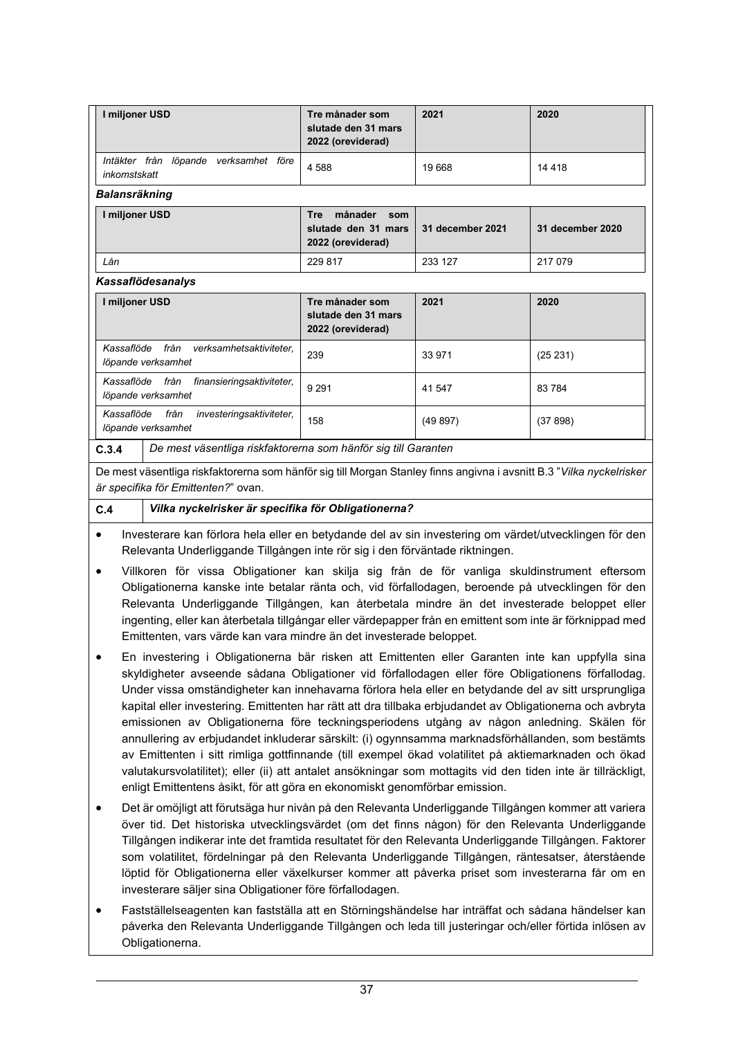| I miljoner USD                                                          | Tre månader som<br>slutade den 31 mars<br>2022 (oreviderad)              | 2021             | 2020             |  |
|-------------------------------------------------------------------------|--------------------------------------------------------------------------|------------------|------------------|--|
| Intäkter från<br>löpande verksamhet före<br>inkomstskatt                | 4 5 8 8                                                                  | 19668            | 14 4 18          |  |
| <b>Balansräkning</b>                                                    |                                                                          |                  |                  |  |
| I miljoner USD                                                          | månader<br><b>Tre</b><br>som<br>slutade den 31 mars<br>2022 (oreviderad) | 31 december 2021 | 31 december 2020 |  |
| Lån                                                                     | 229 817                                                                  | 233 127          | 217 079          |  |
| <b>Kassaflödesanalys</b>                                                |                                                                          |                  |                  |  |
| I miljoner USD                                                          | Tre månader som<br>slutade den 31 mars<br>2022 (oreviderad)              | 2021             | 2020             |  |
| Kassaflöde<br>från<br>verksamhetsaktiviteter.<br>löpande verksamhet     | 239                                                                      | 33 971           | (25 231)         |  |
| Kassaflöde från<br>finansieringsaktiviteter,<br>löpande verksamhet      | 9 2 9 1                                                                  | 41 547           | 83784            |  |
| Kassaflöde<br>från<br>investeringsaktiviteter,<br>löpande verksamhet    | 158                                                                      | (49897)          | (37898)          |  |
| De mest väsentliga riskfaktorerna som hänför sig till Garanten<br>C.3.4 |                                                                          |                  |                  |  |

De mest väsentliga riskfaktorerna som hänför sig till Morgan Stanley finns angivna i avsnitt B.3 "*Vilka nyckelrisker är specifika för Emittenten?*" ovan.

# **C.4** *Vilka nyckelrisker är specifika för Obligationerna?*

- Investerare kan förlora hela eller en betydande del av sin investering om värdet/utvecklingen för den Relevanta Underliggande Tillgången inte rör sig i den förväntade riktningen.
- Villkoren för vissa Obligationer kan skilja sig från de för vanliga skuldinstrument eftersom Obligationerna kanske inte betalar ränta och, vid förfallodagen, beroende på utvecklingen för den Relevanta Underliggande Tillgången, kan återbetala mindre än det investerade beloppet eller ingenting, eller kan återbetala tillgångar eller värdepapper från en emittent som inte är förknippad med Emittenten, vars värde kan vara mindre än det investerade beloppet.
- En investering i Obligationerna bär risken att Emittenten eller Garanten inte kan uppfylla sina skyldigheter avseende sådana Obligationer vid förfallodagen eller före Obligationens förfallodag. Under vissa omständigheter kan innehavarna förlora hela eller en betydande del av sitt ursprungliga kapital eller investering. Emittenten har rätt att dra tillbaka erbjudandet av Obligationerna och avbryta emissionen av Obligationerna före teckningsperiodens utgång av någon anledning. Skälen för annullering av erbjudandet inkluderar särskilt: (i) ogynnsamma marknadsförhållanden, som bestämts av Emittenten i sitt rimliga gottfinnande (till exempel ökad volatilitet på aktiemarknaden och ökad valutakursvolatilitet); eller (ii) att antalet ansökningar som mottagits vid den tiden inte är tillräckligt, enligt Emittentens åsikt, för att göra en ekonomiskt genomförbar emission.
- Det är omöjligt att förutsäga hur nivån på den Relevanta Underliggande Tillgången kommer att variera över tid. Det historiska utvecklingsvärdet (om det finns någon) för den Relevanta Underliggande Tillgången indikerar inte det framtida resultatet för den Relevanta Underliggande Tillgången. Faktorer som volatilitet, fördelningar på den Relevanta Underliggande Tillgången, räntesatser, återstående löptid för Obligationerna eller växelkurser kommer att påverka priset som investerarna får om en investerare säljer sina Obligationer före förfallodagen.
- Fastställelseagenten kan fastställa att en Störningshändelse har inträffat och sådana händelser kan påverka den Relevanta Underliggande Tillgången och leda till justeringar och/eller förtida inlösen av Obligationerna.